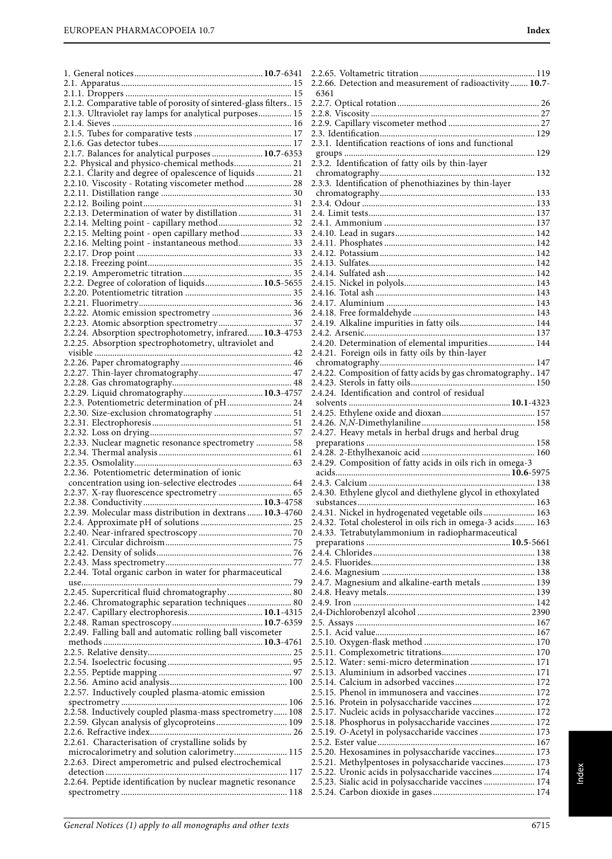| 2.1.2. Comparative table of porosity of sintered-glass filters 15                                        |  |
|----------------------------------------------------------------------------------------------------------|--|
| 2.1.3. Ultraviolet ray lamps for analytical purposes 15                                                  |  |
|                                                                                                          |  |
|                                                                                                          |  |
|                                                                                                          |  |
| 2.1.7. Balances for analytical purposes  10.7-6353                                                       |  |
| 2.2. Physical and physico-chemical methods 21<br>2.2.1. Clarity and degree of opalescence of liquids  21 |  |
| 2.2.10. Viscosity - Rotating viscometer method  28                                                       |  |
|                                                                                                          |  |
|                                                                                                          |  |
| 2.2.13. Determination of water by distillation  31                                                       |  |
| 2.2.14. Melting point - capillary method 32                                                              |  |
| 2.2.15. Melting point - open capillary method  33                                                        |  |
| 2.2.16. Melting point - instantaneous method 33                                                          |  |
|                                                                                                          |  |
|                                                                                                          |  |
|                                                                                                          |  |
| 2.2.2. Degree of coloration of liquids 10.5-5655                                                         |  |
|                                                                                                          |  |
|                                                                                                          |  |
|                                                                                                          |  |
|                                                                                                          |  |
| 2.2.24. Absorption spectrophotometry, infrared 10.3-4753                                                 |  |
| 2.2.25. Absorption spectrophotometry, ultraviolet and                                                    |  |
|                                                                                                          |  |
|                                                                                                          |  |
|                                                                                                          |  |
|                                                                                                          |  |
| 2.2.3. Potentiometric determination of pH 24                                                             |  |
|                                                                                                          |  |
|                                                                                                          |  |
|                                                                                                          |  |
| 2.2.33. Nuclear magnetic resonance spectrometry  58                                                      |  |
|                                                                                                          |  |
|                                                                                                          |  |
|                                                                                                          |  |
| 2.2.36. Potentiometric determination of ionic                                                            |  |
| concentration using ion-selective electrodes  64                                                         |  |
|                                                                                                          |  |
|                                                                                                          |  |
| 2.2.39. Molecular mass distribution in dextrans  10.3-4760                                               |  |
|                                                                                                          |  |
|                                                                                                          |  |
|                                                                                                          |  |
|                                                                                                          |  |
|                                                                                                          |  |
| 2.2.44. Total organic carbon in water for pharmaceutical                                                 |  |
|                                                                                                          |  |
| 2.2.45. Supercritical fluid chromatography 80                                                            |  |
| 2.2.46. Chromatographic separation techniques 80                                                         |  |
|                                                                                                          |  |
| 2.2.49. Falling ball and automatic rolling ball viscometer                                               |  |
|                                                                                                          |  |
|                                                                                                          |  |
|                                                                                                          |  |
|                                                                                                          |  |
|                                                                                                          |  |
| 2.2.57. Inductively coupled plasma-atomic emission                                                       |  |
|                                                                                                          |  |
| 2.2.58. Inductively coupled plasma-mass spectrometry 108                                                 |  |
| 2.2.59. Glycan analysis of glycoproteins 109                                                             |  |
|                                                                                                          |  |
| 2.2.61. Characterisation of crystalline solids by                                                        |  |
| microcalorimetry and solution calorimetry 115<br>2.2.63. Direct amperometric and pulsed electrochemical  |  |
|                                                                                                          |  |
| 2.2.64. Peptide identification by nuclear magnetic resonance                                             |  |

| Index                                                            |
|------------------------------------------------------------------|
|                                                                  |
|                                                                  |
| 2.2.66. Detection and measurement of radioactivity 10.7-<br>6361 |
|                                                                  |
|                                                                  |
|                                                                  |
|                                                                  |
| 2.3.1. Identification reactions of ions and functional           |
|                                                                  |
| 2.3.2. Identification of fatty oils by thin-layer                |
|                                                                  |
|                                                                  |
|                                                                  |
|                                                                  |
|                                                                  |
|                                                                  |
|                                                                  |
|                                                                  |
|                                                                  |
|                                                                  |
|                                                                  |
|                                                                  |
|                                                                  |
|                                                                  |
|                                                                  |
| 2.4.19. Alkaline impurities in fatty oils 144                    |
|                                                                  |
| 2.4.20. Determination of elemental impurities 144                |
| 2.4.21. Foreign oils in fatty oils by thin-layer                 |
|                                                                  |
| 2.4.22. Composition of fatty acids by gas chromatography 147     |

2.4.24. Identification and control of residual

2.4.23. Sterols in fatty oils........................................................ 150

solvents .........................................................................**10.1**-4323 2.4.25. Ethylene oxide and dioxan.......................................... 157 2.4.26. N,N-Dimethylaniline................................................... 158 2.4.27. Heavy metals in herbal drugs and herbal drug preparations ............................................................................ 158 2.4.28. 2-Ethylhexanoic acid ................................................... 160 2.4.29. Composition of fatty acids in oils rich in omega-3 acids...............................................................................**10.6**-5975 2.4.3. Calcium ........................................................................... 138 2.4.30. Ethylene glycol and diethylene glycol in ethoxylated substances................................................................................ 163 2.4.31. Nickel in hydrogenated vegetable oils ....................... 163 2.4.32. Total cholesterol in oils rich in omega-3 acids......... 163 2.4.33. Tetrabutylammonium in radiopharmaceutical

preparations .................................................................**10.5**-5661 2.4.4. Chlorides......................................................................... 138 2.4.5. Fluorides.......................................................................... 138 2.4.6. Magnesium ..................................................................... 138 2.4.7. Magnesium and alkaline-earth metals ........................ 139 2.4.8. Heavy metals................................................................... 139 2.4.9. Iron .................................................................................. 142 2,4-Dichlorobenzyl alcohol ................................................... 2390 2.5. Assays ................................................................................. 167 2.5.1. Acid value........................................................................ 167 2.5.10. Oxygen-flask method .................................................. 170 2.5.11. Complexometric titrations.......................................... 170 2.5.12. Water: semi-micro determination ............................. 171 2.5.13. Aluminium in adsorbed vaccines .............................. 171 2.5.14. Calcium in adsorbed vaccines.................................... 172 2.5.15. Phenol in immunosera and vaccines......................... 172 2.5.16. Protein in polysaccharide vaccines ............................ 172 2.5.17. Nucleic acids in polysaccharide vaccines.................. 172 2.5.18. Phosphorus in polysaccharide vaccines .................... 172 2.5.19. O-Acetyl in polysaccharide vaccines ......................... 173 2.5.2. Ester value....................................................................... 167 2.5.20. Hexosamines in polysaccharide vaccines.................. 173 2.5.21. Methylpentoses in polysaccharide vaccines.............. 173 2.5.22. Uronic acids in polysaccharide vaccines................... 174 2.5.23. Sialic acid in polysaccharide vaccines ....................... 174 2.5.24. Carbon dioxide in gases .............................................. 174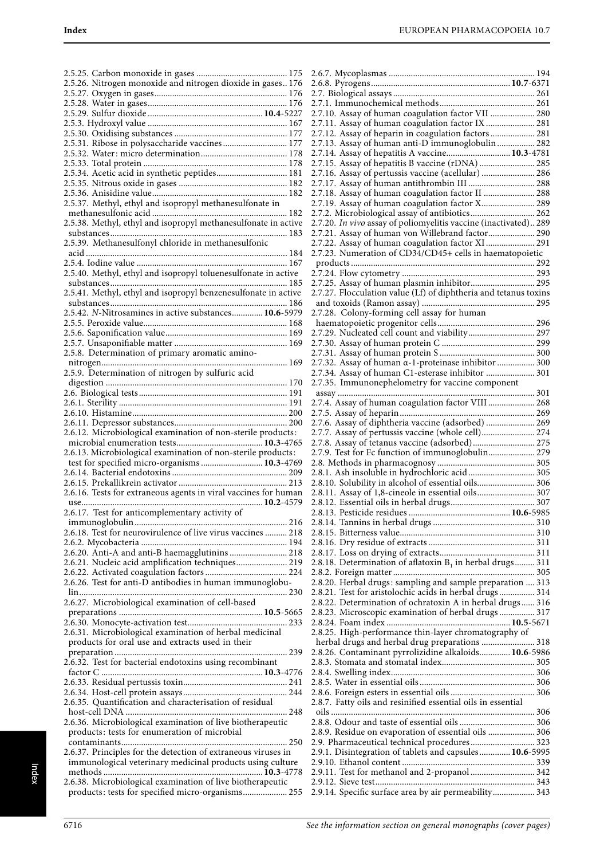| 2.5.26. Nitrogen monoxide and nitrogen dioxide in gases 176                                                     |
|-----------------------------------------------------------------------------------------------------------------|
|                                                                                                                 |
|                                                                                                                 |
|                                                                                                                 |
|                                                                                                                 |
|                                                                                                                 |
|                                                                                                                 |
| 2.5.31. Ribose in polysaccharide vaccines 177                                                                   |
|                                                                                                                 |
|                                                                                                                 |
| 2.5.34. Acetic acid in synthetic peptides 181                                                                   |
|                                                                                                                 |
|                                                                                                                 |
| 2.5.37. Methyl, ethyl and isopropyl methanesulfonate in                                                         |
|                                                                                                                 |
|                                                                                                                 |
| 2.5.38. Methyl, ethyl and isopropyl methanesulfonate in active                                                  |
|                                                                                                                 |
| 2.5.39. Methanesulfonyl chloride in methanesulfonic                                                             |
|                                                                                                                 |
|                                                                                                                 |
| 2.5.40. Methyl, ethyl and isopropyl toluenesulfonate in active                                                  |
|                                                                                                                 |
|                                                                                                                 |
| 2.5.41. Methyl, ethyl and isopropyl benzenesulfonate in active                                                  |
|                                                                                                                 |
| 2.5.42. N-Nitrosamines in active substances 10.6-5979                                                           |
|                                                                                                                 |
|                                                                                                                 |
|                                                                                                                 |
|                                                                                                                 |
| 2.5.8. Determination of primary aromatic amino-                                                                 |
|                                                                                                                 |
| 2.5.9. Determination of nitrogen by sulfuric acid                                                               |
|                                                                                                                 |
|                                                                                                                 |
|                                                                                                                 |
|                                                                                                                 |
|                                                                                                                 |
|                                                                                                                 |
|                                                                                                                 |
| 2.6.12. Microbiological examination of non-sterile products:                                                    |
|                                                                                                                 |
|                                                                                                                 |
| 2.6.13. Microbiological examination of non-sterile products:                                                    |
| test for specified micro-organisms  10.3-4769                                                                   |
|                                                                                                                 |
|                                                                                                                 |
| 2.6.16. Tests for extraneous agents in viral vaccines for human                                                 |
|                                                                                                                 |
|                                                                                                                 |
| 2.6.17. Test for anticomplementary activity of                                                                  |
|                                                                                                                 |
| 2.6.18. Test for neurovirulence of live virus vaccines  218                                                     |
|                                                                                                                 |
| 2.6.20. Anti-A and anti-B haemagglutinins  218                                                                  |
| 2.6.21. Nucleic acid amplification techniques 219                                                               |
|                                                                                                                 |
| 2.6.26. Test for anti-D antibodies in human immunoglobu-                                                        |
|                                                                                                                 |
|                                                                                                                 |
| 2.6.27. Microbiological examination of cell-based                                                               |
|                                                                                                                 |
|                                                                                                                 |
| 2.6.31. Microbiological examination of herbal medicinal                                                         |
| products for oral use and extracts used in their                                                                |
|                                                                                                                 |
|                                                                                                                 |
| 2.6.32. Test for bacterial endotoxins using recombinant                                                         |
|                                                                                                                 |
|                                                                                                                 |
|                                                                                                                 |
| 2.6.35. Quantification and characterisation of residual                                                         |
|                                                                                                                 |
| 2.6.36. Microbiological examination of live biotherapeutic                                                      |
|                                                                                                                 |
| products: tests for enumeration of microbial                                                                    |
|                                                                                                                 |
| 2.6.37. Principles for the detection of extraneous viruses in                                                   |
| immunological veterinary medicinal products using culture                                                       |
|                                                                                                                 |
| 2.6.38. Microbiological examination of live biotherapeutic<br>products: tests for specified micro-organisms 255 |

| 2.7.10. Assay of human coagulation factor VII  280                                                  |
|-----------------------------------------------------------------------------------------------------|
| 2.7.11. Assay of human coagulation factor IX  281                                                   |
| 2.7.12. Assay of heparin in coagulation factors  281                                                |
| 2.7.13. Assay of human anti-D immunoglobulin 282                                                    |
| 2.7.14. Assay of hepatitis A vaccine 10.3-4781<br>2.7.15. Assay of hepatitis B vaccine (rDNA)  285  |
|                                                                                                     |
| 2.7.16. Assay of pertussis vaccine (acellular)  286<br>2.7.17. Assay of human antithrombin III  288 |
| 2.7.18. Assay of human coagulation factor II  288                                                   |
| 2.7.19. Assay of human coagulation factor X 289                                                     |
| 2.7.2. Microbiological assay of antibiotics 262                                                     |
| 2.7.20. In vivo assay of poliomyelitis vaccine (inactivated) 289                                    |
| 2.7.21. Assay of human von Willebrand factor 290                                                    |
| 2.7.22. Assay of human coagulation factor XI 291                                                    |
| 2.7.23. Numeration of CD34/CD45+ cells in haematopoietic                                            |
|                                                                                                     |
|                                                                                                     |
| 2.7.25. Assay of human plasmin inhibitor 295                                                        |
| 2.7.27. Flocculation value (Lf) of diphtheria and tetanus toxins                                    |
|                                                                                                     |
| 2.7.28. Colony-forming cell assay for human                                                         |
|                                                                                                     |
| 2.7.29. Nucleated cell count and viability 297                                                      |
|                                                                                                     |
|                                                                                                     |
| 2.7.32. Assay of human a-1-proteinase inhibitor  300                                                |
| 2.7.34. Assay of human C1-esterase inhibitor  301                                                   |
| 2.7.35. Immunonephelometry for vaccine component                                                    |
|                                                                                                     |
| 2.7.4. Assay of human coagulation factor VIII  268                                                  |
|                                                                                                     |
| 2.7.6. Assay of diphtheria vaccine (adsorbed)  269                                                  |
|                                                                                                     |
| 2.7.7. Assay of pertussis vaccine (whole cell) 274                                                  |
| 2.7.8. Assay of tetanus vaccine (adsorbed) 275                                                      |
| 2.7.9. Test for Fc function of immunoglobulin 279                                                   |
|                                                                                                     |
| 2.8.1. Ash insoluble in hydrochloric acid 305                                                       |
| 2.8.10. Solubility in alcohol of essential oils 306                                                 |
| 2.8.11. Assay of 1,8-cineole in essential oils 307                                                  |
|                                                                                                     |
|                                                                                                     |
|                                                                                                     |
|                                                                                                     |
|                                                                                                     |
|                                                                                                     |
| 2.8.18. Determination of aflatoxin $B_1$ in herbal drugs 311                                        |
| 2.8.20. Herbal drugs: sampling and sample preparation  313                                          |
| 2.8.21. Test for aristolochic acids in herbal drugs 314                                             |
| 2.8.22. Determination of ochratoxin A in herbal drugs 316                                           |
| 2.8.23. Microscopic examination of herbal drugs  317                                                |
|                                                                                                     |
| 2.8.25. High-performance thin-layer chromatography of                                               |
| herbal drugs and herbal drug preparations  318                                                      |
| 2.8.26. Contaminant pyrrolizidine alkaloids 10.6-5986                                               |
|                                                                                                     |
|                                                                                                     |
|                                                                                                     |
|                                                                                                     |
| 2.8.7. Fatty oils and resinified essential oils in essential                                        |
|                                                                                                     |
|                                                                                                     |
| 2.8.9. Residue on evaporation of essential oils  306                                                |
| 2.9. Pharmaceutical technical procedures 323                                                        |
| 2.9.1. Disintegration of tablets and capsules 10.6-5995                                             |
|                                                                                                     |
| 2.9.11. Test for methanol and 2-propanol  342                                                       |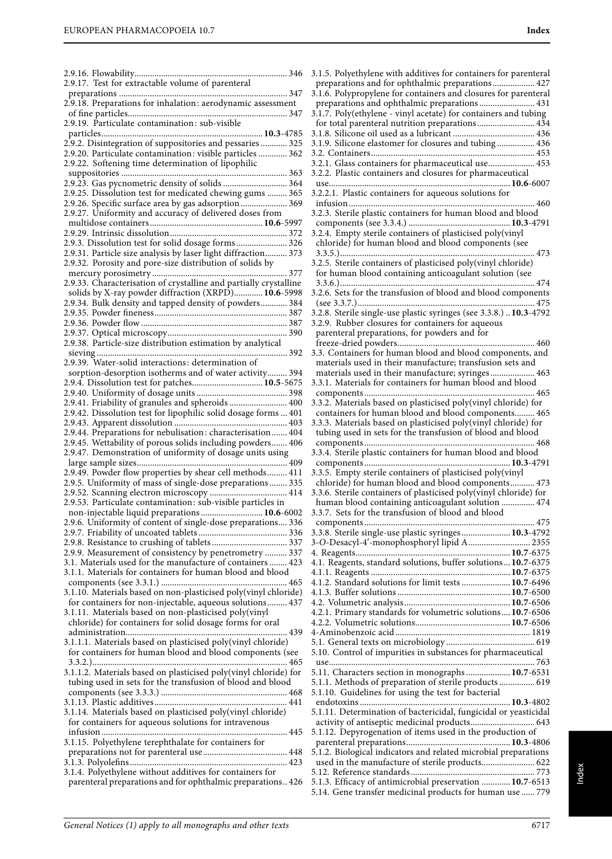| 2.9.17. Test for extractable volume of parenteral                                                                       |
|-------------------------------------------------------------------------------------------------------------------------|
| 2.9.18. Preparations for inhalation: aerodynamic assessment                                                             |
| 2.9.19. Particulate contamination: sub-visible                                                                          |
|                                                                                                                         |
| 2.9.2. Disintegration of suppositories and pessaries  325                                                               |
| 2.9.20. Particulate contamination: visible particles  362<br>2.9.22. Softening time determination of lipophilic         |
|                                                                                                                         |
| 2.9.23. Gas pycnometric density of solids  364                                                                          |
| 2.9.25. Dissolution test for medicated chewing gums  365                                                                |
| 2.9.26. Specific surface area by gas adsorption 369<br>2.9.27. Uniformity and accuracy of delivered doses from          |
|                                                                                                                         |
|                                                                                                                         |
| 2.9.3. Dissolution test for solid dosage forms 326                                                                      |
| 2.9.31. Particle size analysis by laser light diffraction 373                                                           |
| 2.9.32. Porosity and pore-size distribution of solids by                                                                |
| 2.9.33. Characterisation of crystalline and partially crystalline                                                       |
| solids by X-ray powder diffraction (XRPD) 10.6-5998                                                                     |
|                                                                                                                         |
| 2.9.34. Bulk density and tapped density of powders 384                                                                  |
|                                                                                                                         |
|                                                                                                                         |
| 2.9.38. Particle-size distribution estimation by analytical                                                             |
|                                                                                                                         |
| 2.9.39. Water-solid interactions: determination of                                                                      |
| sorption-desorption isotherms and of water activity 394                                                                 |
| 2.9.4. Dissolution test for patches 10.5-5675                                                                           |
|                                                                                                                         |
| 2.9.41. Friability of granules and spheroids  400                                                                       |
| 2.9.42. Dissolution test for lipophilic solid dosage forms  401                                                         |
|                                                                                                                         |
| 2.9.44. Preparations for nebulisation: characterisation 404                                                             |
| 2.9.45. Wettability of porous solids including powders 406                                                              |
| 2.9.47. Demonstration of uniformity of dosage units using                                                               |
|                                                                                                                         |
|                                                                                                                         |
|                                                                                                                         |
| 2.9.49. Powder flow properties by shear cell methods 411                                                                |
| 2.9.5. Uniformity of mass of single-dose preparations 335                                                               |
| 2.9.52. Scanning electron microscopy  414                                                                               |
| 2.9.53. Particulate contamination: sub-visible particles in                                                             |
| non-injectable liquid preparations  10.6-6002                                                                           |
| 2.9.6. Uniformity of content of single-dose preparations 336                                                            |
|                                                                                                                         |
|                                                                                                                         |
| 2.9.9. Measurement of consistency by penetrometry  337                                                                  |
| 3.1. Materials used for the manufacture of containers  423<br>3.1.1. Materials for containers for human blood and blood |
|                                                                                                                         |
| 3.1.10. Materials based on non-plasticised poly(vinyl chloride)                                                         |
| for containers for non-injectable, aqueous solutions 437                                                                |
| 3.1.11. Materials based on non-plasticised poly(vinyl<br>chloride) for containers for solid dosage forms for oral       |
|                                                                                                                         |
| 3.1.1.1. Materials based on plasticised poly(vinyl chloride)                                                            |
| for containers for human blood and blood components (see                                                                |
|                                                                                                                         |
| 3.1.1.2. Materials based on plasticised poly(vinyl chloride) for                                                        |
| tubing used in sets for the transfusion of blood and blood                                                              |
|                                                                                                                         |
| 3.1.14. Materials based on plasticised poly(vinyl chloride)                                                             |
| for containers for aqueous solutions for intravenous                                                                    |
|                                                                                                                         |
| 3.1.15. Polyethylene terephthalate for containers for                                                                   |
|                                                                                                                         |
|                                                                                                                         |
| 3.1.4. Polyethylene without additives for containers for<br>parenteral preparations and for ophthalmic preparations 426 |

| 3.1.5. Polyethylene with additives for containers for parenteral                                                                                                                                                                                      |
|-------------------------------------------------------------------------------------------------------------------------------------------------------------------------------------------------------------------------------------------------------|
| preparations and for ophthalmic preparations 427                                                                                                                                                                                                      |
| 3.1.6. Polypropylene for containers and closures for parenteral                                                                                                                                                                                       |
| preparations and ophthalmic preparations 431                                                                                                                                                                                                          |
| 3.1.7. Poly(ethylene - vinyl acetate) for containers and tubing<br>for total parenteral nutrition preparations 434                                                                                                                                    |
|                                                                                                                                                                                                                                                       |
| 3.1.9. Silicone elastomer for closures and tubing 436                                                                                                                                                                                                 |
|                                                                                                                                                                                                                                                       |
| 3.2.1. Glass containers for pharmaceutical use 453                                                                                                                                                                                                    |
| 3.2.2. Plastic containers and closures for pharmaceutical                                                                                                                                                                                             |
|                                                                                                                                                                                                                                                       |
| 3.2.2.1. Plastic containers for aqueous solutions for                                                                                                                                                                                                 |
| 3.2.3. Sterile plastic containers for human blood and blood                                                                                                                                                                                           |
|                                                                                                                                                                                                                                                       |
| 3.2.4. Empty sterile containers of plasticised poly(vinyl                                                                                                                                                                                             |
| chloride) for human blood and blood components (see                                                                                                                                                                                                   |
| 473                                                                                                                                                                                                                                                   |
| 3.2.5. Sterile containers of plasticised poly(vinyl chloride)<br>for human blood containing anticoagulant solution (see                                                                                                                               |
|                                                                                                                                                                                                                                                       |
| 3.2.6. Sets for the transfusion of blood and blood components                                                                                                                                                                                         |
| . 475                                                                                                                                                                                                                                                 |
| 3.2.8. Sterile single-use plastic syringes (see 3.3.8.)  10.3-4792                                                                                                                                                                                    |
| 3.2.9. Rubber closures for containers for aqueous                                                                                                                                                                                                     |
| parenteral preparations, for powders and for                                                                                                                                                                                                          |
| 3.3. Containers for human blood and blood components, and                                                                                                                                                                                             |
| materials used in their manufacture; transfusion sets and                                                                                                                                                                                             |
| materials used in their manufacture; syringes 463                                                                                                                                                                                                     |
| 3.3.1. Materials for containers for human blood and blood                                                                                                                                                                                             |
|                                                                                                                                                                                                                                                       |
| 3.3.2. Materials based on plasticised poly(vinyl chloride) for                                                                                                                                                                                        |
| containers for human blood and blood components 465                                                                                                                                                                                                   |
| 3.3.3. Materials based on plasticised poly(vinyl chloride) for                                                                                                                                                                                        |
| tubing used in sets for the transfusion of blood and blood                                                                                                                                                                                            |
| 3.3.4. Sterile plastic containers for human blood and blood                                                                                                                                                                                           |
|                                                                                                                                                                                                                                                       |
|                                                                                                                                                                                                                                                       |
| 3.3.5. Empty sterile containers of plasticised poly(vinyl                                                                                                                                                                                             |
| chloride) for human blood and blood components 473                                                                                                                                                                                                    |
| 3.3.6. Sterile containers of plasticised poly(vinyl chloride) for                                                                                                                                                                                     |
| human blood containing anticoagulant solution  474                                                                                                                                                                                                    |
| 3.3.7. Sets for the transfusion of blood and blood                                                                                                                                                                                                    |
|                                                                                                                                                                                                                                                       |
| 3.3.8. Sterile single-use plastic syringes 10.3-4792                                                                                                                                                                                                  |
| 3-O-Desacyl-4'-monophosphoryl lipid A 2355                                                                                                                                                                                                            |
| 4.1. Reagents, standard solutions, buffer solutions10.7-6375                                                                                                                                                                                          |
|                                                                                                                                                                                                                                                       |
| 4.1.2. Standard solutions for limit tests  10.7-6496                                                                                                                                                                                                  |
|                                                                                                                                                                                                                                                       |
|                                                                                                                                                                                                                                                       |
| 4.2.1. Primary standards for volumetric solutions 10.7-6506                                                                                                                                                                                           |
|                                                                                                                                                                                                                                                       |
|                                                                                                                                                                                                                                                       |
| 5.10. Control of impurities in substances for pharmaceutical                                                                                                                                                                                          |
|                                                                                                                                                                                                                                                       |
| 5.11. Characters section in monographs 10.7-6531                                                                                                                                                                                                      |
| 5.1.1. Methods of preparation of sterile products  619<br>5.1.10. Guidelines for using the test for bacterial                                                                                                                                         |
|                                                                                                                                                                                                                                                       |
|                                                                                                                                                                                                                                                       |
| 5.1.11. Determination of bactericidal, fungicidal or yeasticidal<br>activity of antiseptic medicinal products 643                                                                                                                                     |
|                                                                                                                                                                                                                                                       |
|                                                                                                                                                                                                                                                       |
|                                                                                                                                                                                                                                                       |
|                                                                                                                                                                                                                                                       |
| 5.1.12. Depyrogenation of items used in the production of<br>5.1.2. Biological indicators and related microbial preparations<br>5.1.3. Efficacy of antimicrobial preservation  10.7-6513<br>5.14. Gene transfer medicinal products for human use  779 |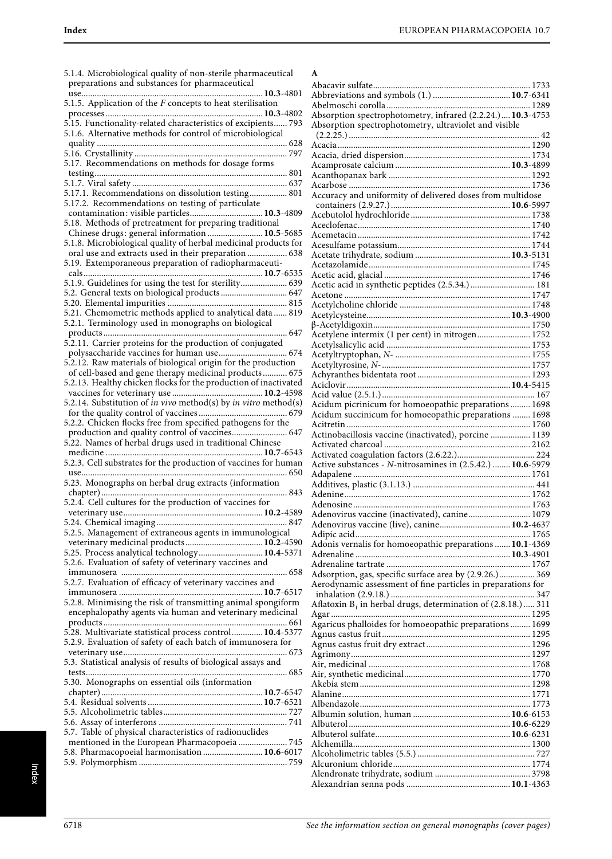| 5.1.4. Microbiological quality of non-sterile pharmaceutical                                                  |  |
|---------------------------------------------------------------------------------------------------------------|--|
| preparations and substances for pharmaceutical                                                                |  |
| $ 10.3 - 4801$<br>use                                                                                         |  |
| 5.1.5. Application of the $F$ concepts to heat sterilisation                                                  |  |
|                                                                                                               |  |
|                                                                                                               |  |
| 5.1.6. Alternative methods for control of microbiological                                                     |  |
|                                                                                                               |  |
|                                                                                                               |  |
| 5.17. Recommendations on methods for dosage forms                                                             |  |
|                                                                                                               |  |
| 5.17.1. Recommendations on dissolution testing 801                                                            |  |
| 5.17.2. Recommendations on testing of particulate                                                             |  |
| contamination: visible particles 10.3-4809                                                                    |  |
| 5.18. Methods of pretreatment for preparing traditional                                                       |  |
| Chinese drugs: general information  10.5-5685                                                                 |  |
| 5.1.8. Microbiological quality of herbal medicinal products for                                               |  |
| oral use and extracts used in their preparation  638<br>5.19. Extemporaneous preparation of radiopharmaceuti- |  |
| cals<br>10.7-6535                                                                                             |  |
| 5.1.9. Guidelines for using the test for sterility 639                                                        |  |
| 5.2. General texts on biological products 647                                                                 |  |
|                                                                                                               |  |
| 5.21. Chemometric methods applied to analytical data  819                                                     |  |
| 5.2.1. Terminology used in monographs on biological                                                           |  |
| 647                                                                                                           |  |
| 5.2.11. Carrier proteins for the production of conjugated                                                     |  |
| 5.2.12. Raw materials of biological origin for the production                                                 |  |
| of cell-based and gene therapy medicinal products 675                                                         |  |
| 5.2.13. Healthy chicken flocks for the production of inactivated                                              |  |
|                                                                                                               |  |
|                                                                                                               |  |
|                                                                                                               |  |
| 5.2.2. Chicken flocks free from specified pathogens for the                                                   |  |
| production and quality control of vaccines 647<br>5.22. Names of herbal drugs used in traditional Chinese     |  |
|                                                                                                               |  |
| 5.2.3. Cell substrates for the production of vaccines for human                                               |  |
|                                                                                                               |  |
| 5.23. Monographs on herbal drug extracts (information                                                         |  |
| 843                                                                                                           |  |
| 5.2.4. Cell cultures for the production of vaccines for                                                       |  |
|                                                                                                               |  |
|                                                                                                               |  |
| 5.2.5. Management of extraneous agents in immunological                                                       |  |
| 5.25. Process analytical technology 10.4-5371                                                                 |  |
| 5.2.6. Evaluation of safety of veterinary vaccines and                                                        |  |
|                                                                                                               |  |
| 5.2.7. Evaluation of efficacy of veterinary vaccines and                                                      |  |
|                                                                                                               |  |
| 5.2.8. Minimising the risk of transmitting animal spongiform                                                  |  |
| encephalopathy agents via human and veterinary medicinal                                                      |  |
|                                                                                                               |  |
| 5.28. Multivariate statistical process control 10.4-5377                                                      |  |
| 5.2.9. Evaluation of safety of each batch of immunosera for                                                   |  |
| 5.3. Statistical analysis of results of biological assays and                                                 |  |
|                                                                                                               |  |
| 5.30. Monographs on essential oils (information                                                               |  |
|                                                                                                               |  |
|                                                                                                               |  |
|                                                                                                               |  |
|                                                                                                               |  |
| 5.7. Table of physical characteristics of radionuclides                                                       |  |
| mentioned in the European Pharmacopoeia  745<br>5.8. Pharmacopoeial harmonisation  10.6-6017                  |  |
|                                                                                                               |  |
|                                                                                                               |  |

| A                                                                |  |
|------------------------------------------------------------------|--|
|                                                                  |  |
|                                                                  |  |
|                                                                  |  |
| Absorption spectrophotometry, infrared (2.2.24.) 10.3-4753       |  |
| Absorption spectrophotometry, ultraviolet and visible            |  |
|                                                                  |  |
|                                                                  |  |
|                                                                  |  |
|                                                                  |  |
|                                                                  |  |
| Accuracy and uniformity of delivered doses from multidose        |  |
|                                                                  |  |
|                                                                  |  |
|                                                                  |  |
|                                                                  |  |
|                                                                  |  |
|                                                                  |  |
|                                                                  |  |
|                                                                  |  |
| Acetic acid in synthetic peptides (2.5.34.) 181                  |  |
|                                                                  |  |
|                                                                  |  |
|                                                                  |  |
|                                                                  |  |
| Acetylene intermix (1 per cent) in nitrogen 1752                 |  |
|                                                                  |  |
|                                                                  |  |
|                                                                  |  |
|                                                                  |  |
|                                                                  |  |
| Acidum picrinicum for homoeopathic preparations  1698            |  |
| Acidum succinicum for homoeopathic preparations  1698            |  |
|                                                                  |  |
| Actinobacillosis vaccine (inactivated), porcine  1139            |  |
|                                                                  |  |
|                                                                  |  |
| Active substances - N-nitrosamines in (2.5.42.)  10.6-5979       |  |
|                                                                  |  |
|                                                                  |  |
|                                                                  |  |
| Adenovirus vaccine (inactivated), canine 1079                    |  |
| Adenovirus vaccine (live), canine 10.2-4637                      |  |
|                                                                  |  |
| Adonis vernalis for homoeopathic preparations  10.1-4369         |  |
|                                                                  |  |
|                                                                  |  |
| Adsorption, gas, specific surface area by (2.9.26.) 369          |  |
| Aerodynamic assessment of fine particles in preparations for     |  |
|                                                                  |  |
| Aflatoxin $B_1$ in herbal drugs, determination of (2.8.18.)  311 |  |
|                                                                  |  |
| Agaricus phalloides for homoeopathic preparations 1699           |  |
|                                                                  |  |
|                                                                  |  |
|                                                                  |  |
|                                                                  |  |
|                                                                  |  |
|                                                                  |  |
|                                                                  |  |
|                                                                  |  |
|                                                                  |  |
|                                                                  |  |
|                                                                  |  |
|                                                                  |  |
|                                                                  |  |
|                                                                  |  |
|                                                                  |  |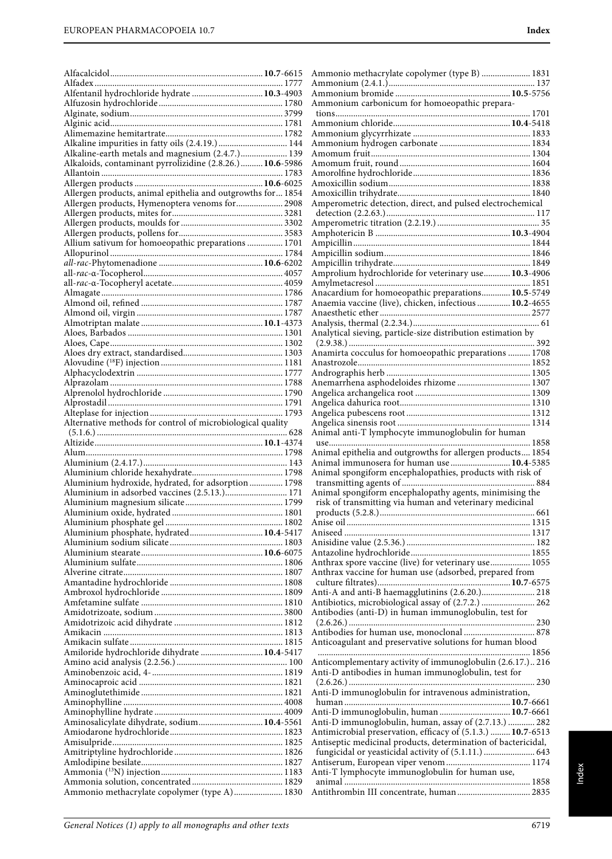| Alfentanil hydrochloride hydrate  10.3-4903                                                                   |  |
|---------------------------------------------------------------------------------------------------------------|--|
|                                                                                                               |  |
|                                                                                                               |  |
|                                                                                                               |  |
| Alkaline impurities in fatty oils (2.4.19.)  144<br>Alkaline-earth metals and magnesium (2.4.7.) 139          |  |
| Alkaloids, contaminant pyrrolizidine (2.8.26.)  10.6-5986                                                     |  |
|                                                                                                               |  |
|                                                                                                               |  |
| Allergen products, animal epithelia and outgrowths for 1854<br>Allergen products, Hymenoptera venoms for 2908 |  |
|                                                                                                               |  |
|                                                                                                               |  |
|                                                                                                               |  |
| Allium sativum for homoeopathic preparations  1701                                                            |  |
|                                                                                                               |  |
|                                                                                                               |  |
|                                                                                                               |  |
|                                                                                                               |  |
|                                                                                                               |  |
|                                                                                                               |  |
|                                                                                                               |  |
|                                                                                                               |  |
|                                                                                                               |  |
|                                                                                                               |  |
|                                                                                                               |  |
|                                                                                                               |  |
|                                                                                                               |  |
| Alternative methods for control of microbiological quality                                                    |  |
|                                                                                                               |  |
|                                                                                                               |  |
|                                                                                                               |  |
|                                                                                                               |  |
| Aluminium hydroxide, hydrated, for adsorption 1798                                                            |  |
| Aluminium in adsorbed vaccines (2.5.13.) 171                                                                  |  |
|                                                                                                               |  |
|                                                                                                               |  |
| Aluminium phosphate, hydrated 10.4-5417                                                                       |  |
|                                                                                                               |  |
|                                                                                                               |  |
|                                                                                                               |  |
|                                                                                                               |  |
|                                                                                                               |  |
|                                                                                                               |  |
|                                                                                                               |  |
|                                                                                                               |  |
|                                                                                                               |  |
|                                                                                                               |  |
| Amiloride hydrochloride dihydrate  10.4-5417                                                                  |  |
|                                                                                                               |  |
|                                                                                                               |  |
|                                                                                                               |  |
|                                                                                                               |  |
|                                                                                                               |  |
|                                                                                                               |  |
|                                                                                                               |  |
|                                                                                                               |  |
| Aminosalicylate dihydrate, sodium 10.4-5561                                                                   |  |

| Ammonium carbonicum for homoeopathic prepara-                                                                                                                                                                                                                                            |  |
|------------------------------------------------------------------------------------------------------------------------------------------------------------------------------------------------------------------------------------------------------------------------------------------|--|
|                                                                                                                                                                                                                                                                                          |  |
|                                                                                                                                                                                                                                                                                          |  |
|                                                                                                                                                                                                                                                                                          |  |
|                                                                                                                                                                                                                                                                                          |  |
|                                                                                                                                                                                                                                                                                          |  |
|                                                                                                                                                                                                                                                                                          |  |
|                                                                                                                                                                                                                                                                                          |  |
|                                                                                                                                                                                                                                                                                          |  |
| Amperometric detection, direct, and pulsed electrochemical                                                                                                                                                                                                                               |  |
|                                                                                                                                                                                                                                                                                          |  |
|                                                                                                                                                                                                                                                                                          |  |
|                                                                                                                                                                                                                                                                                          |  |
|                                                                                                                                                                                                                                                                                          |  |
|                                                                                                                                                                                                                                                                                          |  |
| Amprolium hydrochloride for veterinary use 10.3-4906                                                                                                                                                                                                                                     |  |
|                                                                                                                                                                                                                                                                                          |  |
| Anacardium for homoeopathic preparations 10.5-5749                                                                                                                                                                                                                                       |  |
| Anaemia vaccine (live), chicken, infectious  10.2-4655                                                                                                                                                                                                                                   |  |
|                                                                                                                                                                                                                                                                                          |  |
|                                                                                                                                                                                                                                                                                          |  |
| Analytical sieving, particle-size distribution estimation by                                                                                                                                                                                                                             |  |
| Anamirta cocculus for homoeopathic preparations  1708                                                                                                                                                                                                                                    |  |
|                                                                                                                                                                                                                                                                                          |  |
|                                                                                                                                                                                                                                                                                          |  |
| Anemarrhena asphodeloides rhizome  1307                                                                                                                                                                                                                                                  |  |
|                                                                                                                                                                                                                                                                                          |  |
|                                                                                                                                                                                                                                                                                          |  |
|                                                                                                                                                                                                                                                                                          |  |
| Animal anti-T lymphocyte immunoglobulin for human                                                                                                                                                                                                                                        |  |
|                                                                                                                                                                                                                                                                                          |  |
|                                                                                                                                                                                                                                                                                          |  |
| Animal epithelia and outgrowths for allergen products 1854                                                                                                                                                                                                                               |  |
| Animal immunosera for human use  10.4-5385                                                                                                                                                                                                                                               |  |
| Animal spongiform encephalopathies, products with risk of                                                                                                                                                                                                                                |  |
|                                                                                                                                                                                                                                                                                          |  |
| Animal spongiform encephalopathy agents, minimising the                                                                                                                                                                                                                                  |  |
|                                                                                                                                                                                                                                                                                          |  |
| risk of transmitting via human and veterinary medicinal                                                                                                                                                                                                                                  |  |
|                                                                                                                                                                                                                                                                                          |  |
|                                                                                                                                                                                                                                                                                          |  |
|                                                                                                                                                                                                                                                                                          |  |
| Anthrax spore vaccine (live) for veterinary use 1055                                                                                                                                                                                                                                     |  |
|                                                                                                                                                                                                                                                                                          |  |
| Anthrax vaccine for human use (adsorbed, prepared from                                                                                                                                                                                                                                   |  |
|                                                                                                                                                                                                                                                                                          |  |
| Antibiotics, microbiological assay of (2.7.2.)  262<br>Antibodies (anti-D) in human immunoglobulin, test for                                                                                                                                                                             |  |
|                                                                                                                                                                                                                                                                                          |  |
|                                                                                                                                                                                                                                                                                          |  |
| Antibodies for human use, monoclonal  878<br>Anticoagulant and preservative solutions for human blood                                                                                                                                                                                    |  |
| Anticomplementary activity of immunoglobulin (2.6.17.) 216                                                                                                                                                                                                                               |  |
| Anti-D antibodies in human immunoglobulin, test for                                                                                                                                                                                                                                      |  |
|                                                                                                                                                                                                                                                                                          |  |
| Anti-D immunoglobulin for intravenous administration,                                                                                                                                                                                                                                    |  |
|                                                                                                                                                                                                                                                                                          |  |
|                                                                                                                                                                                                                                                                                          |  |
|                                                                                                                                                                                                                                                                                          |  |
|                                                                                                                                                                                                                                                                                          |  |
| Anti-D immunoglobulin, human  10.7-6661<br>Anti-D immunoglobulin, human, assay of (2.7.13.)  282<br>Antimicrobial preservation, efficacy of (5.1.3.)  10.7-6513<br>Antiseptic medicinal products, determination of bactericidal,<br>fungicidal or yeasticidal activity of (5.1.11.)  643 |  |
|                                                                                                                                                                                                                                                                                          |  |
|                                                                                                                                                                                                                                                                                          |  |
| Anti-T lymphocyte immunoglobulin for human use,                                                                                                                                                                                                                                          |  |

Ammonio methacrylate copolymer (type B) ...................... 1831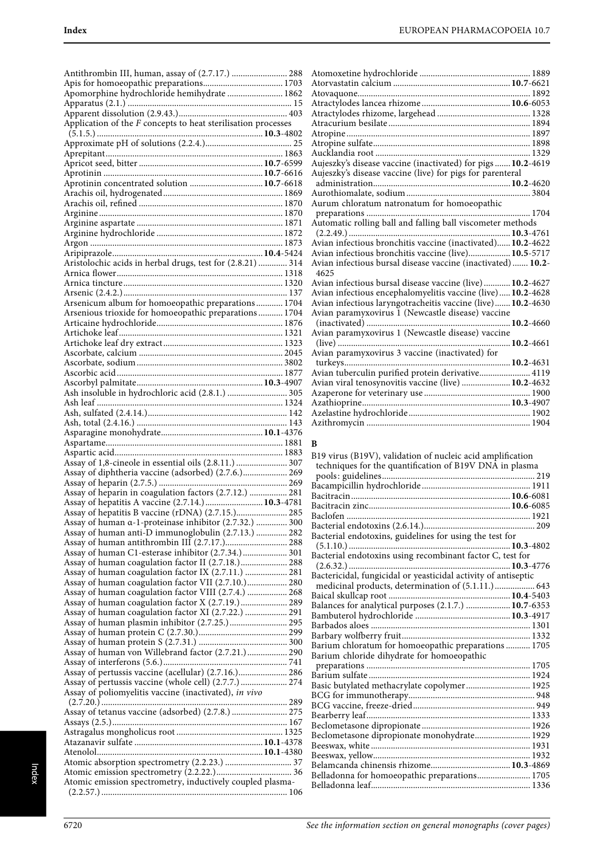| Antithrombin III, human, assay of (2.7.17.)  288                |  |
|-----------------------------------------------------------------|--|
|                                                                 |  |
| Apomorphine hydrochloride hemihydrate  1862                     |  |
|                                                                 |  |
|                                                                 |  |
| Application of the $F$ concepts to heat sterilisation processes |  |
|                                                                 |  |
|                                                                 |  |
|                                                                 |  |
|                                                                 |  |
|                                                                 |  |
| Aprotinin concentrated solution  10.7-6618                      |  |
|                                                                 |  |
|                                                                 |  |
|                                                                 |  |
|                                                                 |  |
|                                                                 |  |
|                                                                 |  |
|                                                                 |  |
| Aristolochic acids in herbal drugs, test for (2.8.21)  314      |  |
|                                                                 |  |
|                                                                 |  |
|                                                                 |  |
| Arsenicum album for homoeopathic preparations 1704              |  |
| Arsenious trioxide for homoeopathic preparations 1704           |  |
|                                                                 |  |
|                                                                 |  |
|                                                                 |  |
|                                                                 |  |
|                                                                 |  |
|                                                                 |  |
|                                                                 |  |
| Ash insoluble in hydrochloric acid (2.8.1.)  305                |  |
|                                                                 |  |
|                                                                 |  |
|                                                                 |  |
|                                                                 |  |
|                                                                 |  |
|                                                                 |  |
|                                                                 |  |
|                                                                 |  |
| Assay of 1,8-cineole in essential oils (2.8.11.)  307           |  |
| Assay of diphtheria vaccine (adsorbed) (2.7.6.) 269             |  |
|                                                                 |  |
| Assay of heparin in coagulation factors (2.7.12.)  281          |  |
| Assay of hepatitis A vaccine (2.7.14.)  10.3-4781               |  |
| Assay of hepatitis B vaccine (rDNA) (2.7.15.) 285               |  |
| Assay of human a-1-proteinase inhibitor (2.7.32.)  300          |  |
| Assay of human anti-D immunoglobulin (2.7.13.)  282             |  |
|                                                                 |  |
| Assay of human C1-esterase inhibitor (2.7.34.) 301              |  |
| Assay of human coagulation factor II (2.7.18.) 288              |  |
| Assay of human coagulation factor IX (2.7.11.)  281             |  |
| Assay of human coagulation factor VII (2.7.10.) 280             |  |
| Assay of human coagulation factor VIII (2.7.4.)  268            |  |
| Assay of human coagulation factor X (2.7.19.)  289              |  |
| Assay of human coagulation factor XI (2.7.22.)  291             |  |
| Assay of human plasmin inhibitor (2.7.25.) 295                  |  |
|                                                                 |  |
|                                                                 |  |
| Assay of human von Willebrand factor (2.7.21.) 290              |  |
|                                                                 |  |
| Assay of pertussis vaccine (acellular) (2.7.16.) 286            |  |
| Assay of pertussis vaccine (whole cell) (2.7.7.) 274            |  |
| Assay of poliomyelitis vaccine (inactivated), in vivo           |  |
|                                                                 |  |
| Assay of tetanus vaccine (adsorbed) (2.7.8.)  275               |  |
|                                                                 |  |
|                                                                 |  |
|                                                                 |  |
|                                                                 |  |
|                                                                 |  |
|                                                                 |  |
| Atomic emission spectrometry, inductively coupled plasma-       |  |

| Aujeszky's disease vaccine (inactivated) for pigs  10.2-4619 |  |
|--------------------------------------------------------------|--|
| Aujeszky's disease vaccine (live) for pigs for parenteral    |  |
|                                                              |  |
|                                                              |  |
| Aurum chloratum natronatum for homoeopathic                  |  |
|                                                              |  |
| Automatic rolling ball and falling ball viscometer methods   |  |
|                                                              |  |
| Avian infectious bronchitis vaccine (inactivated) 10.2-4622  |  |
| Avian infectious bronchitis vaccine (live) 10.5-5717         |  |
| Avian infectious bursal disease vaccine (inactivated) 10.2-  |  |
| 4625                                                         |  |
| Avian infectious bursal disease vaccine (live) 10.2-4627     |  |
| Avian infectious encephalomyelitis vaccine (live) 10.2-4628  |  |
| Avian infectious laryngotracheitis vaccine (live) 10.2-4630  |  |
| Avian paramyxovirus I (Newcastle disease) vaccine            |  |
| <b>10.2</b> -4660                                            |  |
| Avian paramyxovirus 1 (Newcastle disease) vaccine            |  |
| 10.2-4661                                                    |  |
| Avian paramyxovirus 3 vaccine (inactivated) for              |  |
|                                                              |  |
| Avian tuberculin purified protein derivative 4119            |  |
| Avian viral tenosynovitis vaccine (live)  10.2-4632          |  |
|                                                              |  |
|                                                              |  |
|                                                              |  |
|                                                              |  |

### **B**

| B19 virus (B19V), validation of nucleic acid amplification     |  |
|----------------------------------------------------------------|--|
| techniques for the quantification of B19V DNA in plasma        |  |
|                                                                |  |
|                                                                |  |
|                                                                |  |
|                                                                |  |
|                                                                |  |
|                                                                |  |
| Bacterial endotoxins, guidelines for using the test for        |  |
|                                                                |  |
| Bacterial endotoxins using recombinant factor C, test for      |  |
|                                                                |  |
| Bactericidal, fungicidal or yeasticidal activity of antiseptic |  |
| medicinal products, determination of (5.1.11.) 643             |  |
|                                                                |  |
| Balances for analytical purposes (2.1.7.)  10.7-6353           |  |
|                                                                |  |
|                                                                |  |
|                                                                |  |
| Barium chloratum for homoeopathic preparations  1705           |  |
| Barium chloride dihydrate for homoeopathic                     |  |
|                                                                |  |
|                                                                |  |
| Basic butylated methacrylate copolymer 1925                    |  |
|                                                                |  |
|                                                                |  |
|                                                                |  |
|                                                                |  |
| Beclometasone dipropionate monohydrate 1929                    |  |
|                                                                |  |
|                                                                |  |
|                                                                |  |
| Belladonna for homoeopathic preparations 1705                  |  |
|                                                                |  |
|                                                                |  |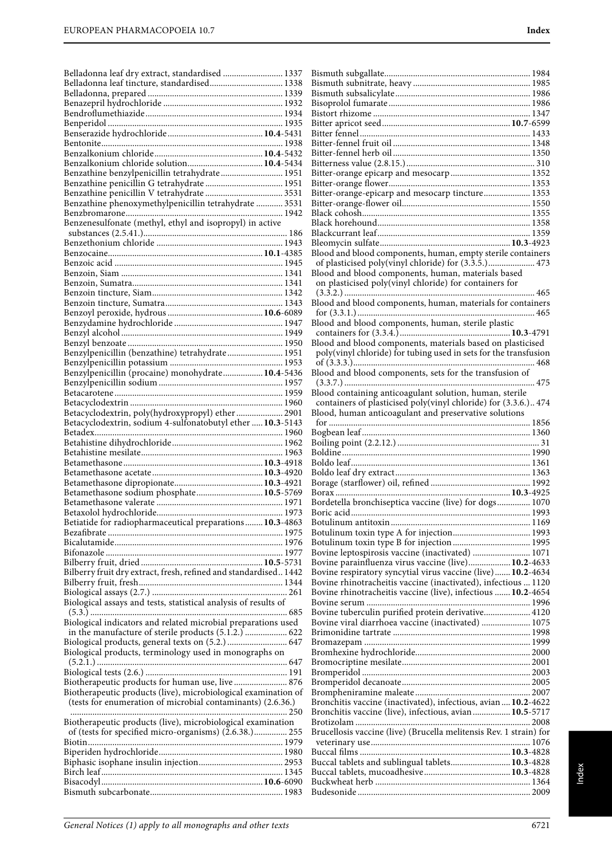| Belladonna leaf dry extract, standardised  1337                  |
|------------------------------------------------------------------|
| Belladonna leaf tincture, standardised 1338                      |
|                                                                  |
|                                                                  |
|                                                                  |
|                                                                  |
|                                                                  |
| Benzalkonium chloride solution 10.4-5434                         |
| Benzathine benzylpenicillin tetrahydrate 1951                    |
| Benzathine penicillin G tetrahydrate  1951                       |
|                                                                  |
|                                                                  |
|                                                                  |
| Benzenesulfonate (methyl, ethyl and isopropyl) in active         |
|                                                                  |
|                                                                  |
|                                                                  |
|                                                                  |
|                                                                  |
|                                                                  |
|                                                                  |
|                                                                  |
|                                                                  |
|                                                                  |
| Benzylpenicillin (benzathine) tetrahydrate 1951                  |
|                                                                  |
|                                                                  |
|                                                                  |
|                                                                  |
| Betacyclodextrin, poly(hydroxypropyl) ether  2901                |
| Betacyclodextrin, sodium 4-sulfonatobutyl ether  10.3-5143       |
|                                                                  |
|                                                                  |
|                                                                  |
|                                                                  |
|                                                                  |
|                                                                  |
| Betamethasone sodium phosphate 10.5-5769                         |
|                                                                  |
|                                                                  |
| Betiatide for radiopharmaceutical preparations  10.3-4863        |
|                                                                  |
|                                                                  |
|                                                                  |
| Bilberry fruit dry extract, fresh, refined and standardised 1442 |
|                                                                  |
| Biological assays and tests, statistical analysis of results of  |
|                                                                  |
| Biological indicators and related microbial preparations used    |
| in the manufacture of sterile products (5.1.2.)  622             |
| Biological products, general texts on (5.2.)  647                |
| Biological products, terminology used in monographs on           |
|                                                                  |
| Biotherapeutic products for human use, live 876                  |
| Biotherapeutic products (live), microbiological examination of   |
| (tests for enumeration of microbial contaminants) (2.6.36.)      |
| Biotherapeutic products (live), microbiological examination      |
| of (tests for specified micro-organisms) (2.6.38.) 255           |
|                                                                  |
|                                                                  |
|                                                                  |
|                                                                  |

| Bitter-orange-epicarp and mesocarp tincture 1353                                                                   |
|--------------------------------------------------------------------------------------------------------------------|
|                                                                                                                    |
|                                                                                                                    |
|                                                                                                                    |
|                                                                                                                    |
|                                                                                                                    |
| Blood and blood components, human, empty sterile containers                                                        |
| Blood and blood components, human, materials based                                                                 |
| on plasticised poly(vinyl chloride) for containers for                                                             |
|                                                                                                                    |
| Blood and blood components, human, materials for containers                                                        |
|                                                                                                                    |
| Blood and blood components, human, sterile plastic                                                                 |
|                                                                                                                    |
| Blood and blood components, materials based on plasticised                                                         |
| poly(vinyl chloride) for tubing used in sets for the transfusion                                                   |
|                                                                                                                    |
| Blood and blood components, sets for the transfusion of                                                            |
|                                                                                                                    |
| Blood containing anticoagulant solution, human, sterile                                                            |
| containers of plasticised poly(vinyl chloride) for (3.3.6.) 474                                                    |
| Blood, human anticoagulant and preservative solutions                                                              |
|                                                                                                                    |
|                                                                                                                    |
|                                                                                                                    |
|                                                                                                                    |
|                                                                                                                    |
|                                                                                                                    |
|                                                                                                                    |
|                                                                                                                    |
|                                                                                                                    |
|                                                                                                                    |
| Bordetella bronchiseptica vaccine (live) for dogs 1070                                                             |
|                                                                                                                    |
|                                                                                                                    |
|                                                                                                                    |
|                                                                                                                    |
| Bovine leptospirosis vaccine (inactivated)  1071                                                                   |
| Bovine parainfluenza virus vaccine (live) 10.2-4633<br>Bovine respiratory syncytial virus vaccine (live) 10.2-4634 |
| Bovine rhinotracheitis vaccine (inactivated), infectious  1120                                                     |
| Bovine rhinotracheitis vaccine (live), infectious  10.2-4654                                                       |
|                                                                                                                    |
| Bovine tuberculin purified protein derivative 4120                                                                 |
| Bovine viral diarrhoea vaccine (inactivated)  1075                                                                 |
|                                                                                                                    |
|                                                                                                                    |
|                                                                                                                    |
|                                                                                                                    |
|                                                                                                                    |
|                                                                                                                    |
|                                                                                                                    |
| Bronchitis vaccine (inactivated), infectious, avian  10.2-4622                                                     |
| Bronchitis vaccine (live), infectious, avian  10.5-5717                                                            |
|                                                                                                                    |
| Brucellosis vaccine (live) (Brucella melitensis Rev. 1 strain) for                                                 |
|                                                                                                                    |
|                                                                                                                    |
| Buccal tablets and sublingual tablets 10.3-4828                                                                    |
|                                                                                                                    |
|                                                                                                                    |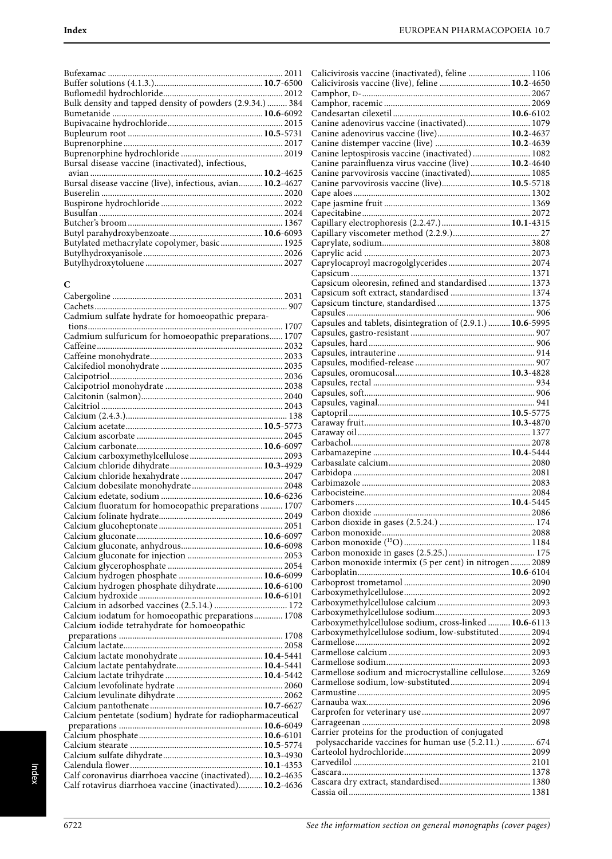| Bulk density and tapped density of powders (2.9.34.)  384  |  |
|------------------------------------------------------------|--|
|                                                            |  |
|                                                            |  |
|                                                            |  |
|                                                            |  |
|                                                            |  |
| Bursal disease vaccine (inactivated), infectious,          |  |
|                                                            |  |
| Bursal disease vaccine (live), infectious, avian 10.2-4627 |  |
|                                                            |  |
|                                                            |  |
|                                                            |  |
|                                                            |  |
|                                                            |  |
| Butylated methacrylate copolymer, basic 1925               |  |
|                                                            |  |
|                                                            |  |

# **C**

| Cadmium sulfate hydrate for homoeopathic prepara-                                                                      |  |
|------------------------------------------------------------------------------------------------------------------------|--|
|                                                                                                                        |  |
| Cadmium sulfuricum for homoeopathic preparations 1707                                                                  |  |
|                                                                                                                        |  |
|                                                                                                                        |  |
|                                                                                                                        |  |
|                                                                                                                        |  |
|                                                                                                                        |  |
|                                                                                                                        |  |
|                                                                                                                        |  |
|                                                                                                                        |  |
|                                                                                                                        |  |
|                                                                                                                        |  |
|                                                                                                                        |  |
|                                                                                                                        |  |
|                                                                                                                        |  |
|                                                                                                                        |  |
|                                                                                                                        |  |
|                                                                                                                        |  |
| Calcium fluoratum for homoeopathic preparations  1707                                                                  |  |
|                                                                                                                        |  |
|                                                                                                                        |  |
|                                                                                                                        |  |
|                                                                                                                        |  |
|                                                                                                                        |  |
|                                                                                                                        |  |
|                                                                                                                        |  |
|                                                                                                                        |  |
|                                                                                                                        |  |
|                                                                                                                        |  |
|                                                                                                                        |  |
|                                                                                                                        |  |
| Calcium iodatum for homoeopathic preparations 1708                                                                     |  |
| Calcium iodide tetrahydrate for homoeopathic                                                                           |  |
|                                                                                                                        |  |
|                                                                                                                        |  |
|                                                                                                                        |  |
|                                                                                                                        |  |
|                                                                                                                        |  |
|                                                                                                                        |  |
|                                                                                                                        |  |
|                                                                                                                        |  |
| Calcium pentetate (sodium) hydrate for radiopharmaceutical                                                             |  |
|                                                                                                                        |  |
|                                                                                                                        |  |
|                                                                                                                        |  |
|                                                                                                                        |  |
|                                                                                                                        |  |
| Calf coronavirus diarrhoea vaccine (inactivated) 10.2-4635<br>Calf rotavirus diarrhoea vaccine (inactivated) 10.2-4636 |  |

| Calicivirosis vaccine (inactivated), feline  1106           |  |
|-------------------------------------------------------------|--|
| Calicivirosis vaccine (live), feline  10.2-4650             |  |
|                                                             |  |
|                                                             |  |
| Canine adenovirus vaccine (inactivated) 1079                |  |
| Canine adenovirus vaccine (live) 10.2-4637                  |  |
| Canine distemper vaccine (live)  10.2-4639                  |  |
| Canine leptospirosis vaccine (inactivated)  1082            |  |
| Canine parainfluenza virus vaccine (live)  10.2-4640        |  |
| Canine parvovirosis vaccine (inactivated) 1085              |  |
| Canine parvovirosis vaccine (live) 10.5-5718                |  |
|                                                             |  |
|                                                             |  |
|                                                             |  |
| Capillary electrophoresis (2.2.47.)  10.1-4315              |  |
|                                                             |  |
|                                                             |  |
|                                                             |  |
|                                                             |  |
| Capsicum oleoresin, refined and standardised  1373          |  |
|                                                             |  |
|                                                             |  |
|                                                             |  |
| Capsules and tablets, disintegration of (2.9.1.)  10.6-5995 |  |
|                                                             |  |
|                                                             |  |
|                                                             |  |
|                                                             |  |
|                                                             |  |
|                                                             |  |
|                                                             |  |
|                                                             |  |
|                                                             |  |
|                                                             |  |
|                                                             |  |
|                                                             |  |
|                                                             |  |
|                                                             |  |
|                                                             |  |
|                                                             |  |
|                                                             |  |
|                                                             |  |
|                                                             |  |
|                                                             |  |
|                                                             |  |
|                                                             |  |
| Carbon monoxide intermix (5 per cent) in nitrogen  2089     |  |
|                                                             |  |
|                                                             |  |
|                                                             |  |
|                                                             |  |
|                                                             |  |
| Carboxymethylcellulose sodium, cross-linked  10.6-6113      |  |
| Carboxymethylcellulose sodium, low-substituted 2094         |  |
|                                                             |  |
|                                                             |  |
|                                                             |  |
| Carmellose sodium and microcrystalline cellulose 3269       |  |
|                                                             |  |
|                                                             |  |
|                                                             |  |
|                                                             |  |
|                                                             |  |
|                                                             |  |
| Carrier proteins for the production of conjugated           |  |
| polysaccharide vaccines for human use (5.2.11.)  674        |  |
|                                                             |  |
|                                                             |  |
|                                                             |  |
|                                                             |  |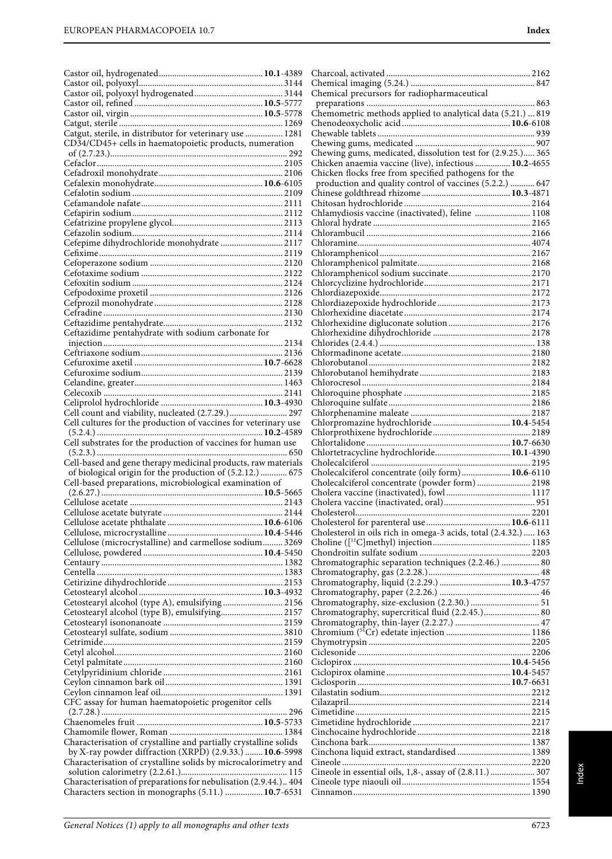|                                                                  | Chemical precursors for radiopharmaceutical                     |
|------------------------------------------------------------------|-----------------------------------------------------------------|
|                                                                  |                                                                 |
|                                                                  | Chemometric methods applied to analytical data (5.21.)  819     |
| Catgut, sterile, in distributor for veterinary use  1281         |                                                                 |
|                                                                  |                                                                 |
| CD34/CD45+ cells in haematopoietic products, numeration          | Chewing gums, medicated, dissolution test for (2.9.25.) 365     |
|                                                                  | Chicken anaemia vaccine (live), infectious  10.2-4655           |
|                                                                  | Chicken flocks free from specified pathogens for the            |
|                                                                  | production and quality control of vaccines (5.2.2.)  647        |
|                                                                  |                                                                 |
|                                                                  |                                                                 |
|                                                                  | Chlamydiosis vaccine (inactivated), feline  1108                |
|                                                                  |                                                                 |
|                                                                  |                                                                 |
| Cefepime dihydrochloride monohydrate  2117                       |                                                                 |
|                                                                  |                                                                 |
|                                                                  |                                                                 |
|                                                                  |                                                                 |
|                                                                  |                                                                 |
|                                                                  |                                                                 |
|                                                                  |                                                                 |
|                                                                  |                                                                 |
|                                                                  |                                                                 |
| Ceftazidime pentahydrate with sodium carbonate for               |                                                                 |
|                                                                  |                                                                 |
|                                                                  |                                                                 |
|                                                                  |                                                                 |
|                                                                  |                                                                 |
|                                                                  |                                                                 |
|                                                                  |                                                                 |
| Cell count and viability, nucleated (2.7.29.) 297                |                                                                 |
| Cell cultures for the production of vaccines for veterinary use  |                                                                 |
|                                                                  |                                                                 |
| Cell substrates for the production of vaccines for human use     |                                                                 |
|                                                                  | Chlortetracycline hydrochloride 10.1-4390                       |
| Cell-based and gene therapy medicinal products, raw materials    |                                                                 |
| of biological origin for the production of (5.2.12.)  675        | Cholecalciferol concentrate (oily form) 10.6-6110               |
| Cell-based preparations, microbiological examination of          | Cholecalciferol concentrate (powder form) 2198                  |
|                                                                  |                                                                 |
|                                                                  |                                                                 |
|                                                                  |                                                                 |
|                                                                  |                                                                 |
|                                                                  | Cholesterol in oils rich in omega-3 acids, total (2.4.32.)  163 |
| Cellulose (microcrystalline) and carmellose sodium 3269          |                                                                 |
|                                                                  | Chromatographic separation techniques (2.2.46.)  80             |
|                                                                  |                                                                 |
|                                                                  |                                                                 |
|                                                                  |                                                                 |
| Cetostearyl alcohol (type A), emulsifying  2156                  |                                                                 |
| Cetostearyl alcohol (type B), emulsifying 2157                   | Chromatography, supercritical fluid (2.2.45.) 80                |
|                                                                  |                                                                 |
|                                                                  |                                                                 |
|                                                                  |                                                                 |
|                                                                  |                                                                 |
|                                                                  |                                                                 |
|                                                                  |                                                                 |
|                                                                  |                                                                 |
|                                                                  |                                                                 |
| CFC assay for human haematopoietic progenitor cells              |                                                                 |
|                                                                  |                                                                 |
|                                                                  |                                                                 |
| Characterisation of crystalline and partially crystalline solids |                                                                 |
| by X-ray powder diffraction (XRPD) (2.9.33.) <b>10.6</b> -5998   | Cinchona liquid extract, standardised  1389                     |
| Characterisation of crystalline solids by microcalorimetry and   |                                                                 |
|                                                                  | Cineole in essential oils, 1,8-, assay of (2.8.11.)  307        |
| Characterisation of preparations for nebulisation (2.9.44.) 404  |                                                                 |
| Characters section in monographs (5.11.)  10.7-6531              |                                                                 |
|                                                                  |                                                                 |

| Cholesterol in oils rich in omega-3 acids, total (2.4.32.)  163 |      |
|-----------------------------------------------------------------|------|
|                                                                 |      |
|                                                                 |      |
| Chromatographic separation techniques (2.2.46.)  80             |      |
|                                                                 |      |
|                                                                 |      |
|                                                                 |      |
|                                                                 |      |
| Chromatography, supercritical fluid (2.2.45.) 80                |      |
|                                                                 |      |
|                                                                 |      |
|                                                                 |      |
|                                                                 |      |
|                                                                 |      |
|                                                                 |      |
|                                                                 |      |
|                                                                 |      |
|                                                                 |      |
|                                                                 |      |
|                                                                 |      |
|                                                                 |      |
|                                                                 |      |
| Cinchona liquid extract, standardised  1389                     |      |
|                                                                 |      |
| Cineole in essential oils, 1,8-, assay of (2.8.11.)  307        |      |
|                                                                 |      |
|                                                                 |      |
|                                                                 |      |
|                                                                 |      |
|                                                                 | 6723 |
|                                                                 |      |
|                                                                 |      |
|                                                                 |      |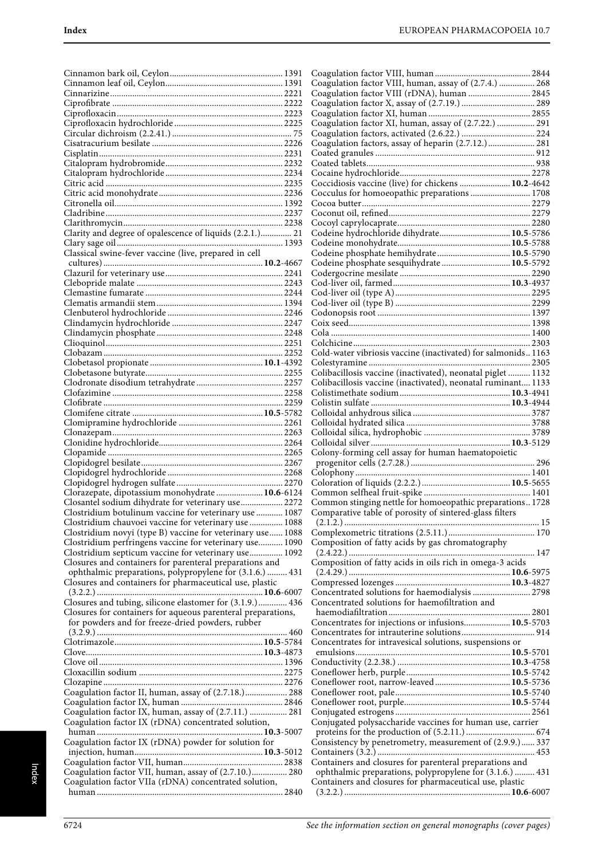|                                                              | ( |
|--------------------------------------------------------------|---|
|                                                              | ( |
|                                                              | ( |
|                                                              | ( |
|                                                              | ( |
|                                                              | ( |
|                                                              |   |
|                                                              | C |
|                                                              | ( |
|                                                              | ( |
|                                                              | ( |
|                                                              | ( |
|                                                              | ( |
|                                                              |   |
|                                                              | ( |
|                                                              | ( |
|                                                              | ( |
|                                                              | ( |
| Clarity and degree of opalescence of liquids (2.2.1.) 21     | ( |
|                                                              | ( |
| Classical swine-fever vaccine (live, prepared in cell        |   |
|                                                              | ( |
|                                                              |   |
|                                                              | ( |
|                                                              | ( |
|                                                              | ( |
|                                                              | ( |
|                                                              | ( |
|                                                              | ( |
|                                                              | ( |
|                                                              |   |
|                                                              | ( |
|                                                              | ( |
|                                                              | ( |
|                                                              | ( |
|                                                              | ( |
|                                                              | ( |
|                                                              | ( |
|                                                              |   |
|                                                              | ( |
|                                                              | ( |
|                                                              | ( |
|                                                              | ( |
|                                                              | ( |
|                                                              |   |
|                                                              | ( |
|                                                              |   |
|                                                              | ( |
| Clorazepate, dipotassium monohydrate  10.6-6124              | ( |
| Closantel sodium dihydrate for veterinary use 2272           | ( |
| Clostridium botulinum vaccine for veterinary use  1087       | ( |
| Clostridium chauvoei vaccine for veterinary use  1088        |   |
| Clostridium novyi (type B) vaccine for veterinary use 1088   | ( |
| Clostridium perfringens vaccine for veterinary use 1090      | ( |
| Clostridium septicum vaccine for veterinary use 1092         |   |
|                                                              |   |
| Closures and containers for parenteral preparations and      | ( |
| ophthalmic preparations, polypropylene for (3.1.6.)  431     |   |
| Closures and containers for pharmaceutical use, plastic      | ( |
|                                                              |   |
| Closures and tubing, silicone elastomer for (3.1.9.) 436     | ( |
| Closures for containers for aqueous parenteral preparations, |   |
| for powders and for freeze-dried powders, rubber             |   |
|                                                              | ( |
|                                                              |   |
|                                                              | ( |
|                                                              |   |
|                                                              | ( |
|                                                              | ( |
|                                                              | ( |
| Coagulation factor II, human, assay of (2.7.18.) 288         | ( |
|                                                              | ( |
|                                                              |   |
| Coagulation factor IX, human, assay of (2.7.11.)  281        | C |
| Coagulation factor IX (rDNA) concentrated solution,          | ( |
|                                                              |   |
| Coagulation factor IX (rDNA) powder for solution for         | C |
|                                                              |   |
|                                                              | ( |
| Coagulation factor VII, human, assay of (2.7.10.) 280        |   |
|                                                              |   |
| Coagulation factor VIIa (rDNA) concentrated solution,        |   |
|                                                              |   |

| Coagulation factor VIII, human, assay of (2.7.4.)  268                                                                                                                                                                                                                                                                            |  |
|-----------------------------------------------------------------------------------------------------------------------------------------------------------------------------------------------------------------------------------------------------------------------------------------------------------------------------------|--|
| Coagulation factor VIII (rDNA), human  2845                                                                                                                                                                                                                                                                                       |  |
| Coagulation factor X, assay of (2.7.19.)  289                                                                                                                                                                                                                                                                                     |  |
|                                                                                                                                                                                                                                                                                                                                   |  |
| Coagulation factor XI, human, assay of (2.7.22.)  291                                                                                                                                                                                                                                                                             |  |
|                                                                                                                                                                                                                                                                                                                                   |  |
| Coagulation factors, assay of heparin (2.7.12.) 281                                                                                                                                                                                                                                                                               |  |
|                                                                                                                                                                                                                                                                                                                                   |  |
|                                                                                                                                                                                                                                                                                                                                   |  |
|                                                                                                                                                                                                                                                                                                                                   |  |
| Coccidiosis vaccine (live) for chickens  10.2-4642                                                                                                                                                                                                                                                                                |  |
| Cocculus for homoeopathic preparations  1708                                                                                                                                                                                                                                                                                      |  |
|                                                                                                                                                                                                                                                                                                                                   |  |
|                                                                                                                                                                                                                                                                                                                                   |  |
|                                                                                                                                                                                                                                                                                                                                   |  |
| Codeine hydrochloride dihydrate 10.5-5786                                                                                                                                                                                                                                                                                         |  |
| Codeine phosphate hemihydrate 10.5-5790                                                                                                                                                                                                                                                                                           |  |
|                                                                                                                                                                                                                                                                                                                                   |  |
| Codeine phosphate sesquihydrate  10.5-5792                                                                                                                                                                                                                                                                                        |  |
|                                                                                                                                                                                                                                                                                                                                   |  |
|                                                                                                                                                                                                                                                                                                                                   |  |
|                                                                                                                                                                                                                                                                                                                                   |  |
|                                                                                                                                                                                                                                                                                                                                   |  |
|                                                                                                                                                                                                                                                                                                                                   |  |
|                                                                                                                                                                                                                                                                                                                                   |  |
|                                                                                                                                                                                                                                                                                                                                   |  |
| Cold-water vibriosis vaccine (inactivated) for salmonids1163                                                                                                                                                                                                                                                                      |  |
|                                                                                                                                                                                                                                                                                                                                   |  |
| Colibacillosis vaccine (inactivated), neonatal piglet  1132                                                                                                                                                                                                                                                                       |  |
| Colibacillosis vaccine (inactivated), neonatal ruminant 1133                                                                                                                                                                                                                                                                      |  |
|                                                                                                                                                                                                                                                                                                                                   |  |
|                                                                                                                                                                                                                                                                                                                                   |  |
|                                                                                                                                                                                                                                                                                                                                   |  |
|                                                                                                                                                                                                                                                                                                                                   |  |
|                                                                                                                                                                                                                                                                                                                                   |  |
|                                                                                                                                                                                                                                                                                                                                   |  |
|                                                                                                                                                                                                                                                                                                                                   |  |
|                                                                                                                                                                                                                                                                                                                                   |  |
|                                                                                                                                                                                                                                                                                                                                   |  |
| Colony-forming cell assay for human haematopoietic                                                                                                                                                                                                                                                                                |  |
|                                                                                                                                                                                                                                                                                                                                   |  |
|                                                                                                                                                                                                                                                                                                                                   |  |
|                                                                                                                                                                                                                                                                                                                                   |  |
| Common stinging nettle for homoeopathic preparations 1728                                                                                                                                                                                                                                                                         |  |
| Comparative table of porosity of sintered-glass filters                                                                                                                                                                                                                                                                           |  |
|                                                                                                                                                                                                                                                                                                                                   |  |
|                                                                                                                                                                                                                                                                                                                                   |  |
|                                                                                                                                                                                                                                                                                                                                   |  |
|                                                                                                                                                                                                                                                                                                                                   |  |
|                                                                                                                                                                                                                                                                                                                                   |  |
|                                                                                                                                                                                                                                                                                                                                   |  |
|                                                                                                                                                                                                                                                                                                                                   |  |
|                                                                                                                                                                                                                                                                                                                                   |  |
|                                                                                                                                                                                                                                                                                                                                   |  |
|                                                                                                                                                                                                                                                                                                                                   |  |
|                                                                                                                                                                                                                                                                                                                                   |  |
|                                                                                                                                                                                                                                                                                                                                   |  |
|                                                                                                                                                                                                                                                                                                                                   |  |
|                                                                                                                                                                                                                                                                                                                                   |  |
| Composition of fatty acids by gas chromatography<br>Composition of fatty acids in oils rich in omega-3 acids<br>Concentrated solutions for haemodialysis  2798<br>Concentrated solutions for haemofiltration and<br>Concentrates for injections or infusions 10.5-5703<br>Concentrates for intravesical solutions, suspensions or |  |
|                                                                                                                                                                                                                                                                                                                                   |  |
| Coneflower root, narrow-leaved 10.5-5736                                                                                                                                                                                                                                                                                          |  |
|                                                                                                                                                                                                                                                                                                                                   |  |
|                                                                                                                                                                                                                                                                                                                                   |  |
| Conjugated polysaccharide vaccines for human use, carrier                                                                                                                                                                                                                                                                         |  |
|                                                                                                                                                                                                                                                                                                                                   |  |
|                                                                                                                                                                                                                                                                                                                                   |  |
| Consistency by penetrometry, measurement of (2.9.9.) 337                                                                                                                                                                                                                                                                          |  |
| Containers and closures for parenteral preparations and                                                                                                                                                                                                                                                                           |  |
| ophthalmic preparations, polypropylene for (3.1.6.)  431                                                                                                                                                                                                                                                                          |  |
| Containers and closures for pharmaceutical use, plastic                                                                                                                                                                                                                                                                           |  |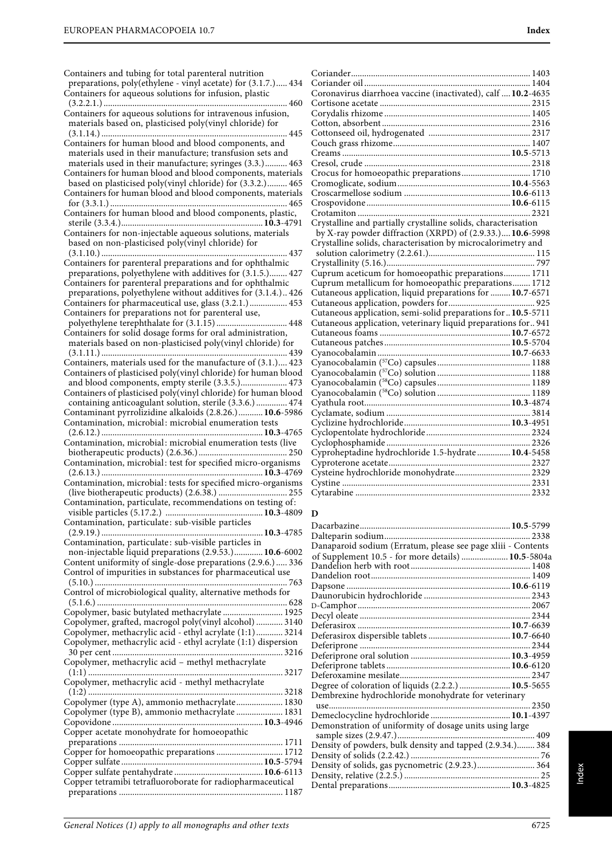| Containers and tubing for total parenteral nutrition<br>preparations, poly(ethylene - vinyl acetate) for (3.1.7.) 434<br>Containers for aqueous solutions for infusion, plastic |
|---------------------------------------------------------------------------------------------------------------------------------------------------------------------------------|
|                                                                                                                                                                                 |
|                                                                                                                                                                                 |
|                                                                                                                                                                                 |
| Containers for aqueous solutions for intravenous infusion,                                                                                                                      |
| materials based on, plasticised poly(vinyl chloride) for                                                                                                                        |
|                                                                                                                                                                                 |
| Containers for human blood and blood components, and                                                                                                                            |
| materials used in their manufacture; transfusion sets and                                                                                                                       |
| materials used in their manufacture; syringes (3.3.) 463                                                                                                                        |
| Containers for human blood and blood components, materials                                                                                                                      |
| based on plasticised poly(vinyl chloride) for (3.3.2.) 465                                                                                                                      |
| Containers for human blood and blood components, materials                                                                                                                      |
|                                                                                                                                                                                 |
| Containers for human blood and blood components, plastic,                                                                                                                       |
|                                                                                                                                                                                 |
|                                                                                                                                                                                 |
| Containers for non-injectable aqueous solutions, materials                                                                                                                      |
| based on non-plasticised poly(vinyl chloride) for                                                                                                                               |
| 437                                                                                                                                                                             |
| Containers for parenteral preparations and for ophthalmic                                                                                                                       |
| preparations, polyethylene with additives for (3.1.5.) 427                                                                                                                      |
| Containers for parenteral preparations and for ophthalmic                                                                                                                       |
| preparations, polyethylene without additives for (3.1.4.) 426                                                                                                                   |
| Containers for pharmaceutical use, glass (3.2.1.) 453                                                                                                                           |
| Containers for preparations not for parenteral use,                                                                                                                             |
|                                                                                                                                                                                 |
| Containers for solid dosage forms for oral administration,<br>materials based on non-plasticised poly(vinyl chloride) for                                                       |
|                                                                                                                                                                                 |
|                                                                                                                                                                                 |
|                                                                                                                                                                                 |
| Containers of plasticised poly(vinyl chloride) for human blood                                                                                                                  |
| and blood components, empty sterile (3.3.5.) 473                                                                                                                                |
| Containers of plasticised poly(vinyl chloride) for human blood                                                                                                                  |
| containing anticoagulant solution, sterile (3.3.6.) 474                                                                                                                         |
| Contaminant pyrrolizidine alkaloids (2.8.26.) 10.6-5986                                                                                                                         |
| Contamination, microbial: microbial enumeration tests                                                                                                                           |
| Contamination, microbial: microbial enumeration tests (live                                                                                                                     |
|                                                                                                                                                                                 |
| Contamination, microbial: test for specified micro-organisms                                                                                                                    |
|                                                                                                                                                                                 |
|                                                                                                                                                                                 |
|                                                                                                                                                                                 |
| Contamination, microbial: tests for specified micro-organisms                                                                                                                   |
|                                                                                                                                                                                 |
| Contamination, particulate, recommendations on testing of:                                                                                                                      |
|                                                                                                                                                                                 |
| Contamination, particulate: sub-visible particles                                                                                                                               |
| 10.3-4785                                                                                                                                                                       |
| Contamination, particulate: sub-visible particles in                                                                                                                            |
| non-injectable liquid preparations (2.9.53.) 10.6-6002                                                                                                                          |
| Content uniformity of single-dose preparations (2.9.6.)  336                                                                                                                    |
| Control of impurities in substances for pharmaceutical use                                                                                                                      |
|                                                                                                                                                                                 |
| Control of microbiological quality, alternative methods for                                                                                                                     |
|                                                                                                                                                                                 |
| Copolymer, basic butylated methacrylate  1925                                                                                                                                   |
| Copolymer, grafted, macrogol poly(vinyl alcohol)  3140                                                                                                                          |
| Copolymer, methacrylic acid - ethyl acrylate (1:1) 3214                                                                                                                         |
| Copolymer, methacrylic acid - ethyl acrylate (1:1) dispersion                                                                                                                   |
|                                                                                                                                                                                 |
| Copolymer, methacrylic acid - methyl methacrylate                                                                                                                               |
|                                                                                                                                                                                 |
| Copolymer, methacrylic acid - methyl methacrylate                                                                                                                               |
|                                                                                                                                                                                 |
| Copolymer (type A), ammonio methacrylate 1830                                                                                                                                   |
| Copolymer (type B), ammonio methacrylate  1831                                                                                                                                  |
|                                                                                                                                                                                 |
| Copper acetate monohydrate for homoeopathic                                                                                                                                     |
| Copper for homoeopathic preparations  1712                                                                                                                                      |
|                                                                                                                                                                                 |
|                                                                                                                                                                                 |
| Copper tetramibi tetrafluoroborate for radiopharmaceutical                                                                                                                      |

| Coronavirus diarrhoea vaccine (inactivated), calf  10.2-4635   |  |
|----------------------------------------------------------------|--|
|                                                                |  |
|                                                                |  |
|                                                                |  |
|                                                                |  |
|                                                                |  |
|                                                                |  |
|                                                                |  |
|                                                                |  |
| Crocus for homoeopathic preparations 1710                      |  |
|                                                                |  |
|                                                                |  |
|                                                                |  |
|                                                                |  |
| Crystalline and partially crystalline solids, characterisation |  |
| by X-ray powder diffraction (XRPD) of (2.9.33.) 10.6-5998      |  |
| Crystalline solids, characterisation by microcalorimetry and   |  |
|                                                                |  |
|                                                                |  |
| Cuprum aceticum for homoeopathic preparations 1711             |  |
| Cuprum metallicum for homoeopathic preparations 1712           |  |
| Cutaneous application, liquid preparations for  10.7-6571      |  |
|                                                                |  |
| Cutaneous application, semi-solid preparations for  10.5-5711  |  |
| Cutaneous application, veterinary liquid preparations for 941  |  |
|                                                                |  |
|                                                                |  |
|                                                                |  |
|                                                                |  |
|                                                                |  |
|                                                                |  |
|                                                                |  |
|                                                                |  |
|                                                                |  |
|                                                                |  |
|                                                                |  |
|                                                                |  |
|                                                                |  |
| Cyproheptadine hydrochloride 1.5-hydrate 10.4-5458             |  |
|                                                                |  |
|                                                                |  |
|                                                                |  |
|                                                                |  |
|                                                                |  |

## **D**

| Danaparoid sodium (Erratum, please see page xliii - Contents |  |
|--------------------------------------------------------------|--|
| of Supplement 10.5 - for more details)  10.5-5804a           |  |
|                                                              |  |
|                                                              |  |
|                                                              |  |
|                                                              |  |
|                                                              |  |
|                                                              |  |
|                                                              |  |
|                                                              |  |
|                                                              |  |
|                                                              |  |
|                                                              |  |
|                                                              |  |
| Degree of coloration of liquids (2.2.2.)  10.5-5655          |  |
| Dembrexine hydrochloride monohydrate for veterinary          |  |
|                                                              |  |
| Demeclocycline hydrochloride  10.1-4397                      |  |
| Demonstration of uniformity of dosage units using large      |  |
|                                                              |  |
| Density of powders, bulk density and tapped (2.9.34.) 384    |  |
|                                                              |  |
| Density of solids, gas pycnometric (2.9.23.) 364             |  |
|                                                              |  |
|                                                              |  |
|                                                              |  |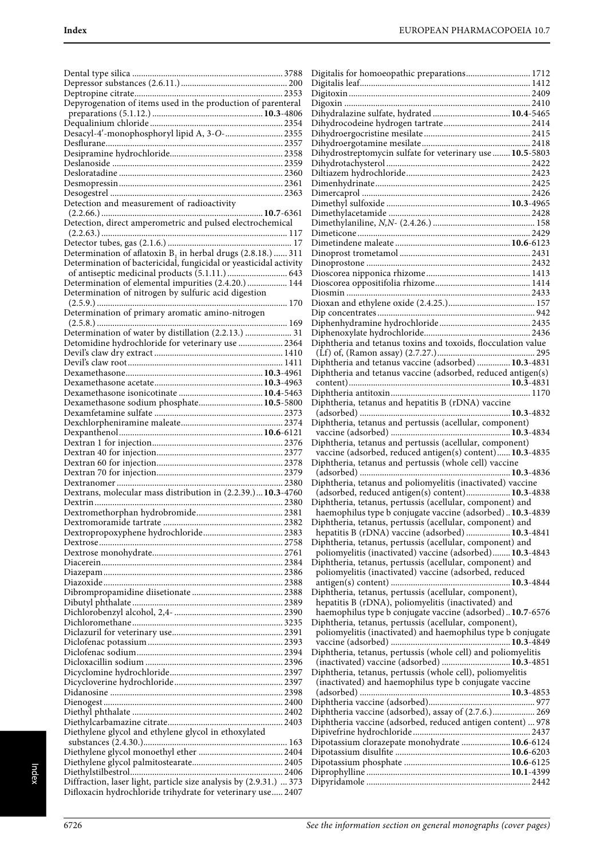|                                                                                                                                   | l |
|-----------------------------------------------------------------------------------------------------------------------------------|---|
|                                                                                                                                   | 1 |
| Depyrogenation of items used in the production of parenteral                                                                      |   |
|                                                                                                                                   |   |
|                                                                                                                                   |   |
| Desacyl-4'-monophosphoryl lipid A, 3-O- 2355                                                                                      |   |
|                                                                                                                                   |   |
|                                                                                                                                   |   |
|                                                                                                                                   |   |
|                                                                                                                                   |   |
|                                                                                                                                   |   |
|                                                                                                                                   |   |
| Detection and measurement of radioactivity                                                                                        |   |
|                                                                                                                                   |   |
| Detection, direct amperometric and pulsed electrochemical                                                                         |   |
|                                                                                                                                   |   |
|                                                                                                                                   |   |
| Determination of aflatoxin $B_1$ in herbal drugs (2.8.18.)  311                                                                   |   |
| Determination of bactericidal, fungicidal or yeasticidal activity                                                                 |   |
|                                                                                                                                   | 1 |
| Determination of elemental impurities (2.4.20.)  144                                                                              | ı |
| Determination of nitrogen by sulfuric acid digestion                                                                              |   |
|                                                                                                                                   |   |
| Determination of primary aromatic amino-nitrogen                                                                                  |   |
|                                                                                                                                   |   |
| Determination of water by distillation (2.2.13.)  31                                                                              | 1 |
| Detomidine hydrochloride for veterinary use  2364                                                                                 | I |
|                                                                                                                                   |   |
|                                                                                                                                   |   |
|                                                                                                                                   | I |
|                                                                                                                                   |   |
|                                                                                                                                   |   |
| Dexamethasone sodium phosphate 10.5-5800                                                                                          | I |
|                                                                                                                                   |   |
|                                                                                                                                   | 1 |
|                                                                                                                                   |   |
|                                                                                                                                   | l |
|                                                                                                                                   |   |
|                                                                                                                                   |   |
|                                                                                                                                   | 1 |
|                                                                                                                                   |   |
|                                                                                                                                   | I |
| Dextrans, molecular mass distribution in (2.2.39.) 10.3-4760                                                                      |   |
|                                                                                                                                   | I |
|                                                                                                                                   |   |
|                                                                                                                                   | l |
|                                                                                                                                   |   |
|                                                                                                                                   | I |
|                                                                                                                                   |   |
|                                                                                                                                   | I |
|                                                                                                                                   |   |
|                                                                                                                                   |   |
|                                                                                                                                   | I |
|                                                                                                                                   |   |
|                                                                                                                                   |   |
|                                                                                                                                   | I |
|                                                                                                                                   |   |
|                                                                                                                                   |   |
|                                                                                                                                   | I |
|                                                                                                                                   |   |
|                                                                                                                                   | I |
|                                                                                                                                   |   |
|                                                                                                                                   |   |
|                                                                                                                                   | I |
|                                                                                                                                   | I |
|                                                                                                                                   | I |
| Diethylene glycol and ethylene glycol in ethoxylated                                                                              | I |
|                                                                                                                                   | I |
|                                                                                                                                   | I |
|                                                                                                                                   | I |
|                                                                                                                                   | I |
| Diffraction, laser light, particle size analysis by (2.9.31.)  373<br>Difloxacin hydrochloride trihydrate for veterinary use 2407 | I |

| Digitalis for homoeopathic preparations 1712                                                                          |
|-----------------------------------------------------------------------------------------------------------------------|
|                                                                                                                       |
|                                                                                                                       |
|                                                                                                                       |
| Dihydralazine sulfate, hydrated  10.4-5465                                                                            |
|                                                                                                                       |
|                                                                                                                       |
| Dihydrostreptomycin sulfate for veterinary use  10.5-5803                                                             |
|                                                                                                                       |
|                                                                                                                       |
|                                                                                                                       |
|                                                                                                                       |
|                                                                                                                       |
|                                                                                                                       |
|                                                                                                                       |
|                                                                                                                       |
|                                                                                                                       |
|                                                                                                                       |
|                                                                                                                       |
|                                                                                                                       |
|                                                                                                                       |
|                                                                                                                       |
|                                                                                                                       |
|                                                                                                                       |
| Diphtheria and tetanus toxins and toxoids, flocculation value                                                         |
|                                                                                                                       |
| Diphtheria and tetanus vaccine (adsorbed)  10.3-4831                                                                  |
| Diphtheria and tetanus vaccine (adsorbed, reduced antigen(s)                                                          |
|                                                                                                                       |
|                                                                                                                       |
| Diphtheria, tetanus and hepatitis B (rDNA) vaccine                                                                    |
|                                                                                                                       |
|                                                                                                                       |
| Diphtheria, tetanus and pertussis (acellular, component)                                                              |
|                                                                                                                       |
| Diphtheria, tetanus and pertussis (acellular, component)                                                              |
| vaccine (adsorbed, reduced antigen(s) content) 10.3-4835                                                              |
| Diphtheria, tetanus and pertussis (whole cell) vaccine                                                                |
| Diphtheria, tetanus and poliomyelitis (inactivated) vaccine                                                           |
| (adsorbed, reduced antigen(s) content) 10.3-4838                                                                      |
| Diphtheria, tetanus, pertussis (acellular, component) and                                                             |
| haemophilus type b conjugate vaccine (adsorbed)10.3-4839                                                              |
| Diphtheria, tetanus, pertussis (acellular, component) and                                                             |
| hepatitis B (rDNA) vaccine (adsorbed)  10.3-4841                                                                      |
| Diphtheria, tetanus, pertussis (acellular, component) and                                                             |
| poliomyelitis (inactivated) vaccine (adsorbed) 10.3-4843<br>Diphtheria, tetanus, pertussis (acellular, component) and |
| poliomyelitis (inactivated) vaccine (adsorbed, reduced                                                                |
|                                                                                                                       |
| Diphtheria, tetanus, pertussis (acellular, component),                                                                |
| hepatitis B (rDNA), poliomyelitis (inactivated) and                                                                   |
| haemophilus type b conjugate vaccine (adsorbed)10.7-6576                                                              |
| Diphtheria, tetanus, pertussis (acellular, component),                                                                |
| poliomyelitis (inactivated) and haemophilus type b conjugate                                                          |
|                                                                                                                       |
| Diphtheria, tetanus, pertussis (whole cell) and poliomyelitis                                                         |
| (inactivated) vaccine (adsorbed)  10.3-4851<br>Diphtheria, tetanus, pertussis (whole cell), poliomyelitis             |
| (inactivated) and haemophilus type b conjugate vaccine                                                                |
|                                                                                                                       |
|                                                                                                                       |
| Diphtheria vaccine (adsorbed), assay of (2.7.6.) 269                                                                  |
| Diphtheria vaccine (adsorbed, reduced antigen content)  978                                                           |
|                                                                                                                       |
| Dipotassium clorazepate monohydrate  10.6-6124                                                                        |
|                                                                                                                       |
|                                                                                                                       |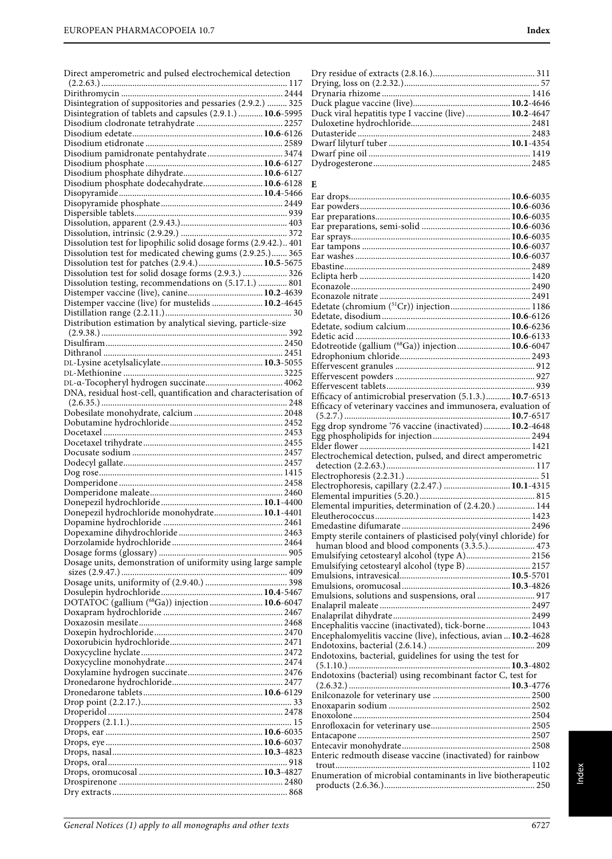|  | Direct amperometric and pulsed electrochemical detection |
|--|----------------------------------------------------------|
|--|----------------------------------------------------------|

| Disintegration of suppositories and pessaries (2.9.2.)  325      |  |
|------------------------------------------------------------------|--|
| Disintegration of tablets and capsules (2.9.1.)  10.6-5995       |  |
|                                                                  |  |
|                                                                  |  |
|                                                                  |  |
|                                                                  |  |
|                                                                  |  |
|                                                                  |  |
|                                                                  |  |
| Disodium phosphate dodecahydrate 10.6-6128                       |  |
|                                                                  |  |
|                                                                  |  |
|                                                                  |  |
|                                                                  |  |
|                                                                  |  |
| Dissolution test for lipophilic solid dosage forms (2.9.42.) 401 |  |
| Dissolution test for medicated chewing gums (2.9.25.) 365        |  |
| Dissolution test for patches (2.9.4.) 10.5-5675                  |  |
|                                                                  |  |
| Dissolution testing, recommendations on (5.17.1.)  801           |  |
| Distemper vaccine (live), canine 10.2-4639                       |  |
| Distemper vaccine (live) for mustelids  10.2-4645                |  |
|                                                                  |  |
| Distribution estimation by analytical sieving, particle-size     |  |
|                                                                  |  |
|                                                                  |  |
|                                                                  |  |
|                                                                  |  |
|                                                                  |  |
|                                                                  |  |
|                                                                  |  |
| DNA, residual host-cell, quantification and characterisation of  |  |
|                                                                  |  |
|                                                                  |  |
|                                                                  |  |
|                                                                  |  |
|                                                                  |  |
|                                                                  |  |
|                                                                  |  |
|                                                                  |  |
|                                                                  |  |
|                                                                  |  |
|                                                                  |  |
|                                                                  |  |
|                                                                  |  |
|                                                                  |  |
| Donepezil hydrochloride monohydrate 10.1-4401                    |  |
|                                                                  |  |
|                                                                  |  |
|                                                                  |  |
|                                                                  |  |
| Dosage units, demonstration of uniformity using large sample     |  |
|                                                                  |  |
|                                                                  |  |
|                                                                  |  |
| DOTATOC (gallium (68Ga)) injection  10.6-6047                    |  |
|                                                                  |  |
|                                                                  |  |
|                                                                  |  |
|                                                                  |  |
|                                                                  |  |
|                                                                  |  |
|                                                                  |  |
|                                                                  |  |
|                                                                  |  |
|                                                                  |  |
|                                                                  |  |
|                                                                  |  |
|                                                                  |  |
|                                                                  |  |
|                                                                  |  |
|                                                                  |  |
|                                                                  |  |
|                                                                  |  |
|                                                                  |  |

| Duck viral hepatitis type I vaccine (live)  10.2-4647 |  |
|-------------------------------------------------------|--|
|                                                       |  |
|                                                       |  |
|                                                       |  |
|                                                       |  |
|                                                       |  |
|                                                       |  |

## **E**

| Edotreotide (gallium (68Ga)) injection 10.6-6047                 |  |
|------------------------------------------------------------------|--|
|                                                                  |  |
|                                                                  |  |
|                                                                  |  |
|                                                                  |  |
| Efficacy of antimicrobial preservation (5.1.3.) 10.7-6513        |  |
| Efficacy of veterinary vaccines and immunosera, evaluation of    |  |
|                                                                  |  |
| Egg drop syndrome '76 vaccine (inactivated) 10.2-4648            |  |
|                                                                  |  |
| Electrochemical detection, pulsed, and direct amperometric       |  |
|                                                                  |  |
|                                                                  |  |
|                                                                  |  |
| Electrophoresis, capillary (2.2.47.)  10.1-4315                  |  |
| Elemental impurities, determination of (2.4.20.)  144            |  |
|                                                                  |  |
|                                                                  |  |
| Empty sterile containers of plasticised poly(vinyl chloride) for |  |
| human blood and blood components (3.3.5.) 473                    |  |
| Emulsifying cetostearyl alcohol (type A) 2156                    |  |
| Emulsifying cetostearyl alcohol (type B)  2157                   |  |
|                                                                  |  |
|                                                                  |  |
| Emulsions, solutions and suspensions, oral  917                  |  |
|                                                                  |  |
|                                                                  |  |
| Encephalitis vaccine (inactivated), tick-borne 1043              |  |
| Encephalomyelitis vaccine (live), infectious, avian  10.2-4628   |  |
|                                                                  |  |
| Endotoxins, bacterial, guidelines for using the test for         |  |
|                                                                  |  |
| Endotoxins (bacterial) using recombinant factor C, test for      |  |
|                                                                  |  |
|                                                                  |  |
|                                                                  |  |
|                                                                  |  |
|                                                                  |  |
|                                                                  |  |
|                                                                  |  |
| Enteric redmouth disease vaccine (inactivated) for rainbow       |  |
|                                                                  |  |
| Enumeration of microbial contaminants in live biotherapeutic     |  |
|                                                                  |  |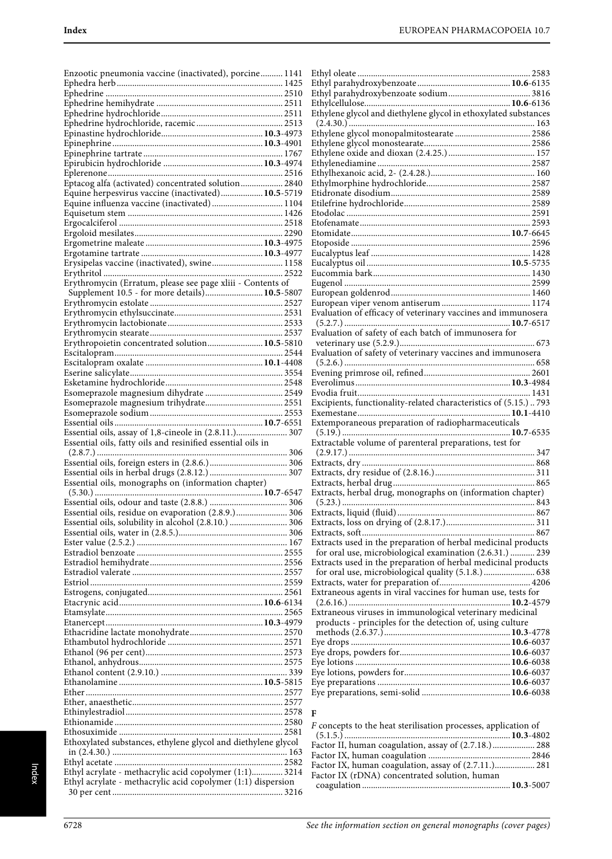| Enzootic pneumonia vaccine (inactivated), porcine 1141                                                               |  |
|----------------------------------------------------------------------------------------------------------------------|--|
|                                                                                                                      |  |
|                                                                                                                      |  |
|                                                                                                                      |  |
|                                                                                                                      |  |
|                                                                                                                      |  |
|                                                                                                                      |  |
|                                                                                                                      |  |
|                                                                                                                      |  |
|                                                                                                                      |  |
| Eptacog alfa (activated) concentrated solution 2840                                                                  |  |
| Equine herpesvirus vaccine (inactivated) 10.5-5719                                                                   |  |
| Equine influenza vaccine (inactivated) 1104                                                                          |  |
|                                                                                                                      |  |
|                                                                                                                      |  |
|                                                                                                                      |  |
|                                                                                                                      |  |
| Erysipelas vaccine (inactivated), swine 1158                                                                         |  |
|                                                                                                                      |  |
| Erythromycin (Erratum, please see page xliii - Contents of                                                           |  |
| Supplement 10.5 - for more details) 10.5-5807                                                                        |  |
|                                                                                                                      |  |
|                                                                                                                      |  |
|                                                                                                                      |  |
|                                                                                                                      |  |
| Erythropoietin concentrated solution 10.5-5810                                                                       |  |
|                                                                                                                      |  |
|                                                                                                                      |  |
|                                                                                                                      |  |
|                                                                                                                      |  |
|                                                                                                                      |  |
|                                                                                                                      |  |
|                                                                                                                      |  |
|                                                                                                                      |  |
|                                                                                                                      |  |
| Essential oils, assay of 1,8-cineole in (2.8.11.) 307<br>Essential oils, fatty oils and resinified essential oils in |  |
|                                                                                                                      |  |
|                                                                                                                      |  |
|                                                                                                                      |  |
| Essential oils, monographs on (information chapter)                                                                  |  |
|                                                                                                                      |  |
|                                                                                                                      |  |
| Essential oils, residue on evaporation (2.8.9.) 306                                                                  |  |
|                                                                                                                      |  |
|                                                                                                                      |  |
|                                                                                                                      |  |
|                                                                                                                      |  |
|                                                                                                                      |  |
|                                                                                                                      |  |
|                                                                                                                      |  |
|                                                                                                                      |  |
|                                                                                                                      |  |
|                                                                                                                      |  |
|                                                                                                                      |  |
|                                                                                                                      |  |
|                                                                                                                      |  |
|                                                                                                                      |  |
|                                                                                                                      |  |
|                                                                                                                      |  |
|                                                                                                                      |  |
|                                                                                                                      |  |
|                                                                                                                      |  |
|                                                                                                                      |  |
| Ethoxylated substances, ethylene glycol and diethylene glycol                                                        |  |
|                                                                                                                      |  |
|                                                                                                                      |  |
| Ethyl acrylate - methacrylic acid copolymer (1:1) 3214                                                               |  |
| Ethyl acrylate - methacrylic acid copolymer (1:1) dispersion                                                         |  |

| Ethylene glycol and diethylene glycol in ethoxylated substances  |  |
|------------------------------------------------------------------|--|
|                                                                  |  |
|                                                                  |  |
|                                                                  |  |
|                                                                  |  |
|                                                                  |  |
|                                                                  |  |
|                                                                  |  |
|                                                                  |  |
|                                                                  |  |
|                                                                  |  |
|                                                                  |  |
|                                                                  |  |
|                                                                  |  |
|                                                                  |  |
|                                                                  |  |
|                                                                  |  |
|                                                                  |  |
|                                                                  |  |
|                                                                  |  |
| Evaluation of efficacy of veterinary vaccines and immunosera     |  |
|                                                                  |  |
| Evaluation of safety of each batch of immunosera for             |  |
|                                                                  |  |
| Evaluation of safety of veterinary vaccines and immunosera       |  |
|                                                                  |  |
|                                                                  |  |
|                                                                  |  |
|                                                                  |  |
| Excipients, functionality-related characteristics of (5.15.) 793 |  |
|                                                                  |  |
| Extemporaneous preparation of radiopharmaceuticals               |  |
| Extractable volume of parenteral preparations, test for          |  |
|                                                                  |  |
|                                                                  |  |
|                                                                  |  |
|                                                                  |  |
| Extracts, herbal drug, monographs on (information chapter)       |  |
|                                                                  |  |
|                                                                  |  |
|                                                                  |  |
|                                                                  |  |
| Extracts used in the preparation of herbal medicinal products    |  |
| for oral use, microbiological examination (2.6.31.)  239         |  |
| Extracts used in the preparation of herbal medicinal products    |  |
| for oral use, microbiological quality (5.1.8.)  638              |  |
|                                                                  |  |
| Extraneous agents in viral vaccines for human use, tests for     |  |
|                                                                  |  |
| Extraneous viruses in immunological veterinary medicinal         |  |
| products - principles for the detection of, using culture        |  |
|                                                                  |  |
|                                                                  |  |
|                                                                  |  |
|                                                                  |  |
|                                                                  |  |
|                                                                  |  |
|                                                                  |  |
|                                                                  |  |

| F                                                              |  |
|----------------------------------------------------------------|--|
| F concepts to the heat sterilisation processes, application of |  |
|                                                                |  |
| Factor II, human coagulation, assay of (2.7.18.) 288           |  |
|                                                                |  |
| Factor IX, human coagulation, assay of (2.7.11.) 281           |  |
| Factor IX (rDNA) concentrated solution, human                  |  |
|                                                                |  |
|                                                                |  |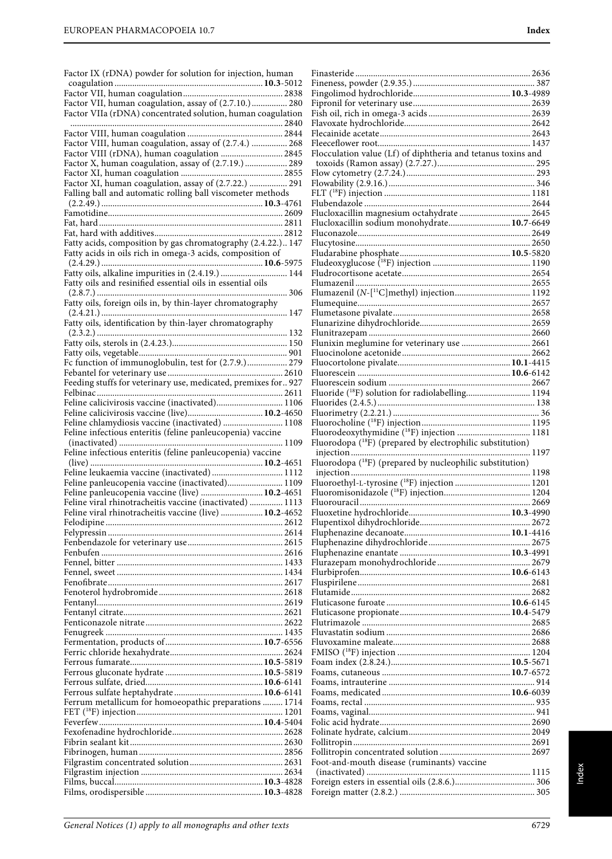| Factor IX (rDNA) powder for solution for injection, human                                        |     |
|--------------------------------------------------------------------------------------------------|-----|
|                                                                                                  |     |
| Factor VII, human coagulation, assay of (2.7.10.) 280                                            |     |
| Factor VIIa (rDNA) concentrated solution, human coagulation                                      |     |
|                                                                                                  |     |
| Factor VIII, human coagulation, assay of (2.7.4.)  268                                           |     |
| Factor VIII (rDNA), human coagulation  2845                                                      |     |
| Factor X, human coagulation, assay of (2.7.19.)  289                                             |     |
| Factor XI, human coagulation, assay of (2.7.22.)  291                                            |     |
| Falling ball and automatic rolling ball viscometer methods                                       |     |
|                                                                                                  |     |
|                                                                                                  |     |
|                                                                                                  |     |
| Fatty acids, composition by gas chromatography (2.4.22.) 147                                     |     |
| Fatty acids in oils rich in omega-3 acids, composition of                                        |     |
| Fatty oils, alkaline impurities in (2.4.19.)  144                                                |     |
| Fatty oils and resinified essential oils in essential oils                                       |     |
|                                                                                                  |     |
| Fatty oils, foreign oils in, by thin-layer chromatography                                        | 147 |
| Fatty oils, identification by thin-layer chromatography                                          |     |
|                                                                                                  |     |
|                                                                                                  |     |
| Fc function of immunoglobulin, test for (2.7.9.) 279                                             |     |
| Feeding stuffs for veterinary use, medicated, premixes for927                                    |     |
|                                                                                                  |     |
| Feline calicivirosis vaccine (inactivated) 1106                                                  |     |
| Feline calicivirosis vaccine (live) 10.2-4650<br>Feline chlamydiosis vaccine (inactivated)  1108 |     |
|                                                                                                  |     |
|                                                                                                  |     |
| Feline infectious enteritis (feline panleucopenia) vaccine                                       |     |
| Feline infectious enteritis (feline panleucopenia) vaccine                                       |     |
| Feline leukaemia vaccine (inactivated)  1112                                                     |     |
| Feline panleucopenia vaccine (inactivated) 1109                                                  |     |
| Feline panleucopenia vaccine (live)  10.2-4651                                                   |     |
| Feline viral rhinotracheitis vaccine (inactivated)  1113                                         |     |
| Feline viral rhinotracheitis vaccine (live)  10.2-4652                                           |     |
|                                                                                                  |     |
|                                                                                                  |     |
|                                                                                                  |     |
|                                                                                                  |     |
|                                                                                                  |     |
|                                                                                                  |     |
|                                                                                                  |     |
|                                                                                                  |     |
|                                                                                                  |     |
|                                                                                                  |     |
|                                                                                                  |     |
|                                                                                                  |     |
|                                                                                                  |     |
| Ferrum metallicum for homoeopathic preparations  1714                                            |     |
|                                                                                                  |     |
|                                                                                                  |     |
|                                                                                                  |     |
|                                                                                                  |     |
|                                                                                                  |     |
|                                                                                                  |     |

| Flocculation value (Lf) of diphtheria and tetanus toxins and |  |
|--------------------------------------------------------------|--|
|                                                              |  |
|                                                              |  |
|                                                              |  |
|                                                              |  |
|                                                              |  |
| Flucloxacillin magnesium octahydrate  2645                   |  |
| Flucloxacillin sodium monohydrate 10.7-6649                  |  |
|                                                              |  |
|                                                              |  |
|                                                              |  |
|                                                              |  |
|                                                              |  |
|                                                              |  |
|                                                              |  |
|                                                              |  |
|                                                              |  |
|                                                              |  |
|                                                              |  |
| Flunixin meglumine for veterinary use  2661                  |  |
|                                                              |  |
|                                                              |  |
|                                                              |  |
| Fluoride ( <sup>18</sup> F) solution for radiolabelling 1194 |  |
|                                                              |  |
|                                                              |  |
|                                                              |  |
|                                                              |  |
|                                                              |  |
|                                                              |  |
|                                                              |  |
|                                                              |  |
|                                                              |  |
|                                                              |  |
|                                                              |  |
|                                                              |  |
|                                                              |  |
|                                                              |  |
|                                                              |  |
|                                                              |  |
|                                                              |  |
|                                                              |  |
|                                                              |  |
|                                                              |  |
|                                                              |  |
|                                                              |  |
|                                                              |  |
|                                                              |  |
|                                                              |  |
|                                                              |  |
|                                                              |  |
|                                                              |  |
|                                                              |  |
|                                                              |  |
|                                                              |  |
|                                                              |  |
|                                                              |  |
|                                                              |  |
|                                                              |  |
|                                                              |  |
| Foot-and-mouth disease (ruminants) vaccine                   |  |
|                                                              |  |
|                                                              |  |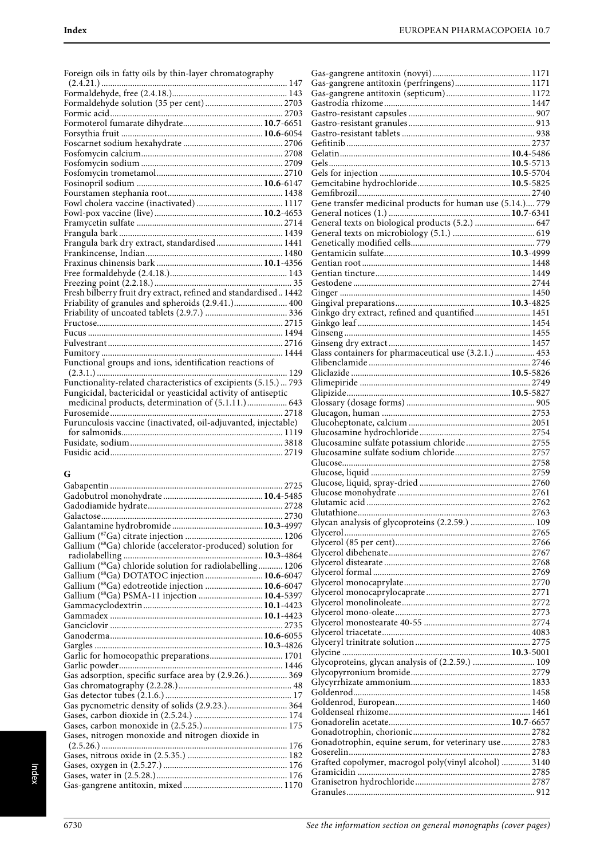| Foreign oils in fatty oils by thin-layer chromatography         |
|-----------------------------------------------------------------|
|                                                                 |
|                                                                 |
|                                                                 |
|                                                                 |
|                                                                 |
|                                                                 |
|                                                                 |
|                                                                 |
|                                                                 |
|                                                                 |
|                                                                 |
|                                                                 |
|                                                                 |
|                                                                 |
|                                                                 |
| Frangula bark dry extract, standardised 1441                    |
|                                                                 |
|                                                                 |
|                                                                 |
|                                                                 |
| Fresh bilberry fruit dry extract, refined and standardised 1442 |
| Friability of granules and spheroids (2.9.41.) 400              |
|                                                                 |
|                                                                 |
|                                                                 |
|                                                                 |
|                                                                 |
| Functional groups and ions, identification reactions of         |
| 129                                                             |
| Functionality-related characteristics of excipients (5.15.) 793 |
| Fungicidal, bactericidal or yeasticidal activity of antiseptic  |
|                                                                 |
| Furunculosis vaccine (inactivated, oil-adjuvanted, injectable)  |
|                                                                 |
|                                                                 |
|                                                                 |
|                                                                 |
|                                                                 |

# **G**

| Gallium (68Ga) chloride (accelerator-produced) solution for |  |
|-------------------------------------------------------------|--|
|                                                             |  |
| Gallium (68Ga) chloride solution for radiolabelling 1206    |  |
| Gallium (68Ga) DOTATOC injection  10.6-6047                 |  |
| Gallium (68Ga) edotreotide injection  10.6-6047             |  |
| Gallium (68Ga) PSMA-11 injection  10.4-5397                 |  |
|                                                             |  |
|                                                             |  |
|                                                             |  |
|                                                             |  |
|                                                             |  |
| Garlic for homoeopathic preparations 1701                   |  |
|                                                             |  |
| Gas adsorption, specific surface area by (2.9.26.) 369      |  |
|                                                             |  |
|                                                             |  |
| Gas pycnometric density of solids (2.9.23.) 364             |  |
|                                                             |  |
|                                                             |  |
| Gases, nitrogen monoxide and nitrogen dioxide in            |  |
|                                                             |  |
|                                                             |  |
|                                                             |  |
|                                                             |  |
|                                                             |  |
|                                                             |  |

| Ginkgo dry extract, refined and quantified 1451       |  |
|-------------------------------------------------------|--|
|                                                       |  |
|                                                       |  |
|                                                       |  |
|                                                       |  |
| Glass containers for pharmaceutical use (3.2.1.)  453 |  |
|                                                       |  |
|                                                       |  |
|                                                       |  |
|                                                       |  |
|                                                       |  |
|                                                       |  |
|                                                       |  |
|                                                       |  |
|                                                       |  |
|                                                       |  |
|                                                       |  |
| Glucosamine sulfate potassium chloride 2755           |  |
|                                                       |  |
|                                                       |  |
|                                                       |  |
|                                                       |  |
|                                                       |  |
|                                                       |  |
|                                                       |  |
|                                                       |  |
|                                                       |  |
|                                                       |  |
|                                                       |  |
|                                                       |  |
|                                                       |  |
|                                                       |  |
|                                                       |  |
|                                                       |  |
|                                                       |  |
|                                                       |  |
|                                                       |  |
|                                                       |  |
|                                                       |  |
|                                                       |  |
|                                                       |  |
|                                                       |  |
|                                                       |  |
|                                                       |  |
| Glycoproteins, glycan analysis of (2.2.59.)  109      |  |
|                                                       |  |
|                                                       |  |
|                                                       |  |
|                                                       |  |
|                                                       |  |
|                                                       |  |
|                                                       |  |
|                                                       |  |
|                                                       |  |
| Gonadotrophin, equine serum, for veterinary use 2783  |  |
|                                                       |  |
|                                                       |  |
| Grafted copolymer, macrogol poly(vinyl alcohol)  3140 |  |
|                                                       |  |
|                                                       |  |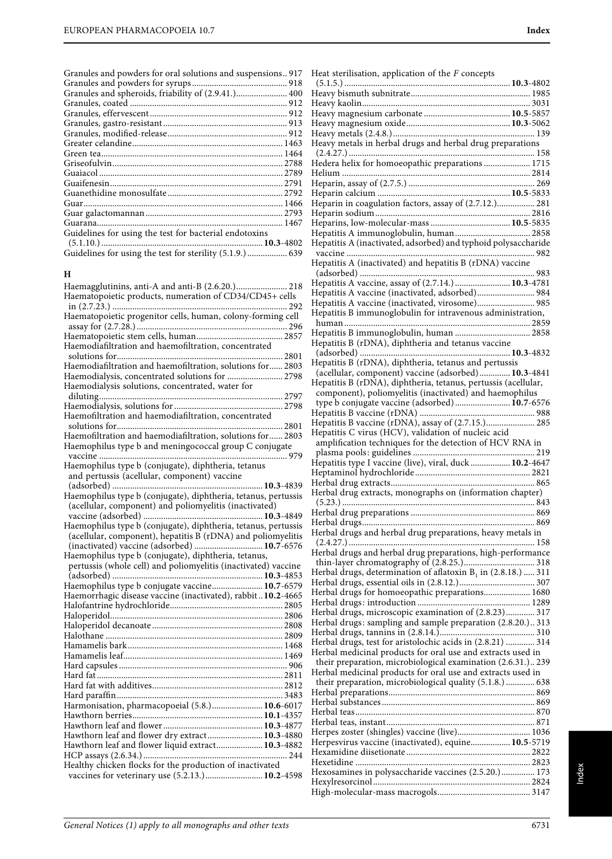| Granules and powders for oral solutions and suspensions917 |  |
|------------------------------------------------------------|--|
|                                                            |  |
| Granules and spheroids, friability of (2.9.41.) 400        |  |
|                                                            |  |
|                                                            |  |
|                                                            |  |
|                                                            |  |
|                                                            |  |
|                                                            |  |
|                                                            |  |
|                                                            |  |
|                                                            |  |
|                                                            |  |
|                                                            |  |
|                                                            |  |
|                                                            |  |
| Guidelines for using the test for bacterial endotoxins     |  |
|                                                            |  |
| Guidelines for using the test for sterility (5.1.9.) 639   |  |

#### **H**

| Haemagglutinins, anti-A and anti-B (2.6.20.) 218<br>Haematopoietic products, numeration of CD34/CD45+ cells   |
|---------------------------------------------------------------------------------------------------------------|
| Haematopoietic progenitor cells, human, colony-forming cell                                                   |
| Haemodiafiltration and haemofiltration, concentrated                                                          |
| Haemodiafiltration and haemofiltration, solutions for 2803<br>Haemodialysis, concentrated solutions for  2798 |
| Haemodialysis solutions, concentrated, water for                                                              |
|                                                                                                               |
| Haemofiltration and haemodiafiltration, concentrated                                                          |
| Haemofiltration and haemodiafiltration, solutions for 2803                                                    |
| Haemophilus type b and meningococcal group C conjugate                                                        |
| Haemophilus type b (conjugate), diphtheria, tetanus                                                           |
| and pertussis (acellular, component) vaccine                                                                  |
|                                                                                                               |
| Haemophilus type b (conjugate), diphtheria, tetanus, pertussis                                                |
| (acellular, component) and poliomyelitis (inactivated)                                                        |
| Haemophilus type b (conjugate), diphtheria, tetanus, pertussis                                                |
| (acellular, component), hepatitis B (rDNA) and poliomyelitis                                                  |
| (inactivated) vaccine (adsorbed)  10.7-6576                                                                   |
| Haemophilus type b (conjugate), diphtheria, tetanus,                                                          |
| pertussis (whole cell) and poliomyelitis (inactivated) vaccine                                                |
|                                                                                                               |
| Haemophilus type b conjugate vaccine 10.7-6579                                                                |
|                                                                                                               |
|                                                                                                               |
|                                                                                                               |
|                                                                                                               |
|                                                                                                               |
|                                                                                                               |
|                                                                                                               |
|                                                                                                               |
|                                                                                                               |
|                                                                                                               |
|                                                                                                               |
| Harmonisation, pharmacopoeial (5.8.) 10.6-6017                                                                |
|                                                                                                               |
|                                                                                                               |
| Hawthorn leaf and flower dry extract 10.3-4880                                                                |
| Hawthorn leaf and flower liquid extract 10.3-4882                                                             |
|                                                                                                               |
| Healthy chicken flocks for the production of inactivated                                                      |
| vaccines for veterinary use (5.2.13.) 10.2-4598                                                               |

Heat sterilisation, application of the F concepts (5.1.5.) ...........................................................................**10.3**-4802 Heavy bismuth subnitrate...................................................... 1985 Heavy kaolin............................................................................ 3031 Heavy magnesium carbonate .......................................**10.5**-5857 Heavy magnesium oxide...............................................**10.3**-5062 Heavy metals (2.4.8.)................................................................ 139 Heavy metals in herbal drugs and herbal drug preparations (2.4.27.) .................................................................................... 158 Hedera helix for homoeopathic preparations ..................... 1715 Helium ..................................................................................... 2814 Heparin, assay of (2.7.5.) ......................................................... 269 Heparin calcium ............................................................**10.5**-5833 Heparin in coagulation factors, assay of (2.7.12.)................. 281 Heparin sodium...................................................................... 2816 Heparins, low-molecular-mass ....................................**10.5**-5835 Hepatitis A immunoglobulin, human.................................. 2858 Hepatitis A (inactivated, adsorbed) and typhoid polysaccharide vaccine ..................................................................................... 982 Hepatitis A (inactivated) and hepatitis B (rDNA) vaccine (adsorbed) ............................................................................... 983 Hepatitis A vaccine, assay of (2.7.14.) .........................**10.3**-4781 Hepatitis A vaccine (inactivated, adsorbed).......................... 984 Hepatitis A vaccine (inactivated, virosome).......................... 985 Hepatitis B immunoglobulin for intravenous administration, human .................................................................................... 2859 Hepatitis B immunoglobulin, human .................................. 2858 Hepatitis B (rDNA), diphtheria and tetanus vaccine (adsorbed) ....................................................................**10.3**-4832 Hepatitis B (rDNA), diphtheria, tetanus and pertussis (acellular, component) vaccine (adsorbed)..............**10.3**-4841 Hepatitis B (rDNA), diphtheria, tetanus, pertussis (acellular, component), poliomyelitis (inactivated) and haemophilus type b conjugate vaccine (adsorbed) .........................**10.7**-6576 Hepatitis B vaccine (rDNA) .................................................... 988 Hepatitis B vaccine (rDNA), assay of (2.7.15.)...................... 285 Hepatitis C virus (HCV), validation of nucleic acid amplification techniques for the detection of HCV RNA in plasma pools: guidelines ....................................................... 219 Hepatitis type I vaccine (live), viral, duck ..................**10.2**-4647 Heptaminol hydrochloride .................................................... 2821 Herbal drug extracts................................................................. 865 Herbal drug extracts, monographs on (information chapter) (5.23.) ....................................................................................... 843 Herbal drug preparations ........................................................ 869 Herbal drugs.............................................................................. 869 Herbal drugs and herbal drug preparations, heavy metals in (2.4.27.) .................................................................................... 158 Herbal drugs and herbal drug preparations, high-performance thin-layer chromatography of (2.8.25.)................................ 318 Herbal drugs, determination of aflatoxin  $B<sub>1</sub>$  in (2.8.18.) ..... 311 Herbal drugs, essential oils in (2.8.12.).................................. 307 Herbal drugs for homoeopathic preparations..................... 1680 Herbal drugs: introduction ................................................... 1289 Herbal drugs, microscopic examination of (2.8.23)............. 317 Herbal drugs: sampling and sample preparation (2.8.20.).. 313 Herbal drugs, tannins in (2.8.14.)........................................... 310 Herbal drugs, test for aristolochic acids in (2.8.21) ............. 314 Herbal medicinal products for oral use and extracts used in their preparation, microbiological examination (2.6.31.).. 239 Herbal medicinal products for oral use and extracts used in their preparation, microbiological quality (5.1.8.) ............. 638 Herbal preparations.................................................................. 869 Herbal substances ..................................................................... 869 Herbal teas................................................................................. 870 Herbal teas, instant................................................................... 871 Herpes zoster (shingles) vaccine (live)................................. 1036 Herpesvirus vaccine (inactivated), equine..................**10.5**-5719 Hexamidine diisetionate ........................................................ 2822 Hexetidine ............................................................................... 2823 Hexosamines in polysaccharide vaccines (2.5.20.)............... 173 Hexylresorcinol ....................................................................... 2824 High-molecular-mass macrogols.......................................... 3147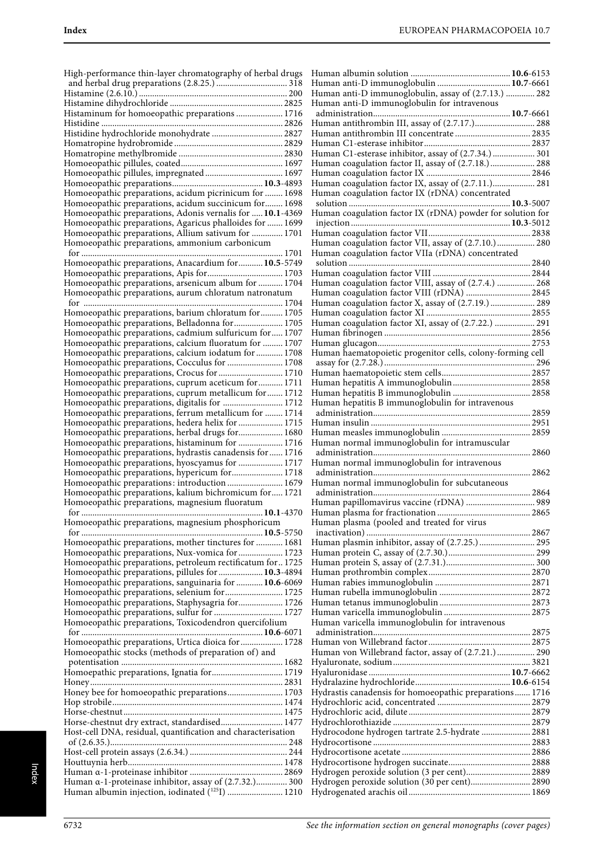| High-performance thin-layer chromatography of herbal drugs                                                | Huı        |
|-----------------------------------------------------------------------------------------------------------|------------|
|                                                                                                           | Hui        |
|                                                                                                           | Hui        |
|                                                                                                           | Huı        |
| Histaminum for homoeopathic preparations  1716                                                            | ad<br>Huı  |
| Histidine hydrochloride monohydrate  2827                                                                 | Hui        |
|                                                                                                           | Hu         |
|                                                                                                           | Huı        |
|                                                                                                           | Hui        |
|                                                                                                           | Hu         |
|                                                                                                           | Huı        |
| Homoeopathic preparations, acidum picrinicum for  1698                                                    | Huı        |
| Homoeopathic preparations, acidum succinicum for 1698                                                     | SO.        |
| Homoeopathic preparations, Adonis vernalis for  10.1-4369                                                 | Hu         |
| Homoeopathic preparations, Agaricus phalloides for  1699                                                  | inj        |
| Homoeopathic preparations, Allium sativum for  1701                                                       | Hui        |
| Homoeopathic preparations, ammonium carbonicum                                                            | Hui        |
|                                                                                                           | Hui        |
| Homoeopathic preparations, Anacardium for  10.5-5749                                                      | SO.        |
|                                                                                                           | Huı        |
| Homoeopathic preparations, arsenicum album for  1704                                                      | Huı        |
| Homoeopathic preparations, aurum chloratum natronatum                                                     | Hu         |
|                                                                                                           | Hui        |
| Homoeopathic preparations, barium chloratum for 1705                                                      | Huı        |
| Homoeopathic preparations, Belladonna for 1705                                                            | Huı        |
| Homoeopathic preparations, cadmium sulfuricum for 1707                                                    | Huı        |
| Homoeopathic preparations, calcium fluoratum for  1707                                                    | Huı        |
| Homoeopathic preparations, calcium iodatum for  1708                                                      | Hu         |
| Homoeopathic preparations, Cocculus for  1708                                                             | as:        |
| Homoeopathic preparations, Crocus for  1710                                                               | Hui        |
| Homoeopathic preparations, cuprum aceticum for 1711                                                       | Hu         |
| Homoeopathic preparations, cuprum metallicum for 1712                                                     | Huı        |
| Homoeopathic preparations, digitalis for  1712                                                            | Hui        |
| Homoeopathic preparations, ferrum metallicum for  1714                                                    | ad         |
| Homoeopathic preparations, hedera helix for  1715                                                         | Hui        |
| Homoeopathic preparations, herbal drugs for 1680                                                          | Huı        |
| Homoeopathic preparations, histaminum for  1716                                                           | Huı        |
| Homoeopathic preparations, hydrastis canadensis for  1716                                                 | ad         |
| Homoeopathic preparations, hyoscyamus for  1717                                                           | Hui        |
| Homoeopathic preparations, hypericum for 1718                                                             | ad         |
| Homoeopathic preparations: introduction 1679                                                              | Hui        |
| Homoeopathic preparations, kalium bichromicum for 1721                                                    | ad         |
| Homoeopathic preparations, magnesium fluoratum                                                            | Hui        |
| $\ldots$ 10.1-4370                                                                                        | Hui        |
| Homoeopathic preparations, magnesium phosphoricum                                                         | Hu         |
|                                                                                                           | in         |
| Homoeopathic preparations, mother tinctures for  1681                                                     | Hu         |
| Homoeopathic preparations, Nux-vomica for  1723                                                           | Hui        |
| Homoeopathic preparations, petroleum rectificatum for  1725                                               | Hu         |
| Homoeopathic preparations, pillules for  10.3-4894                                                        | Hu         |
| Homoeopathic preparations, sanguinaria for  10.6-6069                                                     | Hu         |
| Homoeopathic preparations, selenium for  1725                                                             | Huı        |
| Homoeopathic preparations, Staphysagria for 1726                                                          | Huı        |
| Homoeopathic preparations, sulfur for  1727                                                               | Hui        |
| Homoeopathic preparations, Toxicodendron quercifolium                                                     | Huı        |
|                                                                                                           | ad         |
| Homoeopathic preparations, Urtica dioica for  1728                                                        | Hu         |
| Homoeopathic stocks (methods of preparation of) and                                                       | Huı        |
|                                                                                                           | Hya        |
| Homoepathic preparations, Ignatia for 1719                                                                | Hya        |
|                                                                                                           | Hyc        |
| Honey bee for homoeopathic preparations 1703                                                              | Hyc        |
|                                                                                                           | Hyc        |
|                                                                                                           | Hyc        |
| Horse-chestnut dry extract, standardised 1477                                                             | Hyc        |
| Host-cell DNA, residual, quantification and characterisation                                              | Hyc        |
|                                                                                                           | Hyc        |
|                                                                                                           |            |
|                                                                                                           | Hyc        |
|                                                                                                           | Hyc        |
|                                                                                                           | Hyc        |
| Human a-1-proteinase inhibitor, assay of (2.7.32.) 300<br>Human albumin injection, iodinated (125I)  1210 | Hyc<br>Hyc |

| Human anti-D immunoglobulin  10.7-6661                                                              |  |
|-----------------------------------------------------------------------------------------------------|--|
| Human anti-D immunoglobulin, assay of (2.7.13.)  282<br>Human anti-D immunoglobulin for intravenous |  |
|                                                                                                     |  |
| Human antithrombin III, assay of (2.7.17.) 288                                                      |  |
| Human antithrombin III concentrate  2835                                                            |  |
|                                                                                                     |  |
| Human C1-esterase inhibitor, assay of (2.7.34.)  301                                                |  |
| Human coagulation factor II, assay of (2.7.18.) 288                                                 |  |
| Human coagulation factor IX, assay of (2.7.11.) 281                                                 |  |
| Human coagulation factor IX (rDNA) concentrated                                                     |  |
|                                                                                                     |  |
| Human coagulation factor IX (rDNA) powder for solution for                                          |  |
|                                                                                                     |  |
| Human coagulation factor VII, assay of (2.7.10.) 280                                                |  |
| Human coagulation factor VIIa (rDNA) concentrated                                                   |  |
|                                                                                                     |  |
|                                                                                                     |  |
| Human coagulation factor VIII, assay of (2.7.4.)  268                                               |  |
| Human coagulation factor VIII (rDNA)  2845<br>Human coagulation factor X, assay of (2.7.19.)  289   |  |
|                                                                                                     |  |
| Human coagulation factor XI, assay of (2.7.22.)  291                                                |  |
|                                                                                                     |  |
|                                                                                                     |  |
| Human haematopoietic progenitor cells, colony-forming cell                                          |  |
|                                                                                                     |  |
|                                                                                                     |  |
|                                                                                                     |  |
| Human hepatitis B immunoglobulin for intravenous                                                    |  |
|                                                                                                     |  |
|                                                                                                     |  |
| Human normal immunoglobulin for intramuscular                                                       |  |
|                                                                                                     |  |
| Human normal immunoglobulin for intravenous                                                         |  |
|                                                                                                     |  |
| Human normal immunoglobulin for subcutaneous                                                        |  |
| Human papillomavirus vaccine (rDNA)  989                                                            |  |
|                                                                                                     |  |
| Human plasma (pooled and treated for virus                                                          |  |
|                                                                                                     |  |
| Human plasmin inhibitor, assay of (2.7.25.) 295                                                     |  |
|                                                                                                     |  |
|                                                                                                     |  |
|                                                                                                     |  |
|                                                                                                     |  |
|                                                                                                     |  |
|                                                                                                     |  |
| Human varicella immunoglobulin for intravenous                                                      |  |
|                                                                                                     |  |
| Human von Willebrand factor, assay of (2.7.21.) 290                                                 |  |
|                                                                                                     |  |
|                                                                                                     |  |
|                                                                                                     |  |
| Hydrastis canadensis for homoeopathic preparations 1716                                             |  |
|                                                                                                     |  |
|                                                                                                     |  |
| Hydrocodone hydrogen tartrate 2.5-hydrate  2881                                                     |  |
|                                                                                                     |  |
|                                                                                                     |  |
| Hydrogen peroxide solution (3 per cent) 2889                                                        |  |
| Hydrogen peroxide solution (30 per cent) 2890                                                       |  |
|                                                                                                     |  |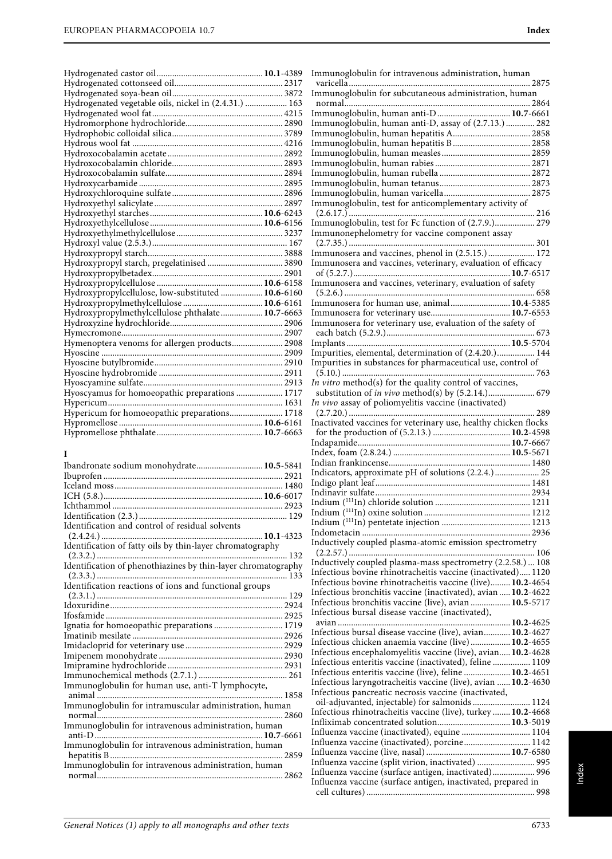| Hydrogenated vegetable oils, nickel in (2.4.31.)  163 |  |
|-------------------------------------------------------|--|
|                                                       |  |
|                                                       |  |
|                                                       |  |
|                                                       |  |
|                                                       |  |
|                                                       |  |
|                                                       |  |
|                                                       |  |
|                                                       |  |
|                                                       |  |
|                                                       |  |
|                                                       |  |
|                                                       |  |
|                                                       |  |
|                                                       |  |
| Hydroxypropyl starch, pregelatinised  3890            |  |
|                                                       |  |
|                                                       |  |
| Hydroxypropylcellulose, low-substituted  10.6-6160    |  |
|                                                       |  |
| Hydroxypropylmethylcellulose phthalate 10.7-6663      |  |
|                                                       |  |
|                                                       |  |
| Hymenoptera venoms for allergen products 2908         |  |
|                                                       |  |
|                                                       |  |
|                                                       |  |
|                                                       |  |
| Hyoscyamus for homoeopathic preparations  1717        |  |
|                                                       |  |
| Hypericum for homoeopathic preparations 1718          |  |
|                                                       |  |
|                                                       |  |

## **I**

| Ibandronate sodium monohydrate 10.5-5841                      |  |
|---------------------------------------------------------------|--|
|                                                               |  |
|                                                               |  |
|                                                               |  |
|                                                               |  |
|                                                               |  |
| Identification and control of residual solvents               |  |
|                                                               |  |
| Identification of fatty oils by thin-layer chromatography     |  |
| Identification of phenothiazines by thin-layer chromatography |  |
|                                                               |  |
| Identification reactions of ions and functional groups        |  |
|                                                               |  |
|                                                               |  |
|                                                               |  |
| Ignatia for homoeopathic preparations  1719                   |  |
|                                                               |  |
|                                                               |  |
|                                                               |  |
|                                                               |  |
|                                                               |  |
| Immunoglobulin for human use, anti-T lymphocyte,              |  |
| Immunoglobulin for intramuscular administration, human        |  |
|                                                               |  |
| Immunoglobulin for intravenous administration, human          |  |
| Immunoglobulin for intravenous administration, human          |  |
|                                                               |  |
| Immunoglobulin for intravenous administration, human          |  |
|                                                               |  |
|                                                               |  |

| Immunoglobulin for intravenous administration, human                                                                                                                                                                                                                                                                                                                                                                                           |  |
|------------------------------------------------------------------------------------------------------------------------------------------------------------------------------------------------------------------------------------------------------------------------------------------------------------------------------------------------------------------------------------------------------------------------------------------------|--|
| Immunoglobulin for subcutaneous administration, human                                                                                                                                                                                                                                                                                                                                                                                          |  |
|                                                                                                                                                                                                                                                                                                                                                                                                                                                |  |
| Immunoglobulin, human anti-D 10.7-6661                                                                                                                                                                                                                                                                                                                                                                                                         |  |
| Immunoglobulin, human anti-D, assay of (2.7.13.) 282                                                                                                                                                                                                                                                                                                                                                                                           |  |
| Immunoglobulin, human hepatitis B 2858                                                                                                                                                                                                                                                                                                                                                                                                         |  |
|                                                                                                                                                                                                                                                                                                                                                                                                                                                |  |
|                                                                                                                                                                                                                                                                                                                                                                                                                                                |  |
|                                                                                                                                                                                                                                                                                                                                                                                                                                                |  |
|                                                                                                                                                                                                                                                                                                                                                                                                                                                |  |
| Immunoglobulin, test for anticomplementary activity of                                                                                                                                                                                                                                                                                                                                                                                         |  |
| Immunoglobulin, test for Fc function of (2.7.9.) 279                                                                                                                                                                                                                                                                                                                                                                                           |  |
| Immunonephelometry for vaccine component assay                                                                                                                                                                                                                                                                                                                                                                                                 |  |
|                                                                                                                                                                                                                                                                                                                                                                                                                                                |  |
| Immunosera and vaccines, phenol in (2.5.15.) 172                                                                                                                                                                                                                                                                                                                                                                                               |  |
| Immunosera and vaccines, veterinary, evaluation of efficacy                                                                                                                                                                                                                                                                                                                                                                                    |  |
| Immunosera and vaccines, veterinary, evaluation of safety                                                                                                                                                                                                                                                                                                                                                                                      |  |
|                                                                                                                                                                                                                                                                                                                                                                                                                                                |  |
| Immunosera for human use, animal 10.4-5385                                                                                                                                                                                                                                                                                                                                                                                                     |  |
|                                                                                                                                                                                                                                                                                                                                                                                                                                                |  |
| Immunosera for veterinary use, evaluation of the safety of                                                                                                                                                                                                                                                                                                                                                                                     |  |
|                                                                                                                                                                                                                                                                                                                                                                                                                                                |  |
| Impurities, elemental, determination of (2.4.20.) 144                                                                                                                                                                                                                                                                                                                                                                                          |  |
| Impurities in substances for pharmaceutical use, control of                                                                                                                                                                                                                                                                                                                                                                                    |  |
| In vitro method(s) for the quality control of vaccines,                                                                                                                                                                                                                                                                                                                                                                                        |  |
|                                                                                                                                                                                                                                                                                                                                                                                                                                                |  |
| In vivo assay of poliomyelitis vaccine (inactivated)                                                                                                                                                                                                                                                                                                                                                                                           |  |
| Inactivated vaccines for veterinary use, healthy chicken flocks                                                                                                                                                                                                                                                                                                                                                                                |  |
|                                                                                                                                                                                                                                                                                                                                                                                                                                                |  |
|                                                                                                                                                                                                                                                                                                                                                                                                                                                |  |
|                                                                                                                                                                                                                                                                                                                                                                                                                                                |  |
|                                                                                                                                                                                                                                                                                                                                                                                                                                                |  |
|                                                                                                                                                                                                                                                                                                                                                                                                                                                |  |
| Indicators, approximate pH of solutions (2.2.4.) 25                                                                                                                                                                                                                                                                                                                                                                                            |  |
|                                                                                                                                                                                                                                                                                                                                                                                                                                                |  |
|                                                                                                                                                                                                                                                                                                                                                                                                                                                |  |
|                                                                                                                                                                                                                                                                                                                                                                                                                                                |  |
|                                                                                                                                                                                                                                                                                                                                                                                                                                                |  |
| Inductively coupled plasma-atomic emission spectrometry                                                                                                                                                                                                                                                                                                                                                                                        |  |
|                                                                                                                                                                                                                                                                                                                                                                                                                                                |  |
| Inductively coupled plasma-mass spectrometry (2.2.58.)  108                                                                                                                                                                                                                                                                                                                                                                                    |  |
| Infectious bovine rhinotracheitis vaccine (inactivated) 1120                                                                                                                                                                                                                                                                                                                                                                                   |  |
| Infectious bovine rhinotracheitis vaccine (live) 10.2-4654                                                                                                                                                                                                                                                                                                                                                                                     |  |
| Infectious bronchitis vaccine (inactivated), avian  10.2-4622<br>Infectious bronchitis vaccine (live), avian  10.5-5717                                                                                                                                                                                                                                                                                                                        |  |
| Infectious bursal disease vaccine (inactivated),                                                                                                                                                                                                                                                                                                                                                                                               |  |
|                                                                                                                                                                                                                                                                                                                                                                                                                                                |  |
| Infectious bursal disease vaccine (live), avian 10.2-4627                                                                                                                                                                                                                                                                                                                                                                                      |  |
|                                                                                                                                                                                                                                                                                                                                                                                                                                                |  |
|                                                                                                                                                                                                                                                                                                                                                                                                                                                |  |
| Infectious chicken anaemia vaccine (live) 10.2-4655<br>Infectious encephalomyelitis vaccine (live), avian 10.2-4628<br>Infectious enteritis vaccine (inactivated), feline  1109<br>Infectious enteritis vaccine (live), feline  10.2-4651                                                                                                                                                                                                      |  |
|                                                                                                                                                                                                                                                                                                                                                                                                                                                |  |
|                                                                                                                                                                                                                                                                                                                                                                                                                                                |  |
|                                                                                                                                                                                                                                                                                                                                                                                                                                                |  |
|                                                                                                                                                                                                                                                                                                                                                                                                                                                |  |
|                                                                                                                                                                                                                                                                                                                                                                                                                                                |  |
|                                                                                                                                                                                                                                                                                                                                                                                                                                                |  |
| Infectious laryngotracheitis vaccine (live), avian  10.2-4630<br>Infectious pancreatic necrosis vaccine (inactivated,<br>oil-adjuvanted, injectable) for salmonids  1124<br>Infectious rhinotracheitis vaccine (live), turkey  10.2-4668<br>Infliximab concentrated solution 10.3-5019<br>Influenza vaccine (inactivated), equine  1104<br>Influenza vaccine (inactivated), porcine 1142<br>Influenza vaccine (split virion, inactivated)  995 |  |
| Influenza vaccine (surface antigen, inactivated) 996                                                                                                                                                                                                                                                                                                                                                                                           |  |
| Influenza vaccine (surface antigen, inactivated, prepared in                                                                                                                                                                                                                                                                                                                                                                                   |  |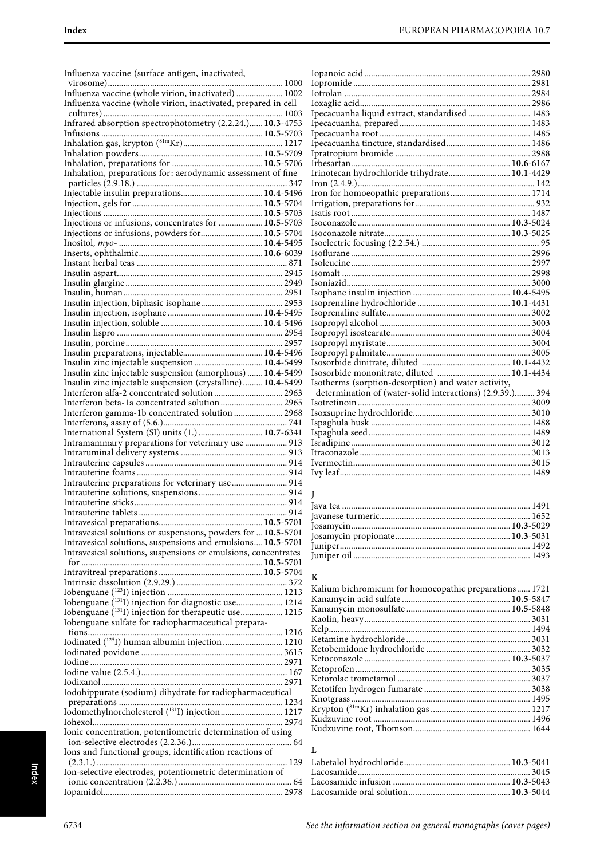| Influenza vaccine (surface antigen, inactivated,                                                                        | Io<br>I <sub>O</sub> |
|-------------------------------------------------------------------------------------------------------------------------|----------------------|
| Influenza vaccine (whole virion, inactivated)  1002                                                                     |                      |
| Influenza vaccine (whole virion, inactivated, prepared in cell                                                          | Iot<br>Io:           |
|                                                                                                                         | Ip                   |
| Infrared absorption spectrophotometry (2.2.24.) 10.3-4753                                                               | Ip.                  |
|                                                                                                                         | Ip.                  |
| $\begin{minipage}{0.9\linewidth} Inhalation gas, krypton (81mKr) 1217\\ Inhalation powders 10.5-5709\\ \end{minipage}$  | Ip<br>Ipi            |
|                                                                                                                         | Irl                  |
| Inhalation, preparations for: aerodynamic assessment of fine                                                            | Iri                  |
|                                                                                                                         | Irc                  |
|                                                                                                                         | Irc                  |
|                                                                                                                         | Irı                  |
| Injections or infusions, concentrates for  10.5-5703                                                                    | Isa<br>Isc           |
| Injections or infusions, powders for 10.5-5704                                                                          | Isc                  |
|                                                                                                                         | Isc                  |
|                                                                                                                         | Isc                  |
|                                                                                                                         | Isc                  |
|                                                                                                                         | Isc                  |
|                                                                                                                         | Isc                  |
|                                                                                                                         | Isc<br>Isc           |
|                                                                                                                         | Isc                  |
|                                                                                                                         | Isc                  |
|                                                                                                                         | Isc                  |
|                                                                                                                         | Isc                  |
|                                                                                                                         | Isc                  |
| Insulin zinc injectable suspension  10.4-5499                                                                           | Isc                  |
| Insulin zinc injectable suspension (amorphous)  10.4-5499<br>Insulin zinc injectable suspension (crystalline) 10.4-5499 | Isc<br>Isc           |
| Interferon alfa-2 concentrated solution  2963                                                                           | d                    |
| Interferon beta-1a concentrated solution  2965                                                                          | Isc                  |
| Interferon gamma-1b concentrated solution  2968                                                                         | Isc                  |
|                                                                                                                         | Isp                  |
| International System (SI) units (1.)  10.7-6341                                                                         | Isp                  |
| Intramammary preparations for veterinary use  913                                                                       | Isr<br>Itr           |
|                                                                                                                         | Ive                  |
|                                                                                                                         | Ivy                  |
| Intrauterine preparations for veterinary use  914                                                                       |                      |
|                                                                                                                         | L                    |
|                                                                                                                         | Jay                  |
|                                                                                                                         | Jay                  |
| Intravesical solutions or suspensions, powders for  10.5-5701                                                           | Jo:<br>Jo:           |
| Intravesical solutions, suspensions and emulsions 10.5-5701                                                             | Ju                   |
| Intravesical solutions, suspensions or emulsions, concentrates                                                          | Ju                   |
|                                                                                                                         |                      |
|                                                                                                                         | K                    |
|                                                                                                                         | Ka                   |
| Iobenguane ( <sup>131</sup> I) injection for diagnostic use 1214                                                        | Ka                   |
| Iobenguane (131 <sub>I</sub> ) injection for therapeutic use 1215                                                       | Ka                   |
| Iobenguane sulfate for radiopharmaceutical prepara-                                                                     | Ka<br>Ke             |
|                                                                                                                         | Ke                   |
| Iodinated ( <sup>125</sup> I) human albumin injection  1210                                                             | Ke                   |
|                                                                                                                         | Ke                   |
|                                                                                                                         | Ke                   |
|                                                                                                                         | Ke<br>Ke             |
| Iodohippurate (sodium) dihydrate for radiopharmaceutical                                                                | Kr                   |
| Iodomethylnorcholesterol (131I) injection 1217                                                                          | Kr                   |
|                                                                                                                         | Κī                   |
| Ionic concentration, potentiometric determination of using                                                              | Κı                   |
|                                                                                                                         |                      |
| Ions and functional groups, identification reactions of                                                                 | L                    |
| Ion-selective electrodes, potentiometric determination of                                                               | La<br>La             |
|                                                                                                                         | La                   |
|                                                                                                                         | La                   |

| Ipecacuanha liquid extract, standardised  1483            |  |
|-----------------------------------------------------------|--|
|                                                           |  |
|                                                           |  |
|                                                           |  |
|                                                           |  |
|                                                           |  |
| Irinotecan hydrochloride trihydrate 10.1-4429             |  |
|                                                           |  |
|                                                           |  |
|                                                           |  |
|                                                           |  |
|                                                           |  |
|                                                           |  |
|                                                           |  |
|                                                           |  |
|                                                           |  |
|                                                           |  |
|                                                           |  |
|                                                           |  |
|                                                           |  |
|                                                           |  |
|                                                           |  |
|                                                           |  |
|                                                           |  |
|                                                           |  |
|                                                           |  |
| Isosorbide mononitrate, diluted  10.1-4434                |  |
| Isotherms (sorption-desorption) and water activity,       |  |
| determination of (water-solid interactions) (2.9.39.) 394 |  |
|                                                           |  |
|                                                           |  |
|                                                           |  |
|                                                           |  |
|                                                           |  |
|                                                           |  |
|                                                           |  |
|                                                           |  |

| Kalium bichromicum for homoeopathic preparations 1721 |  |
|-------------------------------------------------------|--|
|                                                       |  |
|                                                       |  |
|                                                       |  |
|                                                       |  |
|                                                       |  |
|                                                       |  |
|                                                       |  |
|                                                       |  |
|                                                       |  |
|                                                       |  |
|                                                       |  |
|                                                       |  |
|                                                       |  |
|                                                       |  |
|                                                       |  |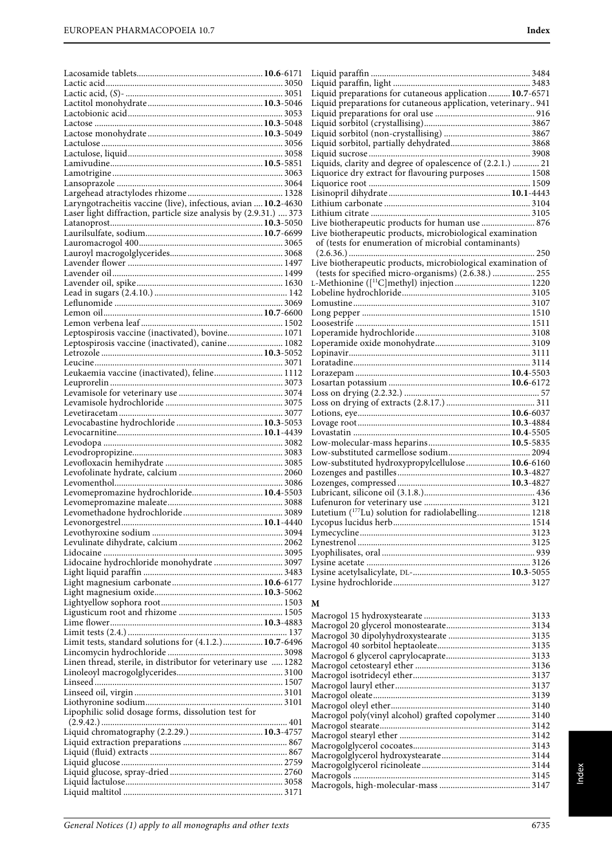| Laryngotracheitis vaccine (live), infectious, avian  10.2-4630                                       |  |
|------------------------------------------------------------------------------------------------------|--|
| Laser light diffraction, particle size analysis by (2.9.31.)  373                                    |  |
|                                                                                                      |  |
|                                                                                                      |  |
|                                                                                                      |  |
|                                                                                                      |  |
|                                                                                                      |  |
|                                                                                                      |  |
|                                                                                                      |  |
|                                                                                                      |  |
|                                                                                                      |  |
|                                                                                                      |  |
| Leptospirosis vaccine (inactivated), bovine 1071<br>Leptospirosis vaccine (inactivated), canine 1082 |  |
|                                                                                                      |  |
|                                                                                                      |  |
| Leukaemia vaccine (inactivated), feline 1112                                                         |  |
|                                                                                                      |  |
|                                                                                                      |  |
|                                                                                                      |  |
|                                                                                                      |  |
|                                                                                                      |  |
|                                                                                                      |  |
|                                                                                                      |  |
|                                                                                                      |  |
|                                                                                                      |  |
|                                                                                                      |  |
|                                                                                                      |  |
| Levomepromazine hydrochloride 10.4-5503                                                              |  |
|                                                                                                      |  |
|                                                                                                      |  |
|                                                                                                      |  |
|                                                                                                      |  |
|                                                                                                      |  |
| Lidocaine hydrochloride monohydrate  3097                                                            |  |
|                                                                                                      |  |
|                                                                                                      |  |
|                                                                                                      |  |
|                                                                                                      |  |
|                                                                                                      |  |
|                                                                                                      |  |
| Limit tests, standard solutions for (4.1.2.) 10.7-6496                                               |  |
|                                                                                                      |  |
| Linen thread, sterile, in distributor for veterinary use  1282                                       |  |
|                                                                                                      |  |
|                                                                                                      |  |
|                                                                                                      |  |
| Lipophilic solid dosage forms, dissolution test for                                                  |  |
|                                                                                                      |  |
|                                                                                                      |  |
|                                                                                                      |  |
|                                                                                                      |  |
|                                                                                                      |  |
|                                                                                                      |  |

| Liquid preparations for cutaneous application  10.7-6571       |  |
|----------------------------------------------------------------|--|
| Liquid preparations for cutaneous application, veterinary 941  |  |
|                                                                |  |
|                                                                |  |
|                                                                |  |
|                                                                |  |
|                                                                |  |
|                                                                |  |
|                                                                |  |
|                                                                |  |
|                                                                |  |
|                                                                |  |
|                                                                |  |
| Live biotherapeutic products for human use  876                |  |
| Live biotherapeutic products, microbiological examination      |  |
| of (tests for enumeration of microbial contaminants)           |  |
|                                                                |  |
|                                                                |  |
|                                                                |  |
|                                                                |  |
|                                                                |  |
|                                                                |  |
|                                                                |  |
|                                                                |  |
|                                                                |  |
|                                                                |  |
|                                                                |  |
|                                                                |  |
|                                                                |  |
|                                                                |  |
|                                                                |  |
|                                                                |  |
|                                                                |  |
|                                                                |  |
|                                                                |  |
|                                                                |  |
|                                                                |  |
|                                                                |  |
|                                                                |  |
|                                                                |  |
|                                                                |  |
|                                                                |  |
|                                                                |  |
| Lutetium ( <sup>177</sup> Lu) solution for radiolabelling 1218 |  |
|                                                                |  |
|                                                                |  |
|                                                                |  |
|                                                                |  |
|                                                                |  |
|                                                                |  |
|                                                                |  |
|                                                                |  |

#### **M**

| Macrogol poly(vinyl alcohol) grafted copolymer3140 |  |
|----------------------------------------------------|--|
|                                                    |  |
|                                                    |  |
|                                                    |  |
|                                                    |  |
|                                                    |  |
|                                                    |  |
|                                                    |  |
|                                                    |  |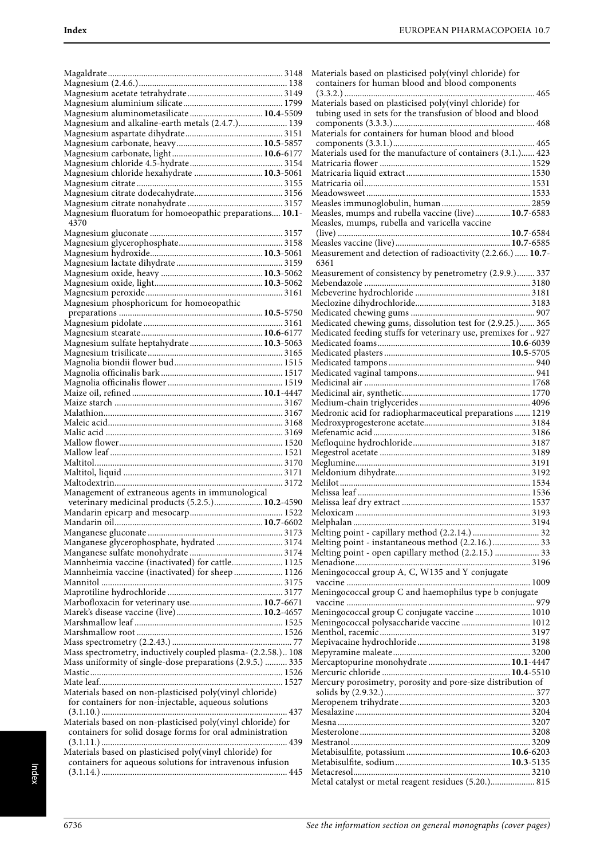| Magnesium aluminometasilicate 10.4-5509                      |  |
|--------------------------------------------------------------|--|
| Magnesium and alkaline-earth metals (2.4.7.) 139             |  |
|                                                              |  |
|                                                              |  |
|                                                              |  |
|                                                              |  |
|                                                              |  |
|                                                              |  |
| Magnesium chloride hexahydrate  10.3-5061                    |  |
|                                                              |  |
|                                                              |  |
|                                                              |  |
|                                                              |  |
|                                                              |  |
| Magnesium fluoratum for homoeopathic preparations 10.1-      |  |
| 4370                                                         |  |
|                                                              |  |
|                                                              |  |
|                                                              |  |
|                                                              |  |
|                                                              |  |
|                                                              |  |
|                                                              |  |
|                                                              |  |
|                                                              |  |
|                                                              |  |
| Magnesium phosphoricum for homoeopathic                      |  |
|                                                              |  |
|                                                              |  |
|                                                              |  |
|                                                              |  |
|                                                              |  |
| Magnesium sulfate heptahydrate 10.3-5063                     |  |
|                                                              |  |
|                                                              |  |
|                                                              |  |
|                                                              |  |
|                                                              |  |
|                                                              |  |
|                                                              |  |
|                                                              |  |
|                                                              |  |
|                                                              |  |
|                                                              |  |
|                                                              |  |
|                                                              |  |
|                                                              |  |
|                                                              |  |
|                                                              |  |
|                                                              |  |
|                                                              |  |
|                                                              |  |
|                                                              |  |
|                                                              |  |
| Management of extraneous agents in immunological             |  |
| veterinary medicinal products (5.2.5.) 10.2-4590             |  |
|                                                              |  |
|                                                              |  |
|                                                              |  |
|                                                              |  |
|                                                              |  |
| Manganese glycerophosphate, hydrated  3174                   |  |
|                                                              |  |
|                                                              |  |
| Mannheimia vaccine (inactivated) for cattle 1125             |  |
| Mannheimia vaccine (inactivated) for sheep  1126             |  |
|                                                              |  |
|                                                              |  |
|                                                              |  |
| Marbofloxacin for veterinary use 10.7-6671                   |  |
|                                                              |  |
|                                                              |  |
|                                                              |  |
|                                                              |  |
|                                                              |  |
|                                                              |  |
| Mass spectrometry, inductively coupled plasma- (2.2.58.) 108 |  |
| Mass uniformity of single-dose preparations (2.9.5.)  335    |  |
|                                                              |  |
|                                                              |  |
|                                                              |  |
| Materials based on non-plasticised poly(vinyl chloride)      |  |
|                                                              |  |
| for containers for non-injectable, aqueous solutions         |  |
|                                                              |  |
|                                                              |  |
| Materials based on non-plasticised poly(vinyl chloride) for  |  |
| containers for solid dosage forms for oral administration    |  |
|                                                              |  |
|                                                              |  |
| Materials based on plasticised poly(vinyl chloride) for      |  |
| containers for aqueous solutions for intravenous infusion    |  |
|                                                              |  |

| Materials based on plasticised poly(vinyl chloride) for<br>containers for human blood and blood components            |  |
|-----------------------------------------------------------------------------------------------------------------------|--|
| Materials based on plasticised poly(vinyl chloride) for<br>tubing used in sets for the transfusion of blood and blood |  |
| Materials for containers for human blood and blood                                                                    |  |
| Materials used for the manufacture of containers (3.1.) 423                                                           |  |
|                                                                                                                       |  |
|                                                                                                                       |  |
|                                                                                                                       |  |
|                                                                                                                       |  |
| Measles, mumps and rubella vaccine (live) 10.7-6583<br>Measles, mumps, rubella and varicella vaccine                  |  |
|                                                                                                                       |  |
| Measurement and detection of radioactivity (2.2.66.)  10.7-<br>6361                                                   |  |
| Measurement of consistency by penetrometry (2.9.9.) 337                                                               |  |
|                                                                                                                       |  |
|                                                                                                                       |  |
|                                                                                                                       |  |
| Medicated chewing gums, dissolution test for (2.9.25.) 365                                                            |  |
| Medicated feeding stuffs for veterinary use, premixes for  927                                                        |  |
|                                                                                                                       |  |
|                                                                                                                       |  |
|                                                                                                                       |  |
|                                                                                                                       |  |
|                                                                                                                       |  |
| Medronic acid for radiopharmaceutical preparations  1219                                                              |  |
|                                                                                                                       |  |
|                                                                                                                       |  |
|                                                                                                                       |  |
|                                                                                                                       |  |
|                                                                                                                       |  |
|                                                                                                                       |  |
|                                                                                                                       |  |
|                                                                                                                       |  |
| Melting point - capillary method (2.2.14.)  32                                                                        |  |
| Melting point - instantaneous method (2.2.16.) 33                                                                     |  |
| Melting point - open capillary method (2.2.15.)  33                                                                   |  |
| Meningococcal group A, C, W135 and Y conjugate                                                                        |  |
|                                                                                                                       |  |
| Meningococcal group C and haemophilus type b conjugate                                                                |  |
| Meningococcal group C conjugate vaccine  1010                                                                         |  |
| Meningococcal polysaccharide vaccine  1012                                                                            |  |
|                                                                                                                       |  |
|                                                                                                                       |  |
|                                                                                                                       |  |
|                                                                                                                       |  |
| Mercury porosimetry, porosity and pore-size distribution of                                                           |  |
|                                                                                                                       |  |
|                                                                                                                       |  |
|                                                                                                                       |  |
|                                                                                                                       |  |
|                                                                                                                       |  |
|                                                                                                                       |  |
|                                                                                                                       |  |
| Metal catalyst or metal reagent residues (5.20.) 815                                                                  |  |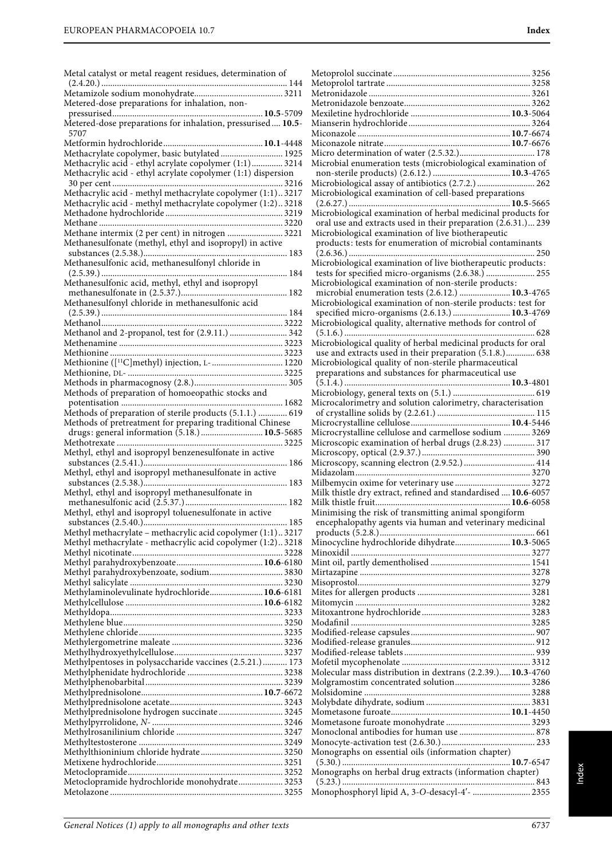| Metal catalyst or metal reagent residues, determination of                                                                |
|---------------------------------------------------------------------------------------------------------------------------|
|                                                                                                                           |
| Metered-dose preparations for inhalation, non-                                                                            |
|                                                                                                                           |
| 5707                                                                                                                      |
|                                                                                                                           |
| Methacrylate copolymer, basic butylated 1925                                                                              |
| Methacrylic acid - ethyl acrylate copolymer (1:1) 3214                                                                    |
| Methacrylic acid - ethyl acrylate copolymer (1:1) dispersion                                                              |
| Methacrylic acid - methyl methacrylate copolymer (1:1)3217                                                                |
| Methacrylic acid - methyl methacrylate copolymer (1:2)3218                                                                |
|                                                                                                                           |
|                                                                                                                           |
| Methane intermix (2 per cent) in nitrogen  3221<br>Methanesulfonate (methyl, ethyl and isopropyl) in active               |
|                                                                                                                           |
| Methanesulfonic acid, methanesulfonyl chloride in                                                                         |
| Methanesulfonic acid, methyl, ethyl and isopropyl                                                                         |
|                                                                                                                           |
|                                                                                                                           |
|                                                                                                                           |
| Methanol and 2-propanol, test for (2.9.11.)  342                                                                          |
|                                                                                                                           |
|                                                                                                                           |
| Methionine ([ <sup>11</sup> C]methyl) injection, L- 1220                                                                  |
|                                                                                                                           |
| Methods of preparation of homoeopathic stocks and                                                                         |
|                                                                                                                           |
| Methods of preparation of sterile products (5.1.1.)  619                                                                  |
| Methods of pretreatment for preparing traditional Chinese                                                                 |
| drugs: general information (5.18.) 10.5-5685                                                                              |
| Methyl, ethyl and isopropyl benzenesulfonate in active                                                                    |
|                                                                                                                           |
| Methyl, ethyl and isopropyl methanesulfonate in active                                                                    |
| Methyl, ethyl and isopropyl methanesulfonate in                                                                           |
|                                                                                                                           |
|                                                                                                                           |
| Methyl, ethyl and isopropyl toluenesulfonate in active                                                                    |
|                                                                                                                           |
| Methyl methacrylate - methacrylic acid copolymer (1:1) 3217<br>Methyl methacrylate - methacrylic acid copolymer (1:2)3218 |
|                                                                                                                           |
|                                                                                                                           |
| Methyl parahydroxybenzoate, sodium 3830                                                                                   |
| Methylaminolevulinate hydrochloride 10.6-6181                                                                             |
|                                                                                                                           |
|                                                                                                                           |
|                                                                                                                           |
|                                                                                                                           |
|                                                                                                                           |
| Methylpentoses in polysaccharide vaccines (2.5.21.)  173                                                                  |
|                                                                                                                           |
|                                                                                                                           |
|                                                                                                                           |
| Methylprednisolone hydrogen succinate 3245                                                                                |
|                                                                                                                           |
|                                                                                                                           |
|                                                                                                                           |
|                                                                                                                           |
| Metoclopramide hydrochloride monohydrate 3253                                                                             |

| Microbial enumeration tests (microbiological examination of                                                 |
|-------------------------------------------------------------------------------------------------------------|
|                                                                                                             |
| Microbiological assay of antibiotics (2.7.2.)  262                                                          |
| Microbiological examination of cell-based preparations                                                      |
| Microbiological examination of herbal medicinal products for                                                |
| oral use and extracts used in their preparation (2.6.31.) 239                                               |
| Microbiological examination of live biotherapeutic                                                          |
| products: tests for enumeration of microbial contaminants                                                   |
|                                                                                                             |
| Microbiological examination of live biotherapeutic products:                                                |
| tests for specified micro-organisms (2.6.38.)  255<br>Microbiological examination of non-sterile products:  |
| microbial enumeration tests (2.6.12.)  10.3-4765                                                            |
| Microbiological examination of non-sterile products: test for                                               |
| specified micro-organisms (2.6.13.)  10.3-4769                                                              |
| Microbiological quality, alternative methods for control of                                                 |
|                                                                                                             |
| Microbiological quality of herbal medicinal products for oral                                               |
| use and extracts used in their preparation (5.1.8.) 638                                                     |
| Microbiological quality of non-sterile pharmaceutical<br>preparations and substances for pharmaceutical use |
|                                                                                                             |
|                                                                                                             |
| Microcalorimetry and solution calorimetry, characterisation                                                 |
|                                                                                                             |
|                                                                                                             |
| Microcrystalline cellulose and carmellose sodium  3269                                                      |
| Microscopic examination of herbal drugs (2.8.23)  317                                                       |
|                                                                                                             |
|                                                                                                             |
|                                                                                                             |
| Milk thistle dry extract, refined and standardised  10.6-6057                                               |
|                                                                                                             |
|                                                                                                             |
| Minimising the risk of transmitting animal spongiform                                                       |
| encephalopathy agents via human and veterinary medicinal                                                    |
|                                                                                                             |
| Minocycline hydrochloride dihydrate 10.3-5065                                                               |
|                                                                                                             |
|                                                                                                             |
|                                                                                                             |
|                                                                                                             |
|                                                                                                             |
|                                                                                                             |
|                                                                                                             |
|                                                                                                             |
|                                                                                                             |
|                                                                                                             |
| Molecular mass distribution in dextrans (2.2.39.) 10.3-4760                                                 |
|                                                                                                             |
|                                                                                                             |
|                                                                                                             |
|                                                                                                             |
|                                                                                                             |
|                                                                                                             |
| Monographs on essential oils (information chapter)                                                          |
|                                                                                                             |
| Monographs on herbal drug extracts (information chapter)                                                    |
| Monophosphoryl lipid A, 3-O-desacyl-4'-  2355                                                               |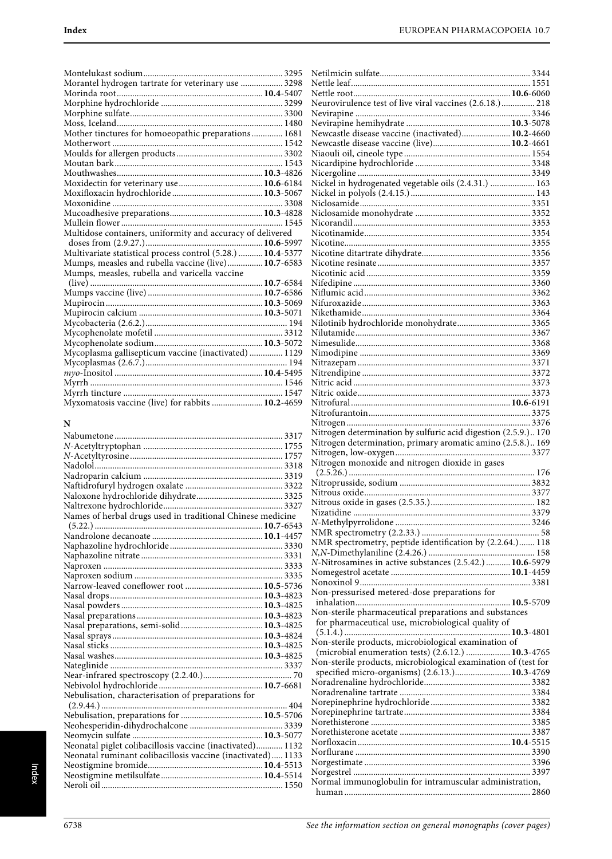Netilmicin sulfate.................................................................... 3344

| Morantel hydrogen tartrate for veterinary use  3298         |  |
|-------------------------------------------------------------|--|
|                                                             |  |
|                                                             |  |
|                                                             |  |
|                                                             |  |
| Mother tinctures for homoeopathic preparations 1681         |  |
|                                                             |  |
|                                                             |  |
|                                                             |  |
|                                                             |  |
|                                                             |  |
|                                                             |  |
|                                                             |  |
|                                                             |  |
|                                                             |  |
| Multidose containers, uniformity and accuracy of delivered  |  |
|                                                             |  |
| Multivariate statistical process control (5.28.)  10.4-5377 |  |
| Mumps, measles and rubella vaccine (live) 10.7-6583         |  |
| Mumps, measles, rubella and varicella vaccine               |  |
|                                                             |  |
|                                                             |  |
|                                                             |  |
|                                                             |  |
|                                                             |  |
|                                                             |  |
|                                                             |  |
| Mycoplasma gallisepticum vaccine (inactivated)  1129        |  |
|                                                             |  |
|                                                             |  |
|                                                             |  |
|                                                             |  |
| Myxomatosis vaccine (live) for rabbits  10.2-4659           |  |

## **N**

| Names of herbal drugs used in traditional Chinese medicine  |  |
|-------------------------------------------------------------|--|
|                                                             |  |
|                                                             |  |
|                                                             |  |
|                                                             |  |
|                                                             |  |
|                                                             |  |
|                                                             |  |
|                                                             |  |
|                                                             |  |
|                                                             |  |
|                                                             |  |
|                                                             |  |
|                                                             |  |
|                                                             |  |
|                                                             |  |
|                                                             |  |
|                                                             |  |
| Nebulisation, characterisation of preparations for          |  |
|                                                             |  |
|                                                             |  |
|                                                             |  |
|                                                             |  |
| Neonatal piglet colibacillosis vaccine (inactivated) 1132   |  |
| Neonatal ruminant colibacillosis vaccine (inactivated) 1133 |  |
|                                                             |  |
|                                                             |  |
|                                                             |  |
|                                                             |  |

| Neurovirulence test of live viral vaccines (2.6.18.) 218       |  |
|----------------------------------------------------------------|--|
|                                                                |  |
|                                                                |  |
| Newcastle disease vaccine (inactivated) 10.2-4660              |  |
|                                                                |  |
|                                                                |  |
|                                                                |  |
|                                                                |  |
| Nickel in hydrogenated vegetable oils (2.4.31.)  163           |  |
|                                                                |  |
|                                                                |  |
|                                                                |  |
|                                                                |  |
|                                                                |  |
|                                                                |  |
|                                                                |  |
|                                                                |  |
|                                                                |  |
|                                                                |  |
|                                                                |  |
|                                                                |  |
| Nilotinib hydrochloride monohydrate 3365                       |  |
|                                                                |  |
|                                                                |  |
|                                                                |  |
|                                                                |  |
|                                                                |  |
|                                                                |  |
|                                                                |  |
|                                                                |  |
|                                                                |  |
| Nitrogen determination by sulfuric acid digestion (2.5.9.) 170 |  |
| Nitrogen determination, primary aromatic amino (2.5.8.) 169    |  |
|                                                                |  |
| Nitrogen monoxide and nitrogen dioxide in gases                |  |
|                                                                |  |
|                                                                |  |
|                                                                |  |
|                                                                |  |
|                                                                |  |
|                                                                |  |
|                                                                |  |
|                                                                |  |
| NMR spectrometry, peptide identification by (2.2.64.) 118      |  |
| N-Nitrosamines in active substances (2.5.42.)  10.6-5979       |  |
|                                                                |  |
|                                                                |  |
| Non-pressurised metered-dose preparations for                  |  |
|                                                                |  |
| Non-sterile pharmaceutical preparations and substances         |  |
| for pharmaceutical use, microbiological quality of             |  |
|                                                                |  |
| Non-sterile products, microbiological examination of           |  |
| (microbial enumeration tests) (2.6.12.)  10.3-4765             |  |
| Non-sterile products, microbiological examination of (test for |  |
| specified micro-organisms) (2.6.13.) 10.3-4769                 |  |
|                                                                |  |
|                                                                |  |
|                                                                |  |
|                                                                |  |
|                                                                |  |
|                                                                |  |
|                                                                |  |
|                                                                |  |
|                                                                |  |
| Normal immunoglobulin for intramuscular administration,        |  |
|                                                                |  |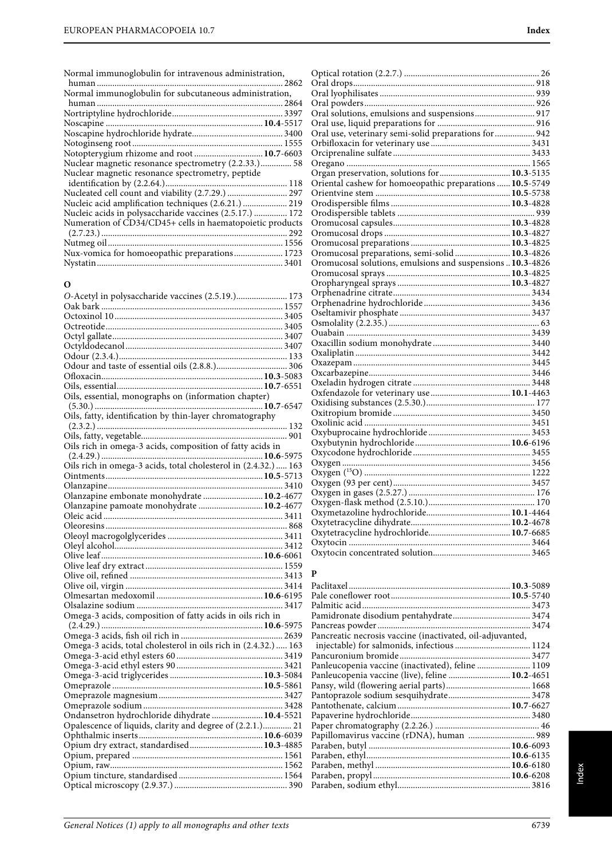Normal immunoglobulin for intravenous administration,

| Normal immunoglobulin for subcutaneous administration,    |  |
|-----------------------------------------------------------|--|
|                                                           |  |
|                                                           |  |
|                                                           |  |
|                                                           |  |
|                                                           |  |
| Notopterygium rhizome and root  10.7-6603                 |  |
|                                                           |  |
| Nuclear magnetic resonance spectrometry, peptide          |  |
|                                                           |  |
|                                                           |  |
| Nucleic acid amplification techniques (2.6.21.)  219      |  |
| Nucleic acids in polysaccharide vaccines (2.5.17.)  172   |  |
| Numeration of CD34/CD45+ cells in haematopoietic products |  |
|                                                           |  |
|                                                           |  |
| Nux-vomica for homoeopathic preparations 1723             |  |
|                                                           |  |
|                                                           |  |

## **O**

| O-Acetyl in polysaccharide vaccines (2.5.19.) 173               |
|-----------------------------------------------------------------|
|                                                                 |
|                                                                 |
|                                                                 |
|                                                                 |
|                                                                 |
|                                                                 |
|                                                                 |
|                                                                 |
|                                                                 |
| Oils, essential, monographs on (information chapter)            |
|                                                                 |
| Oils, fatty, identification by thin-layer chromatography        |
|                                                                 |
|                                                                 |
|                                                                 |
|                                                                 |
|                                                                 |
|                                                                 |
|                                                                 |
| Olanzapine embonate monohydrate  10.2-4677                      |
|                                                                 |
|                                                                 |
|                                                                 |
|                                                                 |
|                                                                 |
|                                                                 |
|                                                                 |
|                                                                 |
|                                                                 |
|                                                                 |
|                                                                 |
| Omega-3 acids, composition of fatty acids in oils rich in       |
|                                                                 |
|                                                                 |
| Omega-3 acids, total cholesterol in oils rich in (2.4.32.)  163 |
|                                                                 |
|                                                                 |
|                                                                 |
|                                                                 |
|                                                                 |
|                                                                 |
| Ondansetron hydrochloride dihydrate  10.4-5521                  |
| Opalescence of liquids, clarity and degree of (2.2.1.) 21       |
|                                                                 |
| Opium dry extract, standardised 10.3-4885                       |
|                                                                 |
|                                                                 |
|                                                                 |
|                                                                 |

| Oral solutions, emulsions and suspensions 917              |  |
|------------------------------------------------------------|--|
|                                                            |  |
| Oral use, veterinary semi-solid preparations for  942      |  |
|                                                            |  |
|                                                            |  |
|                                                            |  |
|                                                            |  |
| Oriental cashew for homoeopathic preparations  10.5-5749   |  |
|                                                            |  |
|                                                            |  |
|                                                            |  |
|                                                            |  |
|                                                            |  |
|                                                            |  |
| Oromucosal preparations, semi-solid 10.3-4826              |  |
| Oromucosal solutions, emulsions and suspensions  10.3-4826 |  |
|                                                            |  |
|                                                            |  |
|                                                            |  |
|                                                            |  |
|                                                            |  |
|                                                            |  |
|                                                            |  |
|                                                            |  |
|                                                            |  |
|                                                            |  |
|                                                            |  |
|                                                            |  |
|                                                            |  |
|                                                            |  |
|                                                            |  |
|                                                            |  |
|                                                            |  |
|                                                            |  |
|                                                            |  |
|                                                            |  |
|                                                            |  |
|                                                            |  |
|                                                            |  |
|                                                            |  |
|                                                            |  |
|                                                            |  |
|                                                            |  |
|                                                            |  |
|                                                            |  |
|                                                            |  |

| P                                                         |  |
|-----------------------------------------------------------|--|
|                                                           |  |
|                                                           |  |
|                                                           |  |
|                                                           |  |
|                                                           |  |
| Pancreatic necrosis vaccine (inactivated, oil-adjuvanted, |  |
|                                                           |  |
|                                                           |  |
| Panleucopenia vaccine (inactivated), feline  1109         |  |
| Panleucopenia vaccine (live), feline  10.2-4651           |  |
|                                                           |  |
|                                                           |  |
|                                                           |  |
|                                                           |  |
|                                                           |  |
| Papillomavirus vaccine (rDNA), human  989                 |  |
|                                                           |  |
|                                                           |  |
|                                                           |  |
|                                                           |  |
|                                                           |  |
|                                                           |  |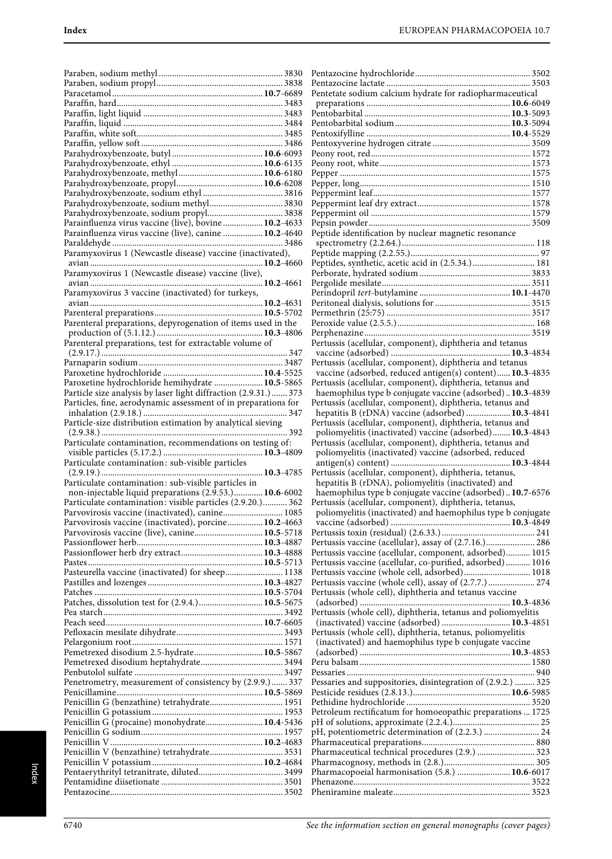| Parahydroxybenzoate, sodium methyl 3830                          |  |
|------------------------------------------------------------------|--|
|                                                                  |  |
| Parainfluenza virus vaccine (live), bovine  10.2-4633            |  |
| Parainfluenza virus vaccine (live), canine  10.2-4640            |  |
|                                                                  |  |
| Paramyxovirus 1 (Newcastle disease) vaccine (inactivated),       |  |
|                                                                  |  |
|                                                                  |  |
| Paramyxovirus 1 (Newcastle disease) vaccine (live),              |  |
|                                                                  |  |
| Paramyxovirus 3 vaccine (inactivated) for turkeys,               |  |
|                                                                  |  |
|                                                                  |  |
| Parenteral preparations, depyrogenation of items used in the     |  |
|                                                                  |  |
|                                                                  |  |
| Parenteral preparations, test for extractable volume of          |  |
|                                                                  |  |
|                                                                  |  |
|                                                                  |  |
| Paroxetine hydrochloride hemihydrate  10.5-5865                  |  |
|                                                                  |  |
| Particle size analysis by laser light diffraction (2.9.31.)  373 |  |
| Particles, fine, aerodynamic assessment of in preparations for   |  |
|                                                                  |  |
| Particle-size distribution estimation by analytical sieving      |  |
|                                                                  |  |
|                                                                  |  |
|                                                                  |  |
| Particulate contamination, recommendations on testing of:        |  |
|                                                                  |  |
| Particulate contamination: sub-visible particles                 |  |
|                                                                  |  |
|                                                                  |  |
| Particulate contamination: sub-visible particles in              |  |
| non-injectable liquid preparations (2.9.53.) 10.6-6002           |  |
| Particulate contamination: visible particles (2.9.20.) 362       |  |
| Parvovirosis vaccine (inactivated), canine 1085                  |  |
| Parvovirosis vaccine (inactivated), porcine 10.2-4663            |  |
| Parvovirosis vaccine (live), canine 10.5-5718                    |  |
|                                                                  |  |
|                                                                  |  |
|                                                                  |  |
|                                                                  |  |
| Pasteurella vaccine (inactivated) for sheep 1138                 |  |
|                                                                  |  |
|                                                                  |  |
| Patches, dissolution test for (2.9.4.) 10.5-5675                 |  |
|                                                                  |  |
|                                                                  |  |
|                                                                  |  |
|                                                                  |  |
|                                                                  |  |
| Pemetrexed disodium 2.5-hydrate 10.5-5867                        |  |
|                                                                  |  |
|                                                                  |  |
| Penetrometry, measurement of consistency by (2.9.9.)  337        |  |
|                                                                  |  |
|                                                                  |  |
| Penicillin G (benzathine) tetrahydrate 1951                      |  |
|                                                                  |  |
| Penicillin G (procaine) monohydrate 10.4-5436                    |  |
|                                                                  |  |
|                                                                  |  |
|                                                                  |  |
|                                                                  |  |
|                                                                  |  |
|                                                                  |  |
|                                                                  |  |

| Pentetate sodium calcium hydrate for radiopharmaceutical                                                              |  |
|-----------------------------------------------------------------------------------------------------------------------|--|
|                                                                                                                       |  |
|                                                                                                                       |  |
|                                                                                                                       |  |
|                                                                                                                       |  |
|                                                                                                                       |  |
|                                                                                                                       |  |
|                                                                                                                       |  |
|                                                                                                                       |  |
|                                                                                                                       |  |
|                                                                                                                       |  |
|                                                                                                                       |  |
| Peptide identification by nuclear magnetic resonance                                                                  |  |
|                                                                                                                       |  |
| Peptides, synthetic, acetic acid in (2.5.34.)  181                                                                    |  |
|                                                                                                                       |  |
|                                                                                                                       |  |
|                                                                                                                       |  |
|                                                                                                                       |  |
|                                                                                                                       |  |
|                                                                                                                       |  |
| Pertussis (acellular, component), diphtheria and tetanus                                                              |  |
|                                                                                                                       |  |
| Pertussis (acellular, component), diphtheria and tetanus                                                              |  |
| vaccine (adsorbed, reduced antigen(s) content) 10.3-4835                                                              |  |
| Pertussis (acellular, component), diphtheria, tetanus and                                                             |  |
| haemophilus type b conjugate vaccine (adsorbed) 10.3-4839                                                             |  |
| Pertussis (acellular, component), diphtheria, tetanus and<br>hepatitis B (rDNA) vaccine (adsorbed)  10.3-4841         |  |
| Pertussis (acellular, component), diphtheria, tetanus and                                                             |  |
| poliomyelitis (inactivated) vaccine (adsorbed) 10.3-4843                                                              |  |
| Pertussis (acellular, component), diphtheria, tetanus and                                                             |  |
| poliomyelitis (inactivated) vaccine (adsorbed, reduced                                                                |  |
|                                                                                                                       |  |
| Pertussis (acellular, component), diphtheria, tetanus,<br>hepatitis B (rDNA), poliomyelitis (inactivated) and         |  |
| haemophilus type b conjugate vaccine (adsorbed) 10.7-6576                                                             |  |
| Pertussis (acellular, component), diphtheria, tetanus,                                                                |  |
|                                                                                                                       |  |
|                                                                                                                       |  |
|                                                                                                                       |  |
| Pertussis vaccine (acellular), assay of (2.7.16.) 286                                                                 |  |
| Pertussis vaccine (acellular, component, adsorbed) 1015<br>Pertussis vaccine (acellular, co-purified, adsorbed)  1016 |  |
| Pertussis vaccine (whole cell, adsorbed) 1018                                                                         |  |
| Pertussis vaccine (whole cell), assay of (2.7.7.) 274                                                                 |  |
| Pertussis (whole cell), diphtheria and tetanus vaccine                                                                |  |
|                                                                                                                       |  |
| Pertussis (whole cell), diphtheria, tetanus and poliomyelitis                                                         |  |
| (inactivated) vaccine (adsorbed)  10.3-4851<br>Pertussis (whole cell), diphtheria, tetanus, poliomyelitis             |  |
| (inactivated) and haemophilus type b conjugate vaccine                                                                |  |
|                                                                                                                       |  |
|                                                                                                                       |  |
|                                                                                                                       |  |
| Pessaries and suppositories, disintegration of (2.9.2.)  325                                                          |  |
|                                                                                                                       |  |
| Petroleum rectificatum for homoeopathic preparations  1725                                                            |  |
|                                                                                                                       |  |
| pH, potentiometric determination of (2.2.3.)  24                                                                      |  |
|                                                                                                                       |  |
| Pharmaceutical technical procedures (2.9.)  323                                                                       |  |
|                                                                                                                       |  |
| Pharmacopoeial harmonisation (5.8.)  10.6-6017                                                                        |  |
|                                                                                                                       |  |
|                                                                                                                       |  |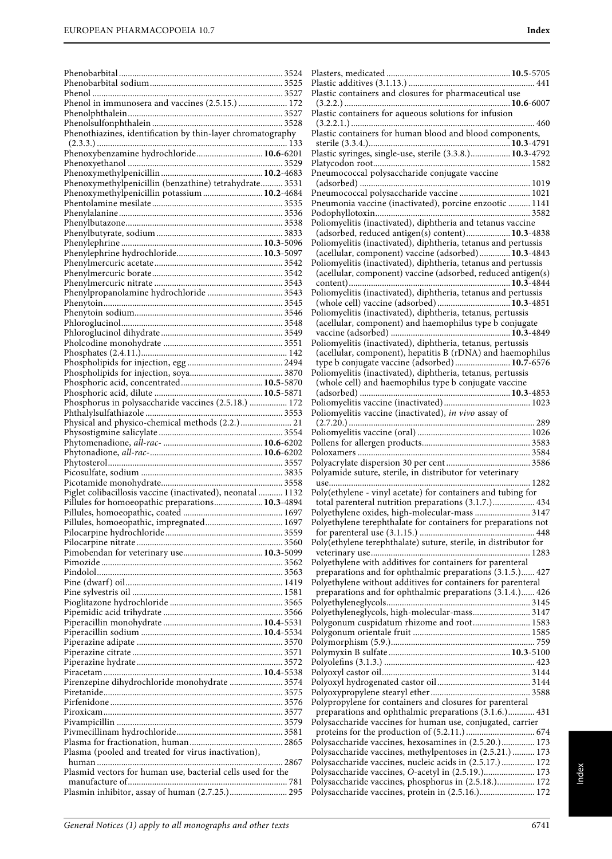| Phenol in immunosera and vaccines (2.5.15.)  172            |  |
|-------------------------------------------------------------|--|
|                                                             |  |
|                                                             |  |
| Phenothiazines, identification by thin-layer chromatography |  |
|                                                             |  |
|                                                             |  |
|                                                             |  |
| Phenoxymethylpenicillin (benzathine) tetrahydrate 3531      |  |
| Phenoxymethylpenicillin potassium  10.2-4684                |  |
|                                                             |  |
|                                                             |  |
|                                                             |  |
|                                                             |  |
|                                                             |  |
|                                                             |  |
|                                                             |  |
|                                                             |  |
|                                                             |  |
|                                                             |  |
|                                                             |  |
|                                                             |  |
|                                                             |  |
|                                                             |  |
|                                                             |  |
|                                                             |  |
|                                                             |  |
|                                                             |  |
| Phosphorus in polysaccharide vaccines (2.5.18.)  172        |  |
|                                                             |  |
| Physical and physico-chemical methods (2.2.)  21            |  |
|                                                             |  |
|                                                             |  |
|                                                             |  |
|                                                             |  |
|                                                             |  |
|                                                             |  |
| Piglet colibacillosis vaccine (inactivated), neonatal  1132 |  |
| Pillules for homoeopathic preparations 10.3-4894            |  |
|                                                             |  |
|                                                             |  |
|                                                             |  |
|                                                             |  |
|                                                             |  |
|                                                             |  |
|                                                             |  |
|                                                             |  |
|                                                             |  |
|                                                             |  |
|                                                             |  |
|                                                             |  |
|                                                             |  |
|                                                             |  |
|                                                             |  |
| Pirenzepine dihydrochloride monohydrate  3574               |  |
|                                                             |  |
|                                                             |  |
|                                                             |  |
|                                                             |  |
|                                                             |  |
| Plasma (pooled and treated for virus inactivation),         |  |
|                                                             |  |
| Plasmid vectors for human use, bacterial cells used for the |  |
| Plasmin inhibitor, assay of human (2.7.25.) 295             |  |

| Plastic containers and closures for pharmaceutical use                                                                                        |
|-----------------------------------------------------------------------------------------------------------------------------------------------|
| Plastic containers for aqueous solutions for infusion                                                                                         |
|                                                                                                                                               |
| Plastic containers for human blood and blood components,                                                                                      |
| Plastic syringes, single-use, sterile (3.3.8.) 10.3-4792                                                                                      |
|                                                                                                                                               |
| Pneumococcal polysaccharide conjugate vaccine                                                                                                 |
| Pneumococcal polysaccharide vaccine  1021                                                                                                     |
| Pneumonia vaccine (inactivated), porcine enzootic  1141                                                                                       |
|                                                                                                                                               |
| Poliomyelitis (inactivated), diphtheria and tetanus vaccine                                                                                   |
| (adsorbed, reduced antigen(s) content) 10.3-4838                                                                                              |
| Poliomyelitis (inactivated), diphtheria, tetanus and pertussis                                                                                |
| (acellular, component) vaccine (adsorbed) 10.3-4843                                                                                           |
| Poliomyelitis (inactivated), diphtheria, tetanus and pertussis                                                                                |
| (acellular, component) vaccine (adsorbed, reduced antigen(s)                                                                                  |
| Poliomyelitis (inactivated), diphtheria, tetanus and pertussis                                                                                |
|                                                                                                                                               |
| $\mathbf{D}^{-1}$ . The $\mathbf{D}^{-1}$ is the $\mathbf{D}^{-1}$ is the $\mathbf{D}^{-1}$ is the $\mathbf{D}^{-1}$ is the $\mathbf{D}^{-1}$ |

| Poliomyelitis (inactivated), diphtheria and tetanus vaccine      |
|------------------------------------------------------------------|
| (adsorbed, reduced antigen(s) content) 10.3-4838                 |
| Poliomyelitis (inactivated), diphtheria, tetanus and pertussis   |
| (acellular, component) vaccine (adsorbed) 10.3-4843              |
| Poliomyelitis (inactivated), diphtheria, tetanus and pertussis   |
| (acellular, component) vaccine (adsorbed, reduced antigen(s)     |
|                                                                  |
|                                                                  |
| (whole cell) vaccine (adsorbed) 10.3-4851                        |
| Poliomyelitis (inactivated), diphtheria, tetanus, pertussis      |
| (acellular, component) and haemophilus type b conjugate          |
|                                                                  |
| Poliomyelitis (inactivated), diphtheria, tetanus, pertussis      |
| (acellular, component), hepatitis B (rDNA) and haemophilus       |
| type b conjugate vaccine (adsorbed) 10.7-6576                    |
| Poliomyelitis (inactivated), diphtheria, tetanus, pertussis      |
| (whole cell) and haemophilus type b conjugate vaccine            |
|                                                                  |
|                                                                  |
| Poliomyelitis vaccine (inactivated), in vivo assay of            |
|                                                                  |
|                                                                  |
|                                                                  |
|                                                                  |
|                                                                  |
| Polyamide suture, sterile, in distributor for veterinary         |
|                                                                  |
| Poly(ethylene - vinyl acetate) for containers and tubing for     |
| total parenteral nutrition preparations (3.1.7.) 434             |
| Polyethylene oxides, high-molecular-mass  3147                   |
| Polyethylene terephthalate for containers for preparations not   |
|                                                                  |
| Poly(ethylene terephthalate) suture, sterile, in distributor for |
|                                                                  |
| Polyethylene with additives for containers for parenteral        |
| preparations and for ophthalmic preparations (3.1.5.) 427        |
| Polyethylene without additives for containers for parenteral     |
| preparations and for ophthalmic preparations (3.1.4.) 426        |
|                                                                  |
| Polyethyleneglycols, high-molecular-mass 3147                    |
| Polygonum cuspidatum rhizome and root 1583                       |
|                                                                  |
|                                                                  |
|                                                                  |
|                                                                  |
|                                                                  |
|                                                                  |
|                                                                  |
| Polypropylene for containers and closures for parenteral         |
| preparations and ophthalmic preparations (3.1.6.) 431            |
| Polysaccharide vaccines for human use, conjugated, carrier       |
|                                                                  |
| Polysaccharide vaccines, hexosamines in (2.5.20.) 173            |
| Polysaccharide vaccines, methylpentoses in (2.5.21.)  173        |
| Polysaccharide vaccines, nucleic acids in (2.5.17.) 172          |
| Polysaccharide vaccines, O-acetyl in (2.5.19.) 173               |
| Polysaccharide vaccines, phosphorus in (2.5.18.) 172             |
|                                                                  |

Polysaccharide vaccines, protein in (2.5.16.)......................... 172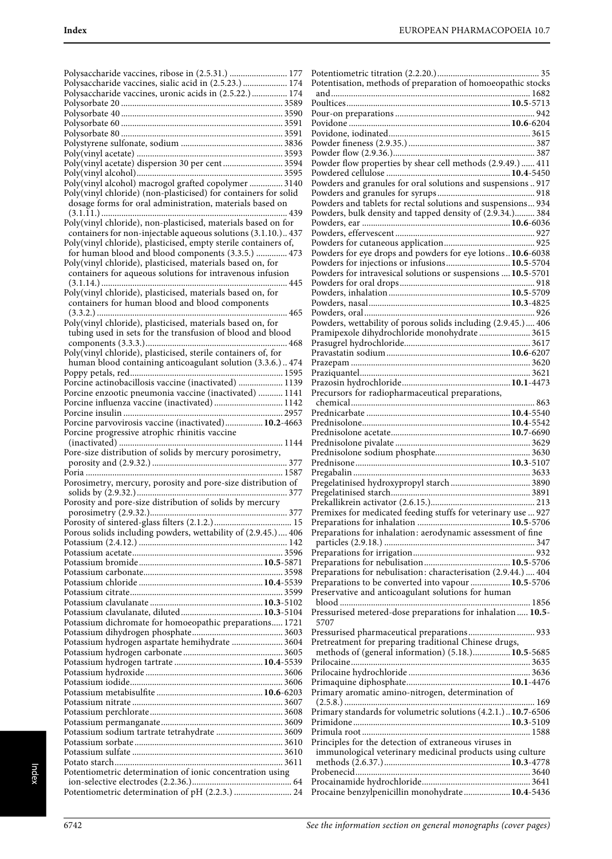| Polysaccharide vaccines, ribose in (2.5.31.)  177               |
|-----------------------------------------------------------------|
| Polysaccharide vaccines, sialic acid in (2.5.23.)  174          |
| Polysaccharide vaccines, uronic acids in (2.5.22.)  174         |
|                                                                 |
|                                                                 |
|                                                                 |
|                                                                 |
|                                                                 |
| Poly(vinyl acetate) dispersion 30 per cent  3594                |
|                                                                 |
| Poly(vinyl alcohol) macrogol grafted copolymer  3140            |
| Poly(vinyl chloride) (non-plasticised) for containers for solid |
| dosage forms for oral administration, materials based on        |
| Poly(vinyl chloride), non-plasticised, materials based on for   |
| containers for non-injectable aqueous solutions (3.1.10.) 437   |
| Poly(vinyl chloride), plasticised, empty sterile containers of, |
| for human blood and blood components (3.3.5.)  473              |
| Poly(vinyl chloride), plasticised, materials based on, for      |
| containers for aqueous solutions for intravenous infusion       |
|                                                                 |
| Poly(vinyl chloride), plasticised, materials based on, for      |
| containers for human blood and blood components                 |
| Poly(vinyl chloride), plasticised, materials based on, for      |
| tubing used in sets for the transfusion of blood and blood      |
|                                                                 |
| Poly(vinyl chloride), plasticised, sterile containers of, for   |
| human blood containing anticoagulant solution (3.3.6.) 474      |
|                                                                 |
| Porcine actinobacillosis vaccine (inactivated)  1139            |
| Porcine enzootic pneumonia vaccine (inactivated)  1141          |
| Porcine influenza vaccine (inactivated)  1142                   |
|                                                                 |
|                                                                 |
| Porcine parvovirosis vaccine (inactivated) 10.2-4663            |
| Porcine progressive atrophic rhinitis vaccine                   |
|                                                                 |
| Pore-size distribution of solids by mercury porosimetry,        |
|                                                                 |
| Porosimetry, mercury, porosity and pore-size distribution of    |
|                                                                 |
| Porosity and pore-size distribution of solids by mercury        |
|                                                                 |
|                                                                 |
| Porous solids including powders, wettability of (2.9.45.) 406   |
|                                                                 |
|                                                                 |
|                                                                 |
|                                                                 |
|                                                                 |
|                                                                 |
|                                                                 |
| Potassium dichromate for homoeopathic preparations 1721         |
|                                                                 |
| Potassium hydrogen aspartate hemihydrate  3604                  |
|                                                                 |
|                                                                 |
|                                                                 |
|                                                                 |
|                                                                 |
|                                                                 |
|                                                                 |
| Potassium sodium tartrate tetrahydrate  3609                    |
|                                                                 |
|                                                                 |
| Potentiometric determination of ionic concentration using       |
| Potentiometric determination of pH (2.2.3.)  24                 |

| Potentisation, methods of preparation of homoeopathic stocks   |  |
|----------------------------------------------------------------|--|
|                                                                |  |
|                                                                |  |
|                                                                |  |
|                                                                |  |
|                                                                |  |
|                                                                |  |
| Powder flow properties by shear cell methods (2.9.49.)  411    |  |
|                                                                |  |
| Powders and granules for oral solutions and suspensions  917   |  |
|                                                                |  |
|                                                                |  |
| Powders, bulk density and tapped density of (2.9.34.) 384      |  |
|                                                                |  |
|                                                                |  |
| Powders for eye drops and powders for eye lotions10.6-6038     |  |
| Powders for injections or infusions 10.5-5704                  |  |
| Powders for intravesical solutions or suspensions  10.5-5701   |  |
|                                                                |  |
|                                                                |  |
|                                                                |  |
|                                                                |  |
| Powders, wettability of porous solids including (2.9.45.) 406  |  |
| Pramipexole dihydrochloride monohydrate  3615                  |  |
|                                                                |  |
|                                                                |  |
|                                                                |  |
|                                                                |  |
| Precursors for radiopharmaceutical preparations,               |  |
|                                                                |  |
|                                                                |  |
|                                                                |  |
|                                                                |  |
|                                                                |  |
|                                                                |  |
|                                                                |  |
|                                                                |  |
|                                                                |  |
|                                                                |  |
|                                                                |  |
|                                                                |  |
| Premixes for medicated feeding stuffs for veterinary use  927  |  |
|                                                                |  |
| Preparations for inhalation: aerodynamic assessment of fine    |  |
|                                                                |  |
|                                                                |  |
| Preparations for nebulisation: characterisation (2.9.44.)  404 |  |
| Preparations to be converted into vapour  10.5-5706            |  |
| Preservative and anticoagulant solutions for human             |  |
|                                                                |  |
| Pressurised metered-dose preparations for inhalation  10.5-    |  |
| 5707                                                           |  |
| Pressurised pharmaceutical preparations 933                    |  |
| Pretreatment for preparing traditional Chinese drugs,          |  |
| methods of (general information) (5.18.)10.5-5685              |  |
|                                                                |  |
|                                                                |  |
| Primary aromatic amino-nitrogen, determination of              |  |
|                                                                |  |
| Primary standards for volumetric solutions (4.2.1.) 10.7-6506  |  |
|                                                                |  |
|                                                                |  |
| Principles for the detection of extraneous viruses in          |  |
| immunological veterinary medicinal products using culture      |  |
|                                                                |  |
| Procaine benzylpenicillin monohydrate  10.4-5436               |  |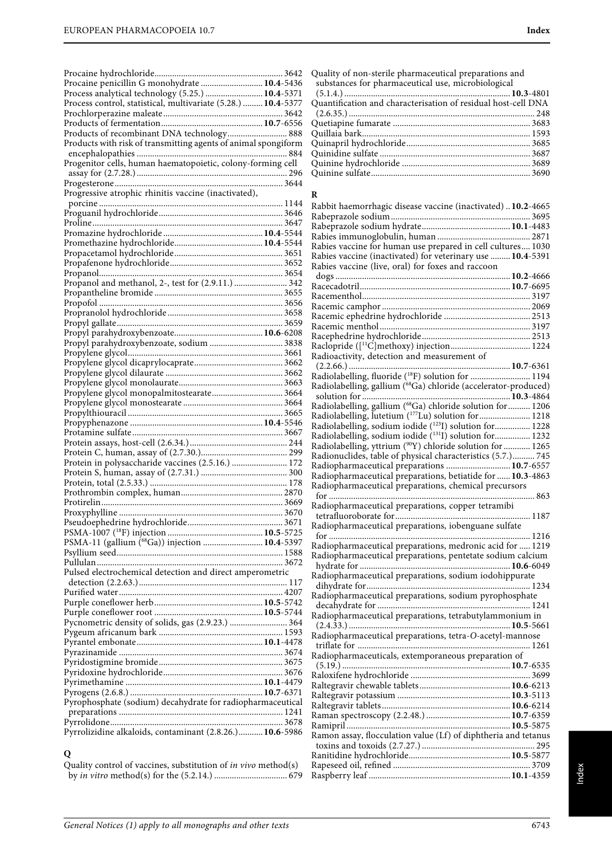| Procaine penicillin G monohydrate  10.4-5436                   |  |
|----------------------------------------------------------------|--|
| Process analytical technology (5.25.)  10.4-5371               |  |
| Process control, statistical, multivariate (5.28.)  10.4-5377  |  |
|                                                                |  |
|                                                                |  |
| Products of recombinant DNA technology 888                     |  |
| Products with risk of transmitting agents of animal spongiform |  |
|                                                                |  |
| Progenitor cells, human haematopoietic, colony-forming cell    |  |
|                                                                |  |
|                                                                |  |
| Progressive atrophic rhinitis vaccine (inactivated),           |  |
|                                                                |  |
|                                                                |  |
|                                                                |  |
|                                                                |  |
|                                                                |  |
|                                                                |  |
|                                                                |  |
|                                                                |  |
|                                                                |  |
|                                                                |  |
|                                                                |  |
|                                                                |  |
|                                                                |  |
|                                                                |  |
|                                                                |  |
|                                                                |  |
|                                                                |  |
|                                                                |  |
|                                                                |  |
|                                                                |  |
|                                                                |  |
|                                                                |  |
|                                                                |  |
|                                                                |  |
|                                                                |  |
|                                                                |  |
|                                                                |  |
|                                                                |  |
|                                                                |  |
|                                                                |  |
|                                                                |  |
| Proxyphylline                                                  |  |
|                                                                |  |
| PSMA-11 (gallium (68Ga)) injection  10.4-5397                  |  |
|                                                                |  |
|                                                                |  |
| Pulsed electrochemical detection and direct amperometric       |  |
|                                                                |  |
|                                                                |  |
|                                                                |  |
|                                                                |  |
|                                                                |  |
|                                                                |  |
| Pycnometric density of solids, gas (2.9.23.)  364              |  |
|                                                                |  |
|                                                                |  |
|                                                                |  |
|                                                                |  |
|                                                                |  |
|                                                                |  |
|                                                                |  |
| Pyrophosphate (sodium) decahydrate for radiopharmaceutical     |  |
|                                                                |  |
| Pyrrolizidine alkaloids, contaminant (2.8.26.) 10.6-5986       |  |

### **Q**

| Quality control of vaccines, substitution of <i>in vivo</i> method(s) |  |
|-----------------------------------------------------------------------|--|
|                                                                       |  |
|                                                                       |  |

Quality of non-sterile pharmaceutical preparations and substances for pharmaceutical use, microbiological (5.1.4.) ...........................................................................**10.3**-4801 Quantification and characterisation of residual host-cell DNA (2.6.35.) .................................................................................... 248 Quetiapine fumarate .............................................................. 3683 Quillaia bark............................................................................ 1593 Quinapril hydrochloride........................................................ 3685 Quinidine sulfate .................................................................... 3687 Quinine hydrochloride .......................................................... 3689 Quinine sulfate........................................................................ 3690

#### **R**

| Rabbit haemorrhagic disease vaccine (inactivated)  10.2-4665                                                                                |      |
|---------------------------------------------------------------------------------------------------------------------------------------------|------|
|                                                                                                                                             |      |
|                                                                                                                                             |      |
|                                                                                                                                             |      |
| Rabies vaccine for human use prepared in cell cultures 1030                                                                                 |      |
| Rabies vaccine (inactivated) for veterinary use  10.4-5391                                                                                  |      |
| Rabies vaccine (live, oral) for foxes and raccoon                                                                                           |      |
|                                                                                                                                             |      |
|                                                                                                                                             |      |
|                                                                                                                                             |      |
|                                                                                                                                             |      |
|                                                                                                                                             |      |
|                                                                                                                                             |      |
|                                                                                                                                             |      |
|                                                                                                                                             |      |
| Radioactivity, detection and measurement of                                                                                                 |      |
| Radiolabelling, fluoride (18F) solution for  1194                                                                                           |      |
|                                                                                                                                             |      |
| Radiolabelling, gallium (68Ga) chloride (accelerator-produced)                                                                              |      |
|                                                                                                                                             |      |
| Radiolabelling, gallium ( <sup>68</sup> Ga) chloride solution for  1206<br>Radiolabelling, lutetium ( <sup>177</sup> Lu) solution for  1218 |      |
| Radiolabelling, sodium iodide (123I) solution for 1228                                                                                      |      |
| Radiolabelling, sodium iodide (131 I) solution for 1232                                                                                     |      |
| Radiolabelling, yttrium (90Y) chloride solution for  1265                                                                                   |      |
| Radionuclides, table of physical characteristics (5.7.) 745                                                                                 |      |
| Radiopharmaceutical preparations  10.7-6557                                                                                                 |      |
| Radiopharmaceutical preparations, betiatide for  10.3-4863                                                                                  |      |
| Radiopharmaceutical preparations, chemical precursors                                                                                       |      |
|                                                                                                                                             |      |
| Radiopharmaceutical preparations, copper tetramibi                                                                                          |      |
|                                                                                                                                             |      |
| Radiopharmaceutical preparations, iobenguane sulfate                                                                                        |      |
|                                                                                                                                             |      |
| Radiopharmaceutical preparations, medronic acid for  1219                                                                                   |      |
| Radiopharmaceutical preparations, pentetate sodium calcium                                                                                  |      |
|                                                                                                                                             |      |
|                                                                                                                                             |      |
|                                                                                                                                             |      |
| Radiopharmaceutical preparations, sodium pyrophosphate                                                                                      |      |
| Radiopharmaceutical preparations, tetrabutylammonium in                                                                                     |      |
|                                                                                                                                             |      |
| Radiopharmaceutical preparations, tetra-O-acetyl-mannose                                                                                    |      |
| triflate for                                                                                                                                | 1261 |
| Radiopharmaceuticals, extemporaneous preparation of                                                                                         |      |
|                                                                                                                                             |      |
|                                                                                                                                             |      |
|                                                                                                                                             |      |
|                                                                                                                                             |      |
|                                                                                                                                             |      |
|                                                                                                                                             |      |
|                                                                                                                                             |      |
| Ramon assay, flocculation value (Lf) of diphtheria and tetanus                                                                              |      |
|                                                                                                                                             |      |
|                                                                                                                                             |      |
|                                                                                                                                             |      |
|                                                                                                                                             |      |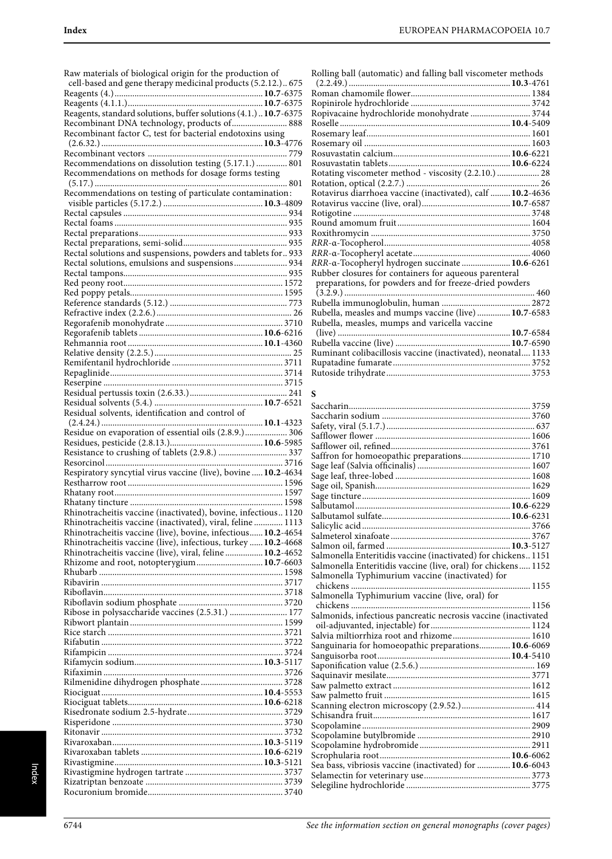| Raw materials of biological origin for the production of        |  |
|-----------------------------------------------------------------|--|
|                                                                 |  |
| cell-based and gene therapy medicinal products (5.2.12.) 675    |  |
|                                                                 |  |
|                                                                 |  |
| Reagents, standard solutions, buffer solutions (4.1.) 10.7-6375 |  |
| Recombinant DNA technology, products of 888                     |  |
| Recombinant factor C, test for bacterial endotoxins using       |  |
|                                                                 |  |
|                                                                 |  |
| Recommendations on dissolution testing (5.17.1.)  801           |  |
|                                                                 |  |
| Recommendations on methods for dosage forms testing             |  |
|                                                                 |  |
| Recommendations on testing of particulate contamination:        |  |
|                                                                 |  |
|                                                                 |  |
|                                                                 |  |
|                                                                 |  |
|                                                                 |  |
| Rectal solutions and suspensions, powders and tablets for 933   |  |
| Rectal solutions, emulsions and suspensions 934                 |  |
|                                                                 |  |
|                                                                 |  |
|                                                                 |  |
|                                                                 |  |
|                                                                 |  |
|                                                                 |  |
|                                                                 |  |
|                                                                 |  |
|                                                                 |  |
|                                                                 |  |
|                                                                 |  |
|                                                                 |  |
|                                                                 |  |
|                                                                 |  |
| Residual solvents, identification and control of                |  |
|                                                                 |  |
|                                                                 |  |
| Residue on evaporation of essential oils (2.8.9.) 306           |  |
|                                                                 |  |
|                                                                 |  |
|                                                                 |  |
| Respiratory syncytial virus vaccine (live), bovine  10.2-4634   |  |
|                                                                 |  |
|                                                                 |  |
|                                                                 |  |
|                                                                 |  |
| Rhinotracheitis vaccine (inactivated), bovine, infectious1120   |  |
| Rhinotracheitis vaccine (inactivated), viral, feline  1113      |  |
| Rhinotracheitis vaccine (live), bovine, infectious 10.2-4654    |  |
| Rhinotracheitis vaccine (live), infectious, turkey  10.2-4668   |  |
| Rhinotracheitis vaccine (live), viral, feline  10.2-4652        |  |
| Rhizome and root, notopterygium 10.7-6603                       |  |
|                                                                 |  |
|                                                                 |  |
|                                                                 |  |
|                                                                 |  |
|                                                                 |  |
| Ribose in polysaccharide vaccines (2.5.31.)  177                |  |
|                                                                 |  |
|                                                                 |  |
|                                                                 |  |
|                                                                 |  |
|                                                                 |  |
|                                                                 |  |
|                                                                 |  |
|                                                                 |  |
|                                                                 |  |
|                                                                 |  |
|                                                                 |  |
|                                                                 |  |
|                                                                 |  |
|                                                                 |  |
|                                                                 |  |
|                                                                 |  |
|                                                                 |  |

| Rolling ball (automatic) and falling ball viscometer methods |
|--------------------------------------------------------------|
|                                                              |
|                                                              |
|                                                              |
| Ropivacaine hydrochloride monohydrate  3744                  |
|                                                              |
|                                                              |
|                                                              |
|                                                              |
|                                                              |
| Rotating viscometer method - viscosity (2.2.10.)  28         |
|                                                              |
| Rotavirus diarrhoea vaccine (inactivated), calf  10.2-4636   |
|                                                              |
|                                                              |
|                                                              |
|                                                              |
|                                                              |
|                                                              |
| RRR-a-Tocopheryl hydrogen succinate 10.6-6261                |
| Rubber closures for containers for aqueous parenteral        |
| preparations, for powders and for freeze-dried powders       |
|                                                              |
|                                                              |
| Rubella, measles and mumps vaccine (live)  10.7-6583         |
| Rubella, measles, mumps and varicella vaccine                |
|                                                              |
|                                                              |
| Ruminant colibacillosis vaccine (inactivated), neonatal 1133 |
|                                                              |
|                                                              |

## **S**

| Saffron for homoeopathic preparations 1710                     |  |
|----------------------------------------------------------------|--|
|                                                                |  |
|                                                                |  |
|                                                                |  |
|                                                                |  |
|                                                                |  |
|                                                                |  |
|                                                                |  |
|                                                                |  |
|                                                                |  |
| Salmonella Enteritidis vaccine (inactivated) for chickens 1151 |  |
| Salmonella Enteritidis vaccine (live, oral) for chickens 1152  |  |
| Salmonella Typhimurium vaccine (inactivated) for               |  |
|                                                                |  |
| Salmonella Typhimurium vaccine (live, oral) for                |  |
| 1156                                                           |  |
| Salmonids, infectious pancreatic necrosis vaccine (inactivated |  |
|                                                                |  |
| Salvia miltiorrhiza root and rhizome 1610                      |  |
| Sanguinaria for homoeopathic preparations 10.6-6069            |  |
|                                                                |  |
|                                                                |  |
|                                                                |  |
|                                                                |  |
|                                                                |  |
|                                                                |  |
|                                                                |  |
|                                                                |  |
|                                                                |  |
|                                                                |  |
|                                                                |  |
| Sea bass, vibriosis vaccine (inactivated) for  10.6-6043       |  |
|                                                                |  |
|                                                                |  |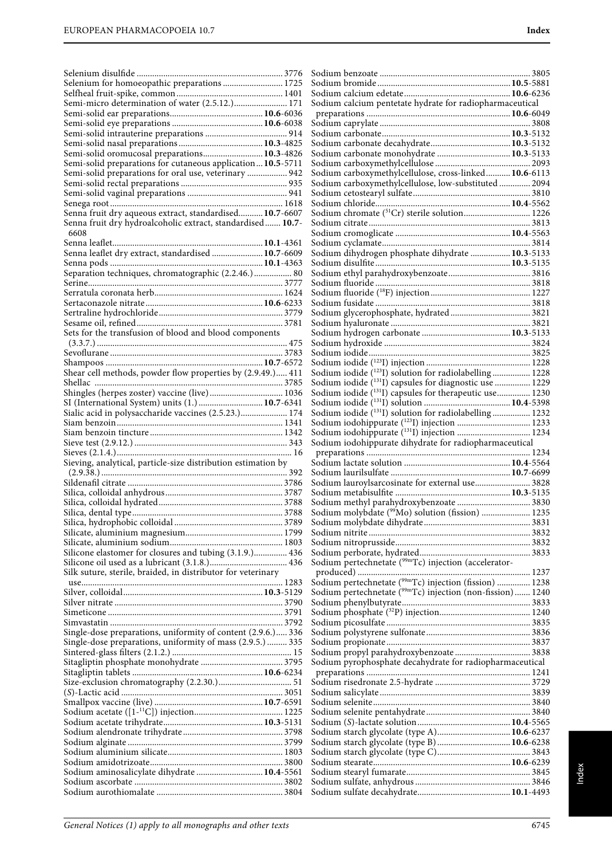| Selenium for homoeopathic preparations  1725<br>Semi-micro determination of water (2.5.12.) 171                               |  |
|-------------------------------------------------------------------------------------------------------------------------------|--|
|                                                                                                                               |  |
| Semi-solid oromucosal preparations 10.3-4826                                                                                  |  |
| Semi-solid preparations for cutaneous application 10.5-5711<br>Semi-solid preparations for oral use, veterinary  942          |  |
|                                                                                                                               |  |
| Senna fruit dry aqueous extract, standardised 10.7-6607<br>Senna fruit dry hydroalcoholic extract, standardised 10.7-<br>6608 |  |
|                                                                                                                               |  |
| Senna leaflet dry extract, standardised  10.7-6609                                                                            |  |
| Separation techniques, chromatographic (2.2.46.) 80                                                                           |  |
|                                                                                                                               |  |
|                                                                                                                               |  |
|                                                                                                                               |  |
| Sets for the transfusion of blood and blood components                                                                        |  |
|                                                                                                                               |  |
| Shear cell methods, powder flow properties by (2.9.49.) 411                                                                   |  |
| Shingles (herpes zoster) vaccine (live) 1036                                                                                  |  |
| SI (International System) units (1.)  10.7-6341<br>Sialic acid in polysaccharide vaccines (2.5.23.)  174                      |  |
|                                                                                                                               |  |
|                                                                                                                               |  |
|                                                                                                                               |  |
| Sieving, analytical, particle-size distribution estimation by                                                                 |  |
|                                                                                                                               |  |
|                                                                                                                               |  |
|                                                                                                                               |  |
|                                                                                                                               |  |
|                                                                                                                               |  |
| Silicone elastomer for closures and tubing (3.1.9.) 436                                                                       |  |
|                                                                                                                               |  |
| Silk suture, sterile, braided, in distributor for veterinary                                                                  |  |
|                                                                                                                               |  |
|                                                                                                                               |  |
|                                                                                                                               |  |
| Single-dose preparations, uniformity of content (2.9.6.) 336                                                                  |  |
| Single-dose preparations, uniformity of mass (2.9.5.)  335                                                                    |  |
|                                                                                                                               |  |
|                                                                                                                               |  |
|                                                                                                                               |  |
|                                                                                                                               |  |
|                                                                                                                               |  |
|                                                                                                                               |  |
|                                                                                                                               |  |
|                                                                                                                               |  |
|                                                                                                                               |  |
| Sodium aminosalicylate dihydrate  10.4-5561                                                                                   |  |
|                                                                                                                               |  |

| Sodium carbonate monohydrate  10.3-5133                                                                                       |  |
|-------------------------------------------------------------------------------------------------------------------------------|--|
| Sodium carboxymethylcellulose, cross-linked 10.6-6113                                                                         |  |
| Sodium carboxymethylcellulose, low-substituted  2094                                                                          |  |
|                                                                                                                               |  |
|                                                                                                                               |  |
| Sodium chromate (51Cr) sterile solution 1226                                                                                  |  |
|                                                                                                                               |  |
|                                                                                                                               |  |
|                                                                                                                               |  |
| Sodium dihydrogen phosphate dihydrate  10.3-5133                                                                              |  |
|                                                                                                                               |  |
|                                                                                                                               |  |
|                                                                                                                               |  |
|                                                                                                                               |  |
|                                                                                                                               |  |
|                                                                                                                               |  |
|                                                                                                                               |  |
|                                                                                                                               |  |
|                                                                                                                               |  |
|                                                                                                                               |  |
| Sodium iodide (123I) solution for radiolabelling  1228                                                                        |  |
| Sodium iodide (1311) capsules for diagnostic use  1229<br>Sodium iodide ( <sup>131</sup> I) capsules for therapeutic use 1230 |  |
|                                                                                                                               |  |
| Sodium iodide (131I) solution for radiolabelling 1232                                                                         |  |
|                                                                                                                               |  |
| Sodium iodohippurate (131I) injection  1234                                                                                   |  |
| Sodium iodohippurate dihydrate for radiopharmaceutical                                                                        |  |
|                                                                                                                               |  |
|                                                                                                                               |  |
|                                                                                                                               |  |
|                                                                                                                               |  |
| Sodium lauroylsarcosinate for external use 3828                                                                               |  |
|                                                                                                                               |  |
| Sodium methyl parahydroxybenzoate  3830                                                                                       |  |
|                                                                                                                               |  |
|                                                                                                                               |  |
|                                                                                                                               |  |
|                                                                                                                               |  |
| Sodium pertechnetate (99mTc) injection (accelerator-                                                                          |  |
|                                                                                                                               |  |
| Sodium pertechnetate ( <sup>99mT</sup> c) injection (fission)  1238                                                           |  |
| Sodium pertechnetate ( <sup>99m</sup> Tc) injection (non-fission) 1240                                                        |  |
|                                                                                                                               |  |
|                                                                                                                               |  |
|                                                                                                                               |  |
|                                                                                                                               |  |
|                                                                                                                               |  |
| Sodium pyrophosphate decahydrate for radiopharmaceutical                                                                      |  |
|                                                                                                                               |  |
|                                                                                                                               |  |
|                                                                                                                               |  |
|                                                                                                                               |  |
|                                                                                                                               |  |
|                                                                                                                               |  |
| Sodium starch glycolate (type A) 10.6-6237                                                                                    |  |
| Sodium starch glycolate (type B)  10.6-6238                                                                                   |  |
|                                                                                                                               |  |
|                                                                                                                               |  |
|                                                                                                                               |  |
|                                                                                                                               |  |
|                                                                                                                               |  |

Sodium benzoate .................................................................... 3805 Sodium bromide ............................................................**10.5**-5881 Sodium calcium edetate................................................**10.6**-6236 Sodium calcium pentetate hydrate for radiopharmaceutical preparations .................................................................**10.6**-6049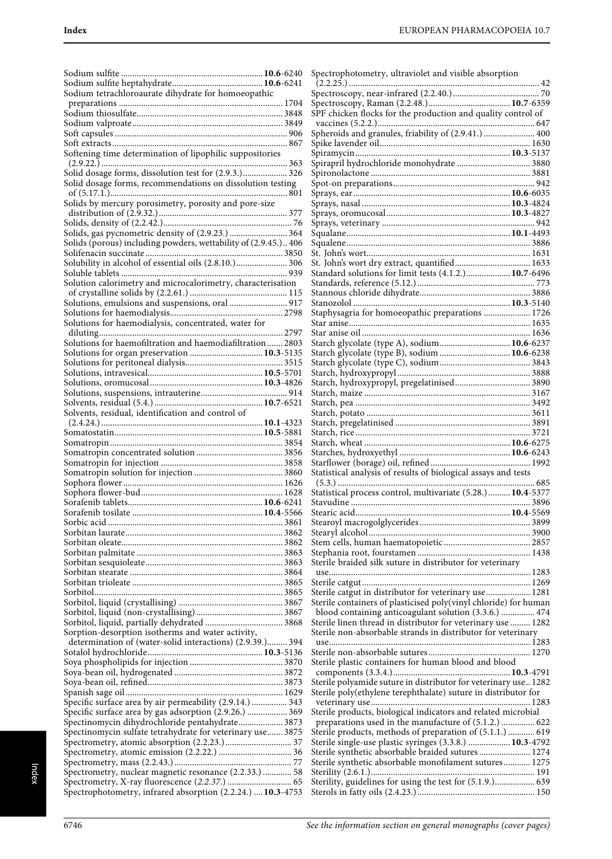| Sodium tetrachloroaurate dihydrate for homoeopathic             |  |
|-----------------------------------------------------------------|--|
|                                                                 |  |
|                                                                 |  |
|                                                                 |  |
|                                                                 |  |
|                                                                 |  |
|                                                                 |  |
| Softening time determination of lipophilic suppositories        |  |
|                                                                 |  |
| Solid dosage forms, dissolution test for (2.9.3.) 326           |  |
| Solid dosage forms, recommendations on dissolution testing      |  |
|                                                                 |  |
| Solids by mercury porosimetry, porosity and pore-size           |  |
|                                                                 |  |
|                                                                 |  |
| Solids, gas pycnometric density of (2.9.23.)  364               |  |
| Solids (porous) including powders, wettability of (2.9.45.) 406 |  |
|                                                                 |  |
| Solubility in alcohol of essential oils (2.8.10.) 306           |  |
|                                                                 |  |
|                                                                 |  |
| Solution calorimetry and microcalorimetry, characterisation     |  |
|                                                                 |  |
| Solutions, emulsions and suspensions, oral  917                 |  |
|                                                                 |  |
| Solutions for haemodialysis, concentrated, water for            |  |
|                                                                 |  |
| Solutions for haemofiltration and haemodiafiltration 2803       |  |
| Solutions for organ preservation  10.3-5135                     |  |
|                                                                 |  |
|                                                                 |  |
|                                                                 |  |
|                                                                 |  |
|                                                                 |  |
| Solvents, residual, identification and control of               |  |
|                                                                 |  |
|                                                                 |  |
|                                                                 |  |
|                                                                 |  |
|                                                                 |  |
|                                                                 |  |
|                                                                 |  |
|                                                                 |  |
|                                                                 |  |
|                                                                 |  |
|                                                                 |  |
|                                                                 |  |
|                                                                 |  |
|                                                                 |  |
|                                                                 |  |
|                                                                 |  |
|                                                                 |  |
|                                                                 |  |
|                                                                 |  |
|                                                                 |  |
|                                                                 |  |
|                                                                 |  |
| Sorption-desorption isotherms and water activity,               |  |
| determination of (water-solid interactions) (2.9.39.) 394       |  |
|                                                                 |  |
|                                                                 |  |
|                                                                 |  |
|                                                                 |  |
|                                                                 |  |
| Specific surface area by air permeability (2.9.14.)  343        |  |
| Specific surface area by gas adsorption (2.9.26.)  369          |  |
| Spectinomycin dihydrochloride pentahydrate 3873                 |  |
| Spectinomycin sulfate tetrahydrate for veterinary use 3875      |  |
|                                                                 |  |
|                                                                 |  |
|                                                                 |  |
| Spectrometry, nuclear magnetic resonance (2.2.33.)  58          |  |
|                                                                 |  |
| Spectrophotometry, infrared absorption (2.2.24.)  10.3-4753     |  |
|                                                                 |  |

| Spectrophotometry, ultraviolet and visible absorption            |  |
|------------------------------------------------------------------|--|
|                                                                  |  |
|                                                                  |  |
| SPF chicken flocks for the production and quality control of     |  |
|                                                                  |  |
|                                                                  |  |
| Spheroids and granules, friability of (2.9.41.)  400             |  |
|                                                                  |  |
|                                                                  |  |
| Spirapril hydrochloride monohydrate  3880                        |  |
|                                                                  |  |
|                                                                  |  |
|                                                                  |  |
|                                                                  |  |
|                                                                  |  |
|                                                                  |  |
|                                                                  |  |
|                                                                  |  |
|                                                                  |  |
|                                                                  |  |
| Standard solutions for limit tests (4.1.2.) 10.7-6496            |  |
|                                                                  |  |
|                                                                  |  |
|                                                                  |  |
|                                                                  |  |
| Staphysagria for homoeopathic preparations  1726                 |  |
|                                                                  |  |
|                                                                  |  |
| Starch glycolate (type A), sodium 10.6-6237                      |  |
| Starch glycolate (type B), sodium  10.6-6238                     |  |
|                                                                  |  |
|                                                                  |  |
| Starch, hydroxypropyl, pregelatinised 3890                       |  |
|                                                                  |  |
|                                                                  |  |
|                                                                  |  |
|                                                                  |  |
|                                                                  |  |
|                                                                  |  |
|                                                                  |  |
|                                                                  |  |
|                                                                  |  |
|                                                                  |  |
| Statistical analysis of results of biological assays and tests   |  |
|                                                                  |  |
| Statistical process control, multivariate (5.28.) 10.4-5377      |  |
|                                                                  |  |
| Stearic acid                                                     |  |
|                                                                  |  |
|                                                                  |  |
|                                                                  |  |
|                                                                  |  |
|                                                                  |  |
| Sterile braided silk suture in distributor for veterinary        |  |
|                                                                  |  |
|                                                                  |  |
| Sterile catgut in distributor for veterinary use 1281            |  |
| Sterile containers of plasticised poly(vinyl chloride) for human |  |
| blood containing anticoagulant solution (3.3.6.)  474            |  |
| Sterile linen thread in distributor for veterinary use  1282     |  |
| Sterile non-absorbable strands in distributor for veterinary     |  |
|                                                                  |  |
|                                                                  |  |
| Sterile plastic containers for human blood and blood             |  |
|                                                                  |  |
| Sterile polyamide suture in distributor for veterinary use 1282  |  |
| Sterile poly(ethylene terephthalate) suture in distributor for   |  |
|                                                                  |  |
| Sterile products, biological indicators and related microbial    |  |
| preparations used in the manufacture of (5.1.2.)  622            |  |
| Sterile products, methods of preparation of (5.1.1.)  619        |  |
| Sterile single-use plastic syringes (3.3.8.)  10.3-4792          |  |
|                                                                  |  |
| Sterile synthetic absorbable braided sutures  1274               |  |
| Sterile synthetic absorbable monofilament sutures 1275           |  |
| Sterility, guidelines for using the test for (5.1.9.) 639        |  |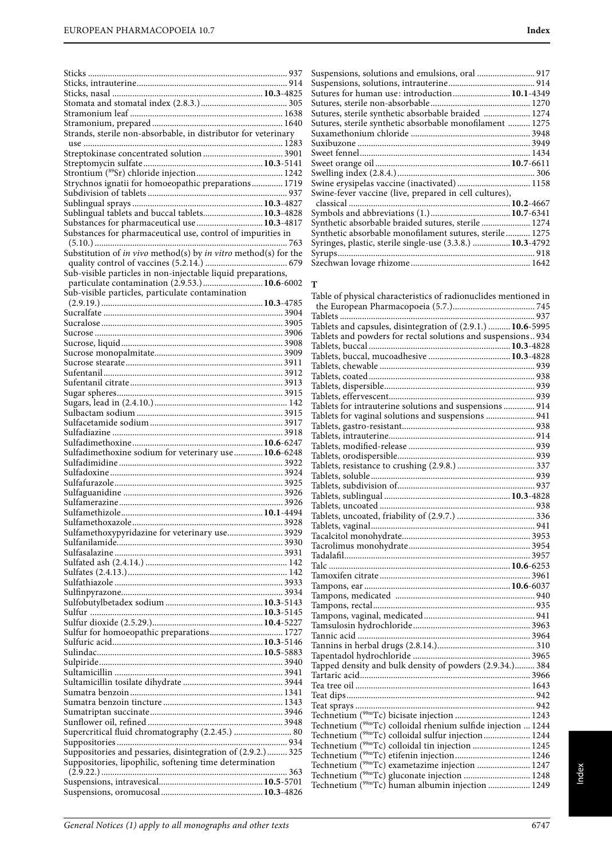| Strands, sterile non-absorbable, in distributor for veterinary  |  |
|-----------------------------------------------------------------|--|
|                                                                 |  |
|                                                                 |  |
|                                                                 |  |
|                                                                 |  |
| Strychnos ignatii for homoeopathic preparations 1719            |  |
|                                                                 |  |
|                                                                 |  |
| Sublingual tablets and buccal tablets 10.3-4828                 |  |
| Substances for pharmaceutical use  10.3-4817                    |  |
| Substances for pharmaceutical use, control of impurities in     |  |
|                                                                 |  |
| Substitution of in vivo method(s) by in vitro method(s) for the |  |
| Sub-visible particles in non-injectable liquid preparations,    |  |
| particulate contamination (2.9.53.) 10.6-6002                   |  |
| Sub-visible particles, particulate contamination                |  |
|                                                                 |  |
|                                                                 |  |
|                                                                 |  |
|                                                                 |  |
|                                                                 |  |
|                                                                 |  |
|                                                                 |  |
|                                                                 |  |
|                                                                 |  |
|                                                                 |  |
|                                                                 |  |
|                                                                 |  |
|                                                                 |  |
|                                                                 |  |
|                                                                 |  |
|                                                                 |  |
| Sulfadimethoxine sodium for veterinary use  10.6-6248           |  |
|                                                                 |  |
|                                                                 |  |
|                                                                 |  |
|                                                                 |  |
|                                                                 |  |
|                                                                 |  |
|                                                                 |  |
| Sulfamethoxypyridazine for veterinary use 3929                  |  |
|                                                                 |  |
|                                                                 |  |
|                                                                 |  |
|                                                                 |  |
|                                                                 |  |
|                                                                 |  |
|                                                                 |  |
|                                                                 |  |
| Sulfur for homoeopathic preparations 1727                       |  |
|                                                                 |  |
|                                                                 |  |
|                                                                 |  |
|                                                                 |  |
|                                                                 |  |
|                                                                 |  |
|                                                                 |  |
|                                                                 |  |
|                                                                 |  |
| Supercritical fluid chromatography (2.2.45.)  80                |  |
|                                                                 |  |
| Suppositories and pessaries, disintegration of (2.9.2.) 325     |  |
| Suppositories, lipophilic, softening time determination         |  |
|                                                                 |  |

| Suspensions, solutions and emulsions, oral  917           |  |
|-----------------------------------------------------------|--|
|                                                           |  |
| Sutures for human use: introduction 10.1-4349             |  |
|                                                           |  |
| Sutures, sterile synthetic absorbable braided  1274       |  |
| Sutures, sterile synthetic absorbable monofilament  1275  |  |
|                                                           |  |
|                                                           |  |
|                                                           |  |
|                                                           |  |
|                                                           |  |
| Swine erysipelas vaccine (inactivated) 1158               |  |
| Swine-fever vaccine (live, prepared in cell cultures),    |  |
|                                                           |  |
|                                                           |  |
| Synthetic absorbable braided sutures, sterile  1274       |  |
| Synthetic absorbable monofilament sutures, sterile 1275   |  |
| Syringes, plastic, sterile single-use (3.3.8.)  10.3-4792 |  |
|                                                           |  |
|                                                           |  |

## **T**

| Table of physical characteristics of radionuclides mentioned in          |  |
|--------------------------------------------------------------------------|--|
|                                                                          |  |
|                                                                          |  |
| Tablets and capsules, disintegration of (2.9.1.)  10.6-5995              |  |
| Tablets and powders for rectal solutions and suspensions 934             |  |
|                                                                          |  |
|                                                                          |  |
|                                                                          |  |
|                                                                          |  |
|                                                                          |  |
|                                                                          |  |
| Tablets for intrauterine solutions and suspensions  914                  |  |
| Tablets for vaginal solutions and suspensions  941                       |  |
|                                                                          |  |
|                                                                          |  |
|                                                                          |  |
|                                                                          |  |
|                                                                          |  |
|                                                                          |  |
|                                                                          |  |
|                                                                          |  |
|                                                                          |  |
|                                                                          |  |
|                                                                          |  |
|                                                                          |  |
|                                                                          |  |
|                                                                          |  |
|                                                                          |  |
|                                                                          |  |
|                                                                          |  |
|                                                                          |  |
|                                                                          |  |
|                                                                          |  |
|                                                                          |  |
|                                                                          |  |
|                                                                          |  |
|                                                                          |  |
| Tapped density and bulk density of powders (2.9.34.) 384                 |  |
|                                                                          |  |
|                                                                          |  |
|                                                                          |  |
|                                                                          |  |
|                                                                          |  |
| Technetium $\hat{C}^{99m}$ Tc) colloidal rhenium sulfide injection  1244 |  |
| Technetium ( <sup>99m</sup> Tc) colloidal sulfur injection 1244          |  |
| Technetium ( <sup>99m</sup> Tc) colloidal tin injection  1245            |  |
|                                                                          |  |
| Technetium ( <sup>99m</sup> Tc) exametazime injection  1247              |  |
| Technetium (99mTc) gluconate injection  1248                             |  |
| Technetium ( <sup>99m</sup> Tc) human albumin injection  1249            |  |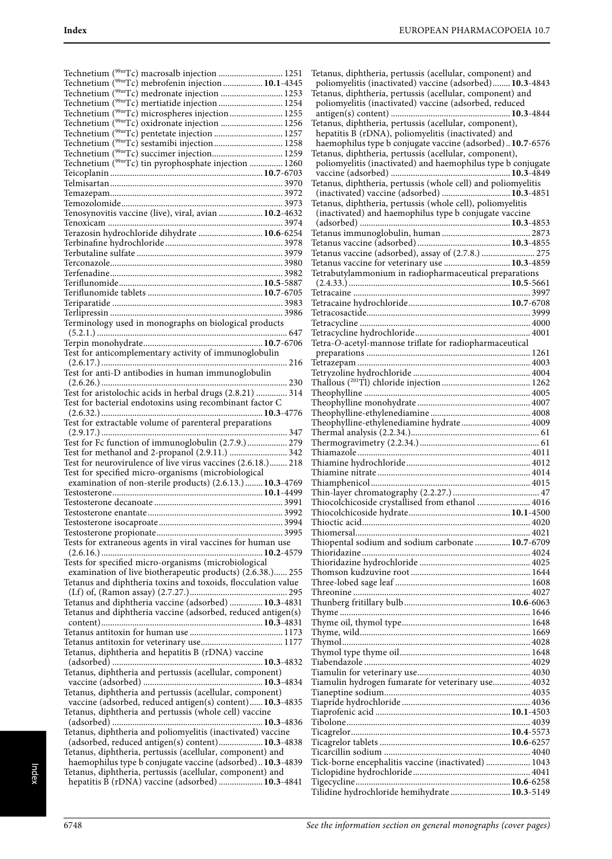| Technetium ( <sup>99m</sup> Tc) macrosalb injection  1251                                                     |  |
|---------------------------------------------------------------------------------------------------------------|--|
| Technetium ( <sup>99m</sup> Tc) mebrofenin injection 10.1-4345                                                |  |
| Technetium ( <sup>99m</sup> Tc) medronate injection  1253                                                     |  |
|                                                                                                               |  |
| Technetium ( <sup>99m</sup> Tc) mertiatide injection  1254                                                    |  |
| Technetium ( <sup>99m</sup> Tc) microspheres injection  1255                                                  |  |
| Technetium ( <sup>99m</sup> Tc) oxidronate injection  1256                                                    |  |
| Technetium ( <sup>99m</sup> Tc) pentetate injection  1257                                                     |  |
| Technetium ( <sup>99m</sup> Tc) sestamibi injection 1258                                                      |  |
|                                                                                                               |  |
|                                                                                                               |  |
| Technetium ( <sup>99m</sup> Tc) tin pyrophosphate injection  1260                                             |  |
|                                                                                                               |  |
|                                                                                                               |  |
|                                                                                                               |  |
|                                                                                                               |  |
|                                                                                                               |  |
| Tenosynovitis vaccine (live), viral, avian  10.2-4632                                                         |  |
|                                                                                                               |  |
| Terazosin hydrochloride dihydrate  10.6-6254                                                                  |  |
|                                                                                                               |  |
|                                                                                                               |  |
|                                                                                                               |  |
|                                                                                                               |  |
|                                                                                                               |  |
|                                                                                                               |  |
|                                                                                                               |  |
|                                                                                                               |  |
|                                                                                                               |  |
|                                                                                                               |  |
| Terminology used in monographs on biological products                                                         |  |
|                                                                                                               |  |
|                                                                                                               |  |
|                                                                                                               |  |
| Test for anticomplementary activity of immunoglobulin                                                         |  |
|                                                                                                               |  |
| Test for anti-D antibodies in human immunoglobulin                                                            |  |
|                                                                                                               |  |
| Test for aristolochic acids in herbal drugs (2.8.21)  314                                                     |  |
|                                                                                                               |  |
| Test for bacterial endotoxins using recombinant factor C                                                      |  |
|                                                                                                               |  |
|                                                                                                               |  |
|                                                                                                               |  |
| Test for extractable volume of parenteral preparations                                                        |  |
|                                                                                                               |  |
| Test for Fc function of immunoglobulin (2.7.9.) 279                                                           |  |
| Test for methanol and 2-propanol (2.9.11.)  342                                                               |  |
| Test for neurovirulence of live virus vaccines (2.6.18.) 218                                                  |  |
| Test for specified micro-organisms (microbiological                                                           |  |
|                                                                                                               |  |
| examination of non-sterile products) (2.6.13.) 10.3-4769                                                      |  |
|                                                                                                               |  |
|                                                                                                               |  |
|                                                                                                               |  |
|                                                                                                               |  |
|                                                                                                               |  |
|                                                                                                               |  |
| Tests for extraneous agents in viral vaccines for human use                                                   |  |
|                                                                                                               |  |
| Tests for specified micro-organisms (microbiological                                                          |  |
| examination of live biotherapeutic products) (2.6.38.) 255                                                    |  |
| Tetanus and diphtheria toxins and toxoids, flocculation value                                                 |  |
|                                                                                                               |  |
|                                                                                                               |  |
| Tetanus and diphtheria vaccine (adsorbed)  10.3-4831                                                          |  |
| Tetanus and diphtheria vaccine (adsorbed, reduced antigen(s)                                                  |  |
|                                                                                                               |  |
|                                                                                                               |  |
|                                                                                                               |  |
|                                                                                                               |  |
| Tetanus, diphtheria and hepatitis B (rDNA) vaccine                                                            |  |
|                                                                                                               |  |
| Tetanus, diphtheria and pertussis (acellular, component)                                                      |  |
|                                                                                                               |  |
| Tetanus, diphtheria and pertussis (acellular, component)                                                      |  |
| vaccine (adsorbed, reduced antigen(s) content) 10.3-4835                                                      |  |
|                                                                                                               |  |
| Tetanus, diphtheria and pertussis (whole cell) vaccine                                                        |  |
|                                                                                                               |  |
| Tetanus, diphtheria and poliomyelitis (inactivated) vaccine                                                   |  |
| (adsorbed, reduced antigen(s) content) 10.3-4838                                                              |  |
| Tetanus, diphtheria, pertussis (acellular, component) and                                                     |  |
|                                                                                                               |  |
| haemophilus type b conjugate vaccine (adsorbed) 10.3-4839                                                     |  |
| Tetanus, diphtheria, pertussis (acellular, component) and<br>hepatitis B (rDNA) vaccine (adsorbed)  10.3-4841 |  |

| Tetanus, diphtheria, pertussis (acellular, component) and                                                            |  |
|----------------------------------------------------------------------------------------------------------------------|--|
| poliomyelitis (inactivated) vaccine (adsorbed) 10.3-4843                                                             |  |
| Tetanus, diphtheria, pertussis (acellular, component) and                                                            |  |
| poliomyelitis (inactivated) vaccine (adsorbed, reduced                                                               |  |
| Tetanus, diphtheria, pertussis (acellular, component),                                                               |  |
| hepatitis B (rDNA), poliomyelitis (inactivated) and                                                                  |  |
| haemophilus type b conjugate vaccine (adsorbed) 10.7-6576                                                            |  |
| Tetanus, diphtheria, pertussis (acellular, component),                                                               |  |
| poliomyelitis (inactivated) and haemophilus type b conjugate                                                         |  |
|                                                                                                                      |  |
| Tetanus, diphtheria, pertussis (whole cell) and poliomyelitis                                                        |  |
| (inactivated) vaccine (adsorbed)  10.3-4851                                                                          |  |
| Tetanus, diphtheria, pertussis (whole cell), poliomyelitis<br>(inactivated) and haemophilus type b conjugate vaccine |  |
|                                                                                                                      |  |
|                                                                                                                      |  |
|                                                                                                                      |  |
| Tetanus vaccine (adsorbed), assay of (2.7.8.)  275                                                                   |  |
| Tetanus vaccine for veterinary use  10.3-4859                                                                        |  |
| Tetrabutylammonium in radiopharmaceutical preparations                                                               |  |
|                                                                                                                      |  |
|                                                                                                                      |  |
|                                                                                                                      |  |
|                                                                                                                      |  |
|                                                                                                                      |  |
| Tetra-O-acetyl-mannose triflate for radiopharmaceutical                                                              |  |
|                                                                                                                      |  |
|                                                                                                                      |  |
|                                                                                                                      |  |
|                                                                                                                      |  |
|                                                                                                                      |  |
|                                                                                                                      |  |
|                                                                                                                      |  |
| Theophylline-ethylenediamine hydrate  4009                                                                           |  |
|                                                                                                                      |  |
|                                                                                                                      |  |
|                                                                                                                      |  |
|                                                                                                                      |  |
|                                                                                                                      |  |
|                                                                                                                      |  |
| Thiocolchicoside crystallised from ethanol  4016                                                                     |  |
|                                                                                                                      |  |
|                                                                                                                      |  |
| Thiopental sodium and sodium carbonate  10.7-6709                                                                    |  |
|                                                                                                                      |  |
|                                                                                                                      |  |
|                                                                                                                      |  |
|                                                                                                                      |  |
|                                                                                                                      |  |
|                                                                                                                      |  |
|                                                                                                                      |  |
|                                                                                                                      |  |
|                                                                                                                      |  |
|                                                                                                                      |  |
|                                                                                                                      |  |
|                                                                                                                      |  |
|                                                                                                                      |  |
| Tiamulin hydrogen fumarate for veterinary use 4032                                                                   |  |
|                                                                                                                      |  |
|                                                                                                                      |  |
|                                                                                                                      |  |
|                                                                                                                      |  |
|                                                                                                                      |  |
|                                                                                                                      |  |
|                                                                                                                      |  |
| Tick-borne encephalitis vaccine (inactivated)  1043                                                                  |  |
| Tilidine hydrochloride hemihydrate  10.3-5149                                                                        |  |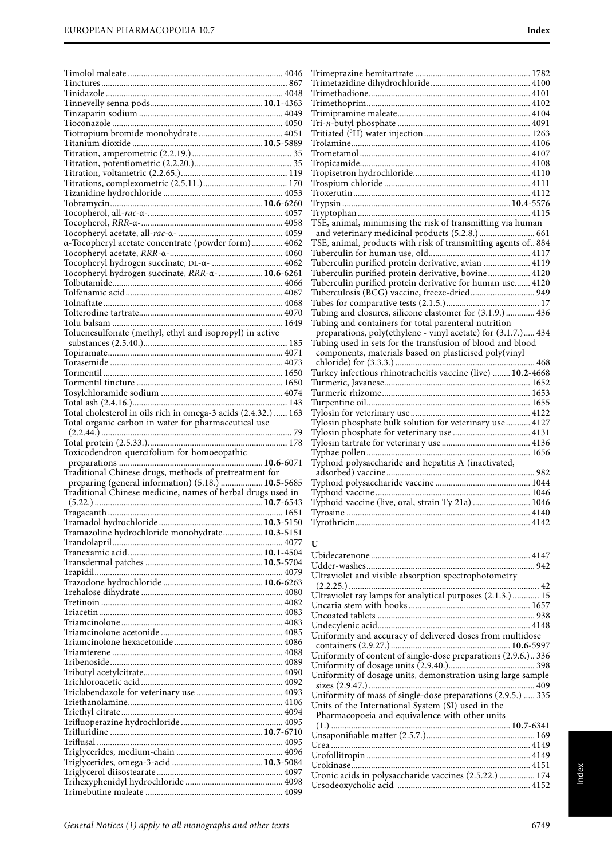| a-Tocopheryl acetate concentrate (powder form) 4062                                                               |  |
|-------------------------------------------------------------------------------------------------------------------|--|
| Tocopheryl hydrogen succinate, DL-a-  4062                                                                        |  |
| Tocopheryl hydrogen succinate, RRR-a-  10.6-6261                                                                  |  |
|                                                                                                                   |  |
|                                                                                                                   |  |
|                                                                                                                   |  |
|                                                                                                                   |  |
| Toluenesulfonate (methyl, ethyl and isopropyl) in active                                                          |  |
|                                                                                                                   |  |
|                                                                                                                   |  |
|                                                                                                                   |  |
|                                                                                                                   |  |
|                                                                                                                   |  |
|                                                                                                                   |  |
| Total cholesterol in oils rich in omega-3 acids (2.4.32.)  163                                                    |  |
| Total organic carbon in water for pharmaceutical use                                                              |  |
|                                                                                                                   |  |
|                                                                                                                   |  |
|                                                                                                                   |  |
| Toxicodendron quercifolium for homoeopathic                                                                       |  |
|                                                                                                                   |  |
| Traditional Chinese drugs, methods of pretreatment for                                                            |  |
| preparing (general information) (5.18.)  10.5-5685<br>Traditional Chinese medicine, names of herbal drugs used in |  |
|                                                                                                                   |  |
|                                                                                                                   |  |
|                                                                                                                   |  |
| Tramazoline hydrochloride monohydrate 10.3-5151                                                                   |  |
|                                                                                                                   |  |
|                                                                                                                   |  |
|                                                                                                                   |  |
|                                                                                                                   |  |
|                                                                                                                   |  |
|                                                                                                                   |  |
|                                                                                                                   |  |
|                                                                                                                   |  |
|                                                                                                                   |  |
|                                                                                                                   |  |
|                                                                                                                   |  |
|                                                                                                                   |  |
|                                                                                                                   |  |
|                                                                                                                   |  |
|                                                                                                                   |  |
|                                                                                                                   |  |
|                                                                                                                   |  |
|                                                                                                                   |  |
|                                                                                                                   |  |
|                                                                                                                   |  |
|                                                                                                                   |  |

| TSE, animal, minimising the risk of transmitting via human     |  |
|----------------------------------------------------------------|--|
| and veterinary medicinal products (5.2.8.)  661                |  |
| TSE, animal, products with risk of transmitting agents of. 884 |  |
|                                                                |  |
| Tuberculin purified protein derivative, avian  4119            |  |
| Tuberculin purified protein derivative, bovine 4120            |  |
| Tuberculin purified protein derivative for human use 4120      |  |
| Tuberculosis (BCG) vaccine, freeze-dried 949                   |  |
|                                                                |  |
| Tubing and closures, silicone elastomer for (3.1.9.) 436       |  |
| Tubing and containers for total parenteral nutrition           |  |
| preparations, poly(ethylene - vinyl acetate) for (3.1.7.) 434  |  |
| Tubing used in sets for the transfusion of blood and blood     |  |
| components, materials based on plasticised poly(vinyl          |  |
|                                                                |  |
| Turkey infectious rhinotracheitis vaccine (live)  10.2-4668    |  |
|                                                                |  |
|                                                                |  |
|                                                                |  |
|                                                                |  |
| Tylosin phosphate bulk solution for veterinary use  4127       |  |
|                                                                |  |
|                                                                |  |
|                                                                |  |
| Typhoid polysaccharide and hepatitis A (inactivated,           |  |
|                                                                |  |
|                                                                |  |
|                                                                |  |
| Typhoid vaccine (live, oral, strain Ty 21a)  1046              |  |
|                                                                |  |
|                                                                |  |
|                                                                |  |

### **U**

Uronic acids in polysaccharide vaccines (2.5.22.) ................ 174 Ursodeoxycholic acid ............................................................ 4152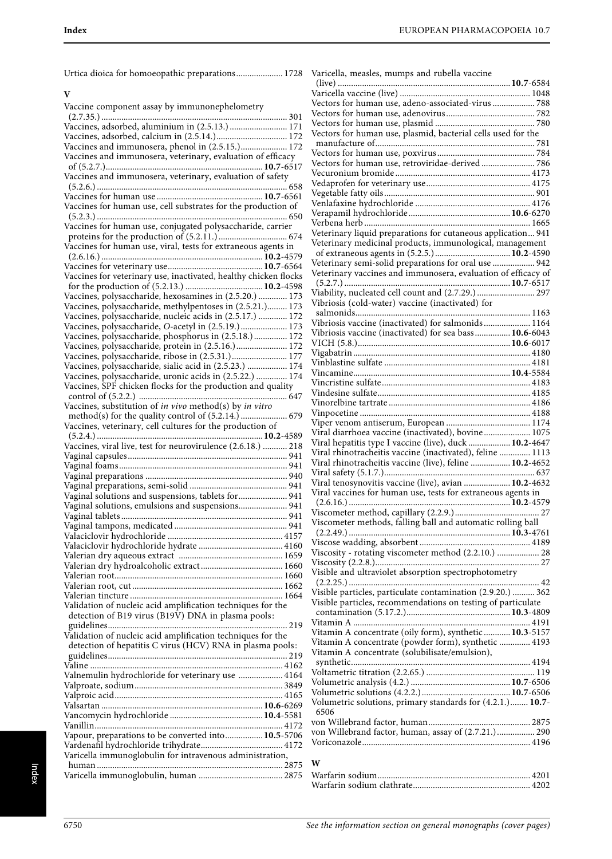| Urtica dioica for homoeopathic preparations 1728 Varicella, measles, mumps and rubella vaccine               |                                                                                                        |
|--------------------------------------------------------------------------------------------------------------|--------------------------------------------------------------------------------------------------------|
| V                                                                                                            |                                                                                                        |
| Vaccine component assay by immunonephelometry                                                                | Vectors for human use, adeno-associated-virus  788                                                     |
|                                                                                                              |                                                                                                        |
| Vaccines, adsorbed, aluminium in (2.5.13.)  171                                                              |                                                                                                        |
| Vaccines, adsorbed, calcium in (2.5.14.) 172                                                                 | Vectors for human use, plasmid, bacterial cells used for the                                           |
| Vaccines and immunosera, phenol in (2.5.15.) 172                                                             |                                                                                                        |
| Vaccines and immunosera, veterinary, evaluation of efficacy                                                  |                                                                                                        |
|                                                                                                              | Vectors for human use, retroviridae-derived 786                                                        |
| Vaccines and immunosera, veterinary, evaluation of safety                                                    |                                                                                                        |
|                                                                                                              |                                                                                                        |
|                                                                                                              |                                                                                                        |
| Vaccines for human use, cell substrates for the production of                                                |                                                                                                        |
| Vaccines for human use, conjugated polysaccharide, carrier                                                   |                                                                                                        |
|                                                                                                              | Veterinary liquid preparations for cutaneous application 941                                           |
| Vaccines for human use, viral, tests for extraneous agents in                                                | Veterinary medicinal products, immunological, management                                               |
|                                                                                                              |                                                                                                        |
|                                                                                                              | Veterinary semi-solid preparations for oral use  942                                                   |
| Vaccines for veterinary use, inactivated, healthy chicken flocks                                             | Veterinary vaccines and immunosera, evaluation of efficacy of                                          |
|                                                                                                              |                                                                                                        |
| Vaccines, polysaccharide, hexosamines in (2.5.20.)  173                                                      | Viability, nucleated cell count and (2.7.29.)  297<br>Vibriosis (cold-water) vaccine (inactivated) for |
| Vaccines, polysaccharide, methylpentoses in (2.5.21.) 173                                                    |                                                                                                        |
| Vaccines, polysaccharide, nucleic acids in (2.5.17.)  172                                                    | Vibriosis vaccine (inactivated) for salmonids 1164                                                     |
| Vaccines, polysaccharide, O-acetyl in (2.5.19.) 173<br>Vaccines, polysaccharide, phosphorus in (2.5.18.) 172 | Vibriosis vaccine (inactivated) for sea bass 10.6-6043                                                 |
| Vaccines, polysaccharide, protein in (2.5.16.) 172                                                           |                                                                                                        |
| Vaccines, polysaccharide, ribose in (2.5.31.) 177                                                            |                                                                                                        |
| Vaccines, polysaccharide, sialic acid in (2.5.23.)  174                                                      |                                                                                                        |
| Vaccines, polysaccharide, uronic acids in (2.5.22.)  174                                                     |                                                                                                        |
| Vaccines, SPF chicken flocks for the production and quality                                                  |                                                                                                        |
|                                                                                                              |                                                                                                        |
| Vaccines, substitution of in vivo method(s) by in vitro                                                      |                                                                                                        |
|                                                                                                              |                                                                                                        |
| Vaccines, veterinary, cell cultures for the production of                                                    | Viral diarrhoea vaccine (inactivated), bovine 1075                                                     |
|                                                                                                              | Viral hepatitis type I vaccine (live), duck  10.2-4647                                                 |
| Vaccines, viral live, test for neurovirulence (2.6.18.)  218                                                 | Viral rhinotracheitis vaccine (inactivated), feline  1113                                              |
|                                                                                                              | Viral rhinotracheitis vaccine (live), feline  10.2-4652                                                |
|                                                                                                              |                                                                                                        |
|                                                                                                              | Viral tenosynovitis vaccine (live), avian  10.2-4632                                                   |
| Vaginal solutions and suspensions, tablets for  941                                                          | Viral vaccines for human use, tests for extraneous agents in                                           |
| Vaginal solutions, emulsions and suspensions 941                                                             |                                                                                                        |
|                                                                                                              |                                                                                                        |
|                                                                                                              | Viscometer methods, falling ball and automatic rolling ball                                            |
|                                                                                                              |                                                                                                        |
|                                                                                                              | Viscosity - rotating viscometer method (2.2.10.)  28                                                   |
|                                                                                                              |                                                                                                        |
|                                                                                                              | Visible and ultraviolet absorption spectrophotometry                                                   |
|                                                                                                              |                                                                                                        |
|                                                                                                              | Visible particles, particulate contamination (2.9.20.)  362                                            |
| Validation of nucleic acid amplification techniques for the                                                  | Visible particles, recommendations on testing of particulate                                           |
| detection of B19 virus (B19V) DNA in plasma pools:                                                           |                                                                                                        |
|                                                                                                              |                                                                                                        |
| Validation of nucleic acid amplification techniques for the                                                  | Vitamin A concentrate (oily form), synthetic  10.3-5157                                                |
| detection of hepatitis C virus (HCV) RNA in plasma pools:                                                    | Vitamin A concentrate (powder form), synthetic  4193<br>Vitamin A concentrate (solubilisate/emulsion), |
|                                                                                                              |                                                                                                        |
|                                                                                                              |                                                                                                        |
| Valnemulin hydrochloride for veterinary use  4164                                                            |                                                                                                        |
|                                                                                                              |                                                                                                        |
|                                                                                                              | Volumetric solutions, primary standards for (4.2.1.) 10.7-                                             |
|                                                                                                              | 6506                                                                                                   |
|                                                                                                              |                                                                                                        |
| Vapour, preparations to be converted into 10.5-5706                                                          | von Willebrand factor, human, assay of (2.7.21.) 290                                                   |
|                                                                                                              |                                                                                                        |
| Varicella immunoglobulin for intravenous administration,                                                     |                                                                                                        |
|                                                                                                              | W                                                                                                      |
|                                                                                                              |                                                                                                        |

| Vectors for human use, plasmid, bacterial cells used for the   |
|----------------------------------------------------------------|
|                                                                |
|                                                                |
| Vectors for human use, retroviridae-derived 786                |
|                                                                |
|                                                                |
|                                                                |
|                                                                |
|                                                                |
| Veterinary liquid preparations for cutaneous application 941   |
| Veterinary medicinal products, immunological, management       |
|                                                                |
| Veterinary semi-solid preparations for oral use  942           |
|                                                                |
|                                                                |
| Viability, nucleated cell count and (2.7.29.)  297             |
| Vibriosis (cold-water) vaccine (inactivated) for               |
|                                                                |
| Vibriosis vaccine (inactivated) for salmonids 1164             |
| Vibriosis vaccine (inactivated) for sea bass 10.6-6043         |
|                                                                |
|                                                                |
|                                                                |
|                                                                |
|                                                                |
|                                                                |
|                                                                |
|                                                                |
| Viral diarrhoea vaccine (inactivated), bovine 1075             |
| Viral hepatitis type I vaccine (live), duck  10.2-4647         |
| Viral rhinotracheitis vaccine (inactivated), feline  1113      |
| Viral rhinotracheitis vaccine (live), feline  10.2-4652        |
|                                                                |
| Viral tenosynovitis vaccine (live), avian  10.2-4632           |
| Viral vaccines for human use, tests for extraneous agents in   |
|                                                                |
|                                                                |
| Viscometer methods, falling ball and automatic rolling ball    |
|                                                                |
| Viscosity - rotating viscometer method (2.2.10.)  28           |
|                                                                |
|                                                                |
|                                                                |
| Visible particles, particulate contamination (2.9.20.)  362    |
| Visible particles, recommendations on testing of particulate   |
|                                                                |
|                                                                |
| Vitamin A concentrate (oily form), synthetic  10.3-5157        |
| Vitamin A concentrate (powder form), synthetic  4193           |
| Vitamin A concentrate (solubilisate/emulsion),                 |
|                                                                |
|                                                                |
|                                                                |
|                                                                |
| Volumetric solutions, primary standards for (4.2.1.) 10.7-6506 |
|                                                                |
|                                                                |
| von Willebrand factor, human, assay of (2.7.21.) 290           |
|                                                                |
|                                                                |
| W                                                              |
|                                                                |